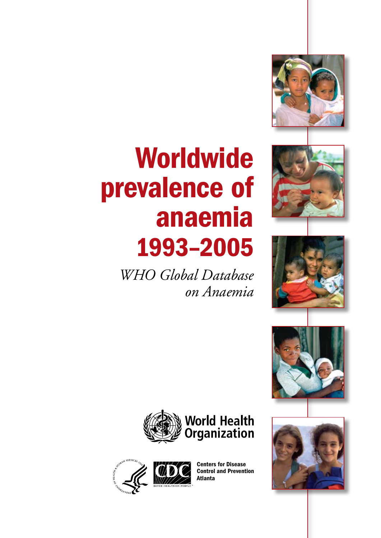# Worldwide prevalence of anaemia 1993–2005

*WHO Global Database on Anaemia*













Centers for Disease Control and Prevention Atlanta

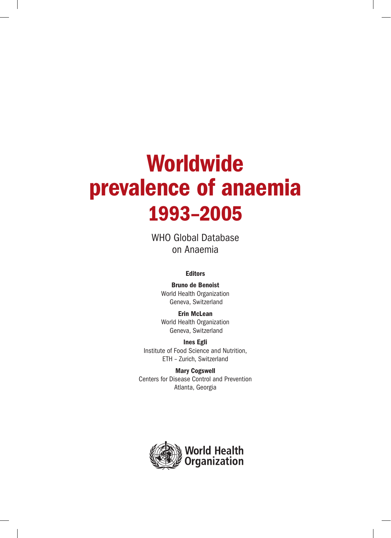# Worldwide prevalence of anaemia 1993–2005

WHO Global Database on Anaemia

### Editors

Bruno de Benoist World Health Organization Geneva, Switzerland

Erin McLean World Health Organization Geneva, Switzerland

Ines Egli Institute of Food Science and Nutrition, ETH – Zurich, Switzerland

Mary Cogswell Centers for Disease Control and Prevention Atlanta, Georgia

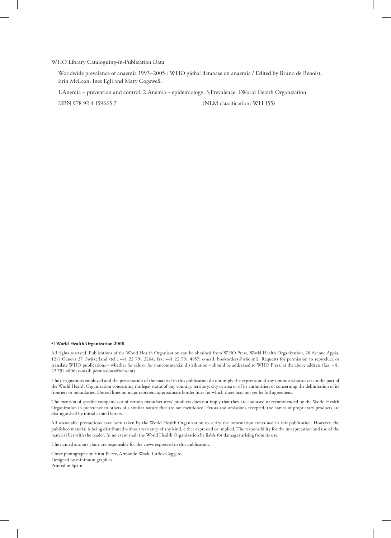#### WHO Library Cataloguing-in-Publication Data

Worldwide prevalence of anaemia 1993–2005 : WHO global database on anaemia / Edited by Bruno de Benoist, Erin McLean, Ines Egli and Mary Cogswell.

1.Anemia – prevention and control. 2.Anemia – epidemiology. 3.Prevalence. I.World Health Organization.

ISBN 978 92 4 159665 7 (NLM classification: WH 155)

#### **© World Health Organization 2008**

All rights reserved. Publications of the World Health Organization can be obtained from WHO Press, World Health Organization, 20 Avenue Appia, 1211 Geneva 27, Switzerland (tel.: +41 22 791 3264; fax: +41 22 791 4857; e-mail: bookorders@who.int). Requests for permission to reproduce or translate WHO publications – whether for sale or for noncommercial distribution – should be addressed to WHO Press, at the above address (fax: +41 22 791 4806; e-mail: permissions@who.int).

The designations employed and the presentation of the material in this publication do not imply the expression of any opinion whatsoever on the part of the World Health Organization concerning the legal status of any country, territory, city or area or of its authorities, or concerning the delimitation of its frontiers or boundaries. Dotted lines on maps represent approximate border lines for which there may not yet be full agreement.

The mention of specific companies or of certain manufacturers' products does not imply that they are endorsed or recommended by the World Health Organization in preference to others of a similar nature that are not mentioned. Errors and omissions excepted, the names of proprietary products are distinguished by initial capital letters.

All reasonable precautions have been taken by the World Health Organization to verify the information contained in this publication. However, the published material is being distributed without warranty of any kind, either expressed or implied. The responsibility for the interpretation and use of the material lies with the reader. In no event shall the World Health Organization be liable for damages arising from its use.

The named authors alone are responsible for the views expressed in this publication.

Cover photographs by Virot Pierre, Armando Waak, Carlos Gaggero Designed by minimum graphics Printed in Spain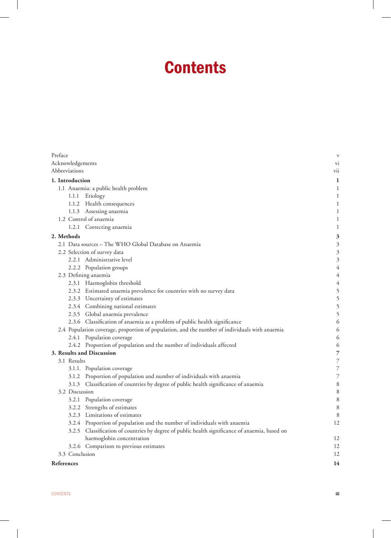## **Contents**

| Preface    |                  |                                                                                               | V              |
|------------|------------------|-----------------------------------------------------------------------------------------------|----------------|
|            | Acknowledgements |                                                                                               | V1             |
|            | Abbreviations    |                                                                                               | vii            |
|            | 1. Introduction  |                                                                                               | $\mathbf{1}$   |
|            |                  | 1.1 Anaemia: a public health problem                                                          | 1              |
|            | 1.1.1            | Etiology                                                                                      | 1              |
|            |                  | 1.1.2 Health consequences                                                                     | 1              |
|            |                  | 1.1.3 Assessing anaemia                                                                       | 1              |
|            |                  | 1.2 Control of anaemia                                                                        | 1              |
|            |                  | 1.2.1 Correcting anaemia                                                                      | 1              |
|            | 2. Methods       |                                                                                               | 3              |
|            |                  | 2.1 Data sources - The WHO Global Database on Anaemia                                         | $\mathfrak{Z}$ |
|            |                  | 2.2 Selection of survey data                                                                  | 3              |
|            |                  | 2.2.1 Administrative level                                                                    | 3              |
|            |                  | 2.2.2 Population groups                                                                       | $\overline{4}$ |
|            |                  | 2.3 Defining anaemia                                                                          | $\overline{4}$ |
|            |                  | 2.3.1 Haemoglobin threshold                                                                   | $\overline{4}$ |
|            |                  | 2.3.2 Estimated anaemia prevalence for countries with no survey data                          | 5              |
|            |                  | 2.3.3 Uncertainty of estimates                                                                | 5              |
|            |                  | 2.3.4 Combining national estimates                                                            | 5              |
|            |                  | 2.3.5 Global anaemia prevalence                                                               | 5              |
|            |                  | 2.3.6 Classification of anaemia as a problem of public health significance                    | 6              |
|            |                  | 2.4 Population coverage, proportion of population, and the number of individuals with anaemia | 6              |
|            |                  | 2.4.1 Population coverage                                                                     | 6              |
|            |                  | 2.4.2 Proportion of population and the number of individuals affected                         | 6              |
|            |                  | 3. Results and Discussion                                                                     | 7              |
|            | 3.1 Results      |                                                                                               | 7              |
|            |                  | 3.1.1. Population coverage                                                                    | 7              |
|            | 3.1.2            | Proportion of population and number of individuals with anaemia                               | 7              |
|            |                  | 3.1.3 Classification of countries by degree of public health significance of anaemia          | 8              |
|            | 3.2 Discussion   |                                                                                               | 8              |
|            |                  | 3.2.1 Population coverage                                                                     | 8              |
|            |                  | 3.2.2 Strengths of estimates                                                                  | 8              |
|            |                  | 3.2.3 Limitations of estimates                                                                | 8              |
|            |                  | 3.2.4 Proportion of population and the number of individuals with anaemia                     | 12             |
|            | 3.2.5            | Classification of countries by degree of public health significance of anaemia, based on      |                |
|            |                  | haemoglobin concentration                                                                     | 12             |
|            |                  | 3.2.6 Comparison to previous estimates                                                        | 12             |
|            | 3.3 Conclusion   |                                                                                               | 12             |
| References |                  |                                                                                               | 14             |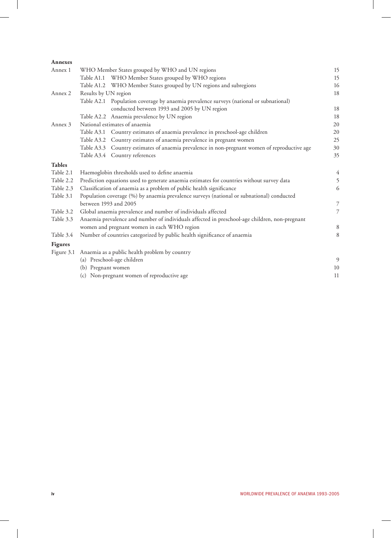| <b>Annexes</b> |                      |                                                                                               |                |
|----------------|----------------------|-----------------------------------------------------------------------------------------------|----------------|
| Annex 1        |                      | WHO Member States grouped by WHO and UN regions                                               | 15             |
|                |                      | Table A1.1 WHO Member States grouped by WHO regions                                           | 15             |
|                |                      | Table A1.2 WHO Member States grouped by UN regions and subregions                             | 16             |
| Annex 2        | Results by UN region |                                                                                               | 18             |
|                |                      | Table A2.1 Population coverage by anaemia prevalence surveys (national or subnational)        |                |
|                |                      | conducted between 1993 and 2005 by UN region                                                  | 18             |
|                |                      | Table A2.2 Anaemia prevalence by UN region                                                    | 18             |
| Annex 3        |                      | National estimates of anaemia                                                                 | 20             |
|                |                      | Table A3.1 Country estimates of anaemia prevalence in preschool-age children                  | 20             |
|                |                      | Table A3.2 Country estimates of anaemia prevalence in pregnant women                          | 25             |
|                |                      | Table A3.3 Country estimates of anaemia prevalence in non-pregnant women of reproductive age  | 30             |
|                |                      | Table A3.4 Country references                                                                 | 35             |
| <b>Tables</b>  |                      |                                                                                               |                |
| Table 2.1      |                      | Haemoglobin thresholds used to define anaemia                                                 | $\overline{4}$ |
| Table 2.2      |                      | Prediction equations used to generate anaemia estimates for countries without survey data     | 5              |
| Table 2.3      |                      | Classification of anaemia as a problem of public health significance                          | 6              |
| Table 3.1      |                      | Population coverage (%) by anaemia prevalence surveys (national or subnational) conducted     |                |
|                |                      | between 1993 and 2005                                                                         | $\overline{7}$ |
| Table 3.2      |                      | Global anaemia prevalence and number of individuals affected                                  | $\overline{7}$ |
| Table 3.3      |                      | Anaemia prevalence and number of individuals affected in preschool-age children, non-pregnant |                |
|                |                      | women and pregnant women in each WHO region                                                   | 8              |
| Table 3.4      |                      | Number of countries categorized by public health significance of anaemia                      | 8              |
| <b>Figures</b> |                      |                                                                                               |                |
| Figure 3.1     |                      | Anaemia as a public health problem by country                                                 |                |
|                |                      | (a) Preschool-age children                                                                    | 9              |
|                | (b) Pregnant women   |                                                                                               | 10             |
|                |                      | (c) Non-pregnant women of reproductive age                                                    | 11             |
|                |                      |                                                                                               |                |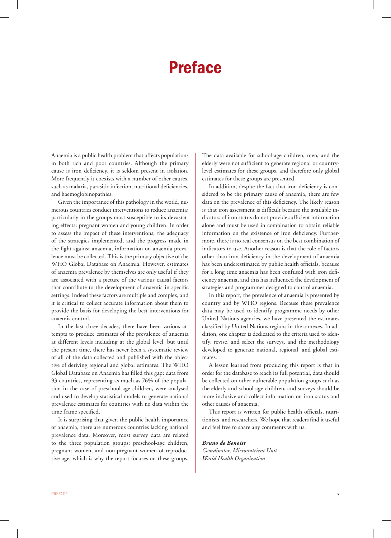### Preface

Anaemia is a public health problem that affects populations in both rich and poor countries. Although the primary cause is iron deficiency, it is seldom present in isolation. More frequently it coexists with a number of other causes, such as malaria, parasitic infection, nutritional deficiencies, and haemoglobinopathies.

Given the importance of this pathology in the world, numerous countries conduct interventions to reduce anaemia; particularly in the groups most susceptible to its devastating effects: pregnant women and young children. In order to assess the impact of these interventions, the adequacy of the strategies implemented, and the progress made in the fight against anaemia, information on anaemia prevalence must be collected. This is the primary objective of the WHO Global Database on Anaemia. However, estimates of anaemia prevalence by themselves are only useful if they are associated with a picture of the various causal factors that contribute to the development of anaemia in specific settings. Indeed these factors are multiple and complex, and it is critical to collect accurate information about them to provide the basis for developing the best interventions for anaemia control.

In the last three decades, there have been various attempts to produce estimates of the prevalence of anaemia at different levels including at the global level, but until the present time, there has never been a systematic review of all of the data collected and published with the objective of deriving regional and global estimates. The WHO Global Database on Anaemia has filled this gap: data from 93 countries, representing as much as 76% of the population in the case of preschool-age children, were analysed and used to develop statistical models to generate national prevalence estimates for countries with no data within the time frame specified.

It is surprising that given the public health importance of anaemia, there are numerous countries lacking national prevalence data. Moreover, most survey data are related to the three population groups: preschool-age children, pregnant women, and non-pregnant women of reproductive age, which is why the report focuses on these groups. The data available for school-age children, men, and the elderly were not sufficient to generate regional or countrylevel estimates for these groups, and therefore only global estimates for these groups are presented.

In addition, despite the fact that iron deficiency is considered to be the primary cause of anaemia, there are few data on the prevalence of this deficiency. The likely reason is that iron assessment is difficult because the available indicators of iron status do not provide sufficient information alone and must be used in combination to obtain reliable information on the existence of iron deficiency. Furthermore, there is no real consensus on the best combination of indicators to use. Another reason is that the role of factors other than iron deficiency in the development of anaemia has been underestimated by public health officials, because for a long time anaemia has been confused with iron deficiency anaemia, and this has influenced the development of strategies and programmes designed to control anaemia.

In this report, the prevalence of anaemia is presented by country and by WHO regions. Because these prevalence data may be used to identify programme needs by other United Nations agencies, we have presented the estimates classified by United Nations regions in the annexes. In addition, one chapter is dedicated to the criteria used to identify, revise, and select the surveys, and the methodology developed to generate national, regional, and global estimates.

A lesson learned from producing this report is that in order for the database to reach its full potential, data should be collected on other vulnerable population groups such as the elderly and school-age children, and surveys should be more inclusive and collect information on iron status and other causes of anaemia.

This report is written for public health officials, nutritionists, and researchers. We hope that readers find it useful and feel free to share any comments with us.

#### *Bruno de Benoist Coordinator, Micronutrient Unit World Health Organization*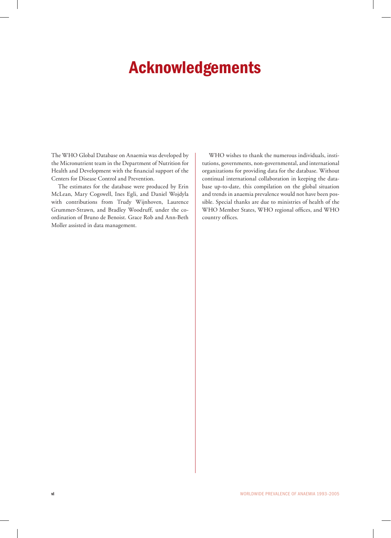## Acknowledgements

The WHO Global Database on Anaemia was developed by the Micronutrient team in the Department of Nutrition for Health and Development with the financial support of the Centers for Disease Control and Prevention.

The estimates for the database were produced by Erin McLean, Mary Cogswell, Ines Egli, and Daniel Wojdyla with contributions from Trudy Wijnhoven, Laurence Grummer-Strawn, and Bradley Woodruff, under the coordination of Bruno de Benoist. Grace Rob and Ann-Beth Moller assisted in data management.

WHO wishes to thank the numerous individuals, institutions, governments, non-governmental, and international organizations for providing data for the database. Without continual international collaboration in keeping the database up-to-date, this compilation on the global situation and trends in anaemia prevalence would not have been possible. Special thanks are due to ministries of health of the WHO Member States, WHO regional offices, and WHO country offices.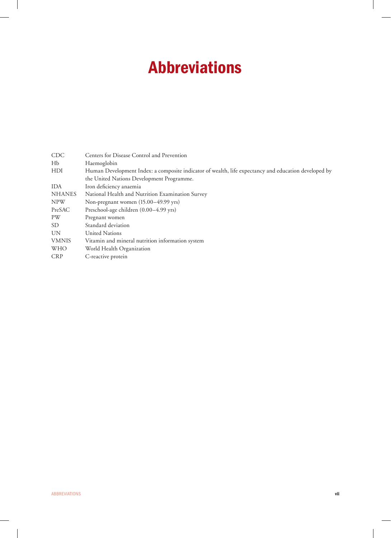## Abbreviations

| <b>CDC</b>     | Centers for Disease Control and Prevention                                                           |
|----------------|------------------------------------------------------------------------------------------------------|
| H <sub>b</sub> | Haemoglobin                                                                                          |
| <b>HDI</b>     | Human Development Index: a composite indicator of wealth, life expectancy and education developed by |
|                | the United Nations Development Programme.                                                            |
| <b>IDA</b>     | Iron deficiency anaemia                                                                              |
| <b>NHANES</b>  | National Health and Nutrition Examination Survey                                                     |
| <b>NPW</b>     | Non-pregnant women (15.00–49.99 yrs)                                                                 |
| PreSAC         | Preschool-age children (0.00-4.99 yrs)                                                               |
| PW             | Pregnant women                                                                                       |
| SD.            | Standard deviation                                                                                   |
| <b>UN</b>      | United Nations                                                                                       |
| <b>VMNIS</b>   | Vitamin and mineral nutrition information system                                                     |
| WHO            | World Health Organization                                                                            |
| <b>CRP</b>     | C-reactive protein                                                                                   |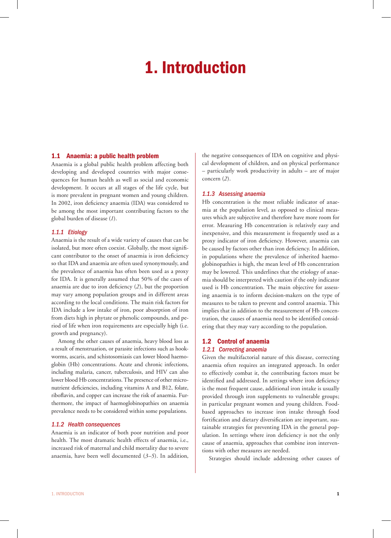## 1. Introduction

#### 1.1 Anaemia: a public health problem

Anaemia is a global public health problem affecting both developing and developed countries with major consequences for human health as well as social and economic development. It occurs at all stages of the life cycle, but is more prevalent in pregnant women and young children. In 2002, iron deficiency anaemia (IDA) was considered to be among the most important contributing factors to the global burden of disease (*1*).

#### *1.1.1 Etiology*

Anaemia is the result of a wide variety of causes that can be isolated, but more often coexist. Globally, the most significant contributor to the onset of anaemia is iron deficiency so that IDA and anaemia are often used synonymously, and the prevalence of anaemia has often been used as a proxy for IDA. It is generally assumed that 50% of the cases of anaemia are due to iron deficiency (*2*), but the proportion may vary among population groups and in different areas according to the local conditions. The main risk factors for IDA include a low intake of iron, poor absorption of iron from diets high in phytate or phenolic compounds, and period of life when iron requirements are especially high (i.e. growth and pregnancy).

Among the other causes of anaemia, heavy blood loss as a result of menstruation, or parasite infections such as hookworms, ascaris, and schistosomiasis can lower blood haemoglobin (Hb) concentrations. Acute and chronic infections, including malaria, cancer, tuberculosis, and HIV can also lower blood Hb concentrations. The presence of other micronutrient deficiencies, including vitamins A and B12, folate, riboflavin, and copper can increase the risk of anaemia. Furthermore, the impact of haemoglobinopathies on anaemia prevalence needs to be considered within some populations.

#### *1.1.2 Health consequences*

Anaemia is an indicator of both poor nutrition and poor health. The most dramatic health effects of anaemia, i.e., increased risk of maternal and child mortality due to severe anaemia, have been well documented (*3–5*). In addition, the negative consequences of IDA on cognitive and physical development of children, and on physical performance – particularly work productivity in adults – are of major concern (*2*).

#### *1.1.3 Assessing anaemia*

Hb concentration is the most reliable indicator of anaemia at the population level, as opposed to clinical measures which are subjective and therefore have more room for error. Measuring Hb concentration is relatively easy and inexpensive, and this measurement is frequently used as a proxy indicator of iron deficiency. However, anaemia can be caused by factors other than iron deficiency. In addition, in populations where the prevalence of inherited haemoglobinopathies is high, the mean level of Hb concentration may be lowered. This underlines that the etiology of anaemia should be interpreted with caution if the only indicator used is Hb concentration. The main objective for assessing anaemia is to inform decision-makers on the type of measures to be taken to prevent and control anaemia. This implies that in addition to the measurement of Hb concentration, the causes of anaemia need to be identified considering that they may vary according to the population.

#### 1.2 Control of anaemia *1.2.1 Correcting anaemia*

Given the multifactorial nature of this disease, correcting anaemia often requires an integrated approach. In order to effectively combat it, the contributing factors must be identified and addressed. In settings where iron deficiency is the most frequent cause, additional iron intake is usually provided through iron supplements to vulnerable groups; in particular pregnant women and young children. Foodbased approaches to increase iron intake through food fortification and dietary diversification are important, sustainable strategies for preventing IDA in the general population. In settings where iron deficiency is not the only cause of anaemia, approaches that combine iron interventions with other measures are needed.

Strategies should include addressing other causes of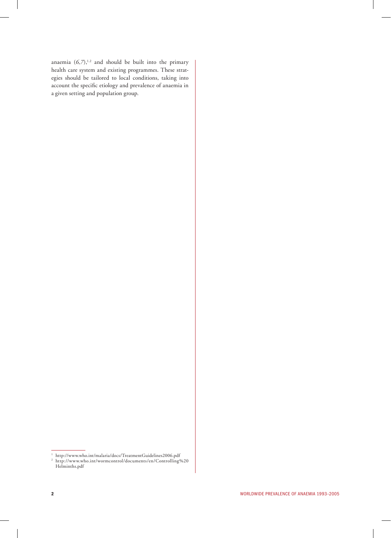anaemia  $(6,7)$ ,<sup>1.2</sup> and should be built into the primary health care system and existing programmes. These strategies should be tailored to local conditions, taking into account the specific etiology and prevalence of anaemia in a given setting and population group.

<sup>1</sup> http://www.who.int/malaria/docs/TreatmentGuidelines2006.pdf 2 http://www.who.int/wormcontrol/documents/en/Controlling%20 Helminths.pdf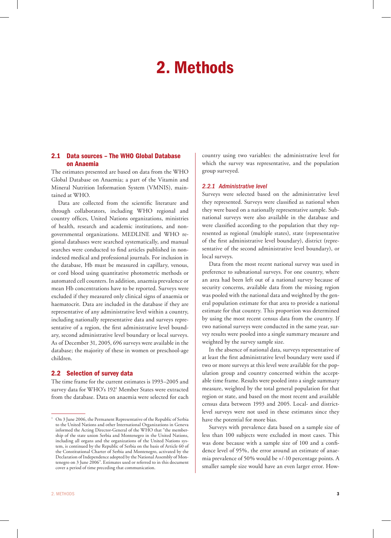## 2. Methods

#### 2.1 Data sources – The WHO Global Database on Anaemia

The estimates presented are based on data from the WHO Global Database on Anaemia; a part of the Vitamin and Mineral Nutrition Information System (VMNIS), maintained at WHO.

Data are collected from the scientific literature and through collaborators, including WHO regional and country offices, United Nations organizations, ministries of health, research and academic institutions, and nongovernmental organizations. MEDLINE and WHO regional databases were searched systematically, and manual searches were conducted to find articles published in nonindexed medical and professional journals. For inclusion in the database, Hb must be measured in capillary, venous, or cord blood using quantitative photometric methods or automated cell counters. In addition, anaemia prevalence or mean Hb concentrations have to be reported. Surveys were excluded if they measured only clinical signs of anaemia or haematocrit. Data are included in the database if they are representative of any administrative level within a country, including nationally representative data and surveys representative of a region, the first administrative level boundary, second administrative level boundary or local surveys. As of December 31, 2005, 696 surveys were available in the database; the majority of these in women or preschool-age children.

#### 2.2 Selection of survey data

The time frame for the current estimates is 1993–2005 and survey data for WHO's 1921 Member States were extracted from the database. Data on anaemia were selected for each

country using two variables: the administrative level for which the survey was representative, and the population group surveyed.

#### *2.2.1 Administrative level*

Surveys were selected based on the administrative level they represented. Surveys were classified as national when they were based on a nationally representative sample. Subnational surveys were also available in the database and were classified according to the population that they represented as regional (multiple states), state (representative of the first administrative level boundary), district (representative of the second administrative level boundary), or local surveys.

Data from the most recent national survey was used in preference to subnational surveys. For one country, where an area had been left out of a national survey because of security concerns, available data from the missing region was pooled with the national data and weighted by the general population estimate for that area to provide a national estimate for that country. This proportion was determined by using the most recent census data from the country. If two national surveys were conducted in the same year, survey results were pooled into a single summary measure and weighted by the survey sample size.

In the absence of national data, surveys representative of at least the first administrative level boundary were used if two or more surveys at this level were available for the population group and country concerned within the acceptable time frame. Results were pooled into a single summary measure, weighted by the total general population for that region or state, and based on the most recent and available census data between 1993 and 2005. Local- and districtlevel surveys were not used in these estimates since they have the potential for more bias.

Surveys with prevalence data based on a sample size of less than 100 subjects were excluded in most cases. This was done because with a sample size of 100 and a confidence level of 95%, the error around an estimate of anaemia prevalence of 50% would be +/-10 percentage points. A smaller sample size would have an even larger error. How-

<sup>1</sup> On 3 June 2006, the Permanent Representative of the Republic of Serbia to the United Nations and other International Organizations in Geneva informed the Acting Director-General of the WHO that "the membership of the state union Serbia and Montenegro in the United Nations, including all organs and the organizations of the United Nations system, is continued by the Republic of Serbia on the basis of Article 60 of the Constitutional Charter of Serbia and Montenegro, activated by the Declaration of Independence adopted by the National Assembly of Montenegro on 3 June 2006". Estimates used or referred to in this document cover a period of time preceding that communication.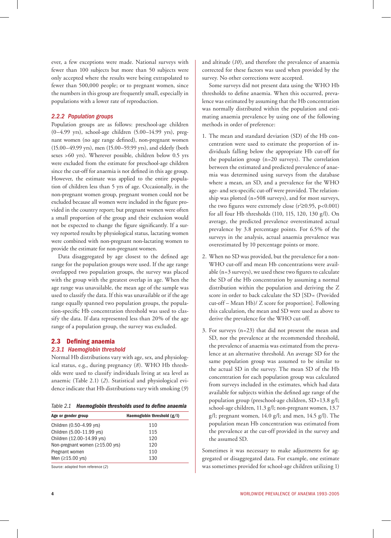ever, a few exceptions were made. National surveys with fewer than 100 subjects but more than 50 subjects were only accepted where the results were being extrapolated to fewer than 500,000 people; or to pregnant women, since the numbers in this group are frequently small, especially in populations with a lower rate of reproduction.

#### *2.2.2 Population groups*

Population groups are as follows: preschool-age children (0–4.99 yrs), school-age children (5.00–14.99 yrs), pregnant women (no age range defined), non-pregnant women (15.00–49.99 yrs), men (15.00–59.99 yrs), and elderly (both sexes >60 yrs). Wherever possible, children below 0.5 yrs were excluded from the estimate for preschool-age children since the cut-off for anaemia is not defined in this age group. However, the estimate was applied to the entire population of children less than 5 yrs of age. Occasionally, in the non-pregnant women group, pregnant women could not be excluded because all women were included in the figure provided in the country report; but pregnant women were often a small proportion of the group and their exclusion would not be expected to change the figure significantly. If a survey reported results by physiological status, lactating women were combined with non-pregnant non-lactating women to provide the estimate for non-pregnant women.

Data disaggregated by age closest to the defined age range for the population groups were used. If the age range overlapped two population groups, the survey was placed with the group with the greatest overlap in age. When the age range was unavailable, the mean age of the sample was used to classify the data. If this was unavailable or if the age range equally spanned two population groups, the population-specific Hb concentration threshold was used to classify the data. If data represented less than 20% of the age range of a population group, the survey was excluded.

#### 2.3 Defining anaemia

#### *2.3.1 Haemoglobin threshold*

Normal Hb distributions vary with age, sex, and physiological status, e.g., during pregnancy (*8*). WHO Hb thresholds were used to classify individuals living at sea level as anaemic (Table 2.1) (*2*). Statistical and physiological evidence indicate that Hb distributions vary with smoking (*9*)

*Table 2.1 Haemoglobin thresholds used to define anaemia*

| Age or gender group                   | Haemoglobin threshold $(g/I)$ |
|---------------------------------------|-------------------------------|
| Children (0.50-4.99 yrs)              | 110                           |
| Children (5.00-11.99 yrs)             | 115                           |
| Children (12.00-14.99 yrs)            | 120                           |
| Non-pregnant women $(\geq 15.00$ yrs) | 120                           |
| Pregnant women                        | 110                           |
| Men $(≥15.00$ yrs)                    | 130                           |

Source: adapted from reference (*2*)

and altitude (*10*), and therefore the prevalence of anaemia corrected for these factors was used when provided by the survey. No other corrections were accepted.

Some surveys did not present data using the WHO Hb thresholds to define anaemia. When this occurred, prevalence was estimated by assuming that the Hb concentration was normally distributed within the population and estimating anaemia prevalence by using one of the following methods in order of preference:

- 1. The mean and standard deviation (SD) of the Hb concentration were used to estimate the proportion of individuals falling below the appropriate Hb cut-off for the population group (n=20 surveys). The correlation between the estimated and predicted prevalence of anaemia was determined using surveys from the database where a mean, an SD, and a prevalence for the WHO age- and sex-specific cut-off were provided. The relationship was plotted (n=508 surveys), and for most surveys, the two figures were extremely close  $(r^2 \ge 0.95, p < 0.001)$ for all four Hb thresholds (110, 115, 120, 130 g/l). On average, the predicted prevalence overestimated actual prevalence by 3.8 percentage points. For 6.5% of the surveys in the analysis, actual anaemia prevalence was overestimated by 10 percentage points or more.
- 2. When no SD was provided, but the prevalence for a non-WHO cut-off and mean Hb concentrations were available (n=3 surveys), we used these two figures to calculate the SD of the Hb concentration by assuming a normal distribution within the population and deriving the Z score in order to back calculate the SD [SD= (Provided cut-off – Mean Hb)/ Z score for proportion]. Following this calculation, the mean and SD were used as above to derive the prevalence for the WHO cut-off.
- 3. For surveys (n=23) that did not present the mean and SD, nor the prevalence at the recommended threshold, the prevalence of anaemia was estimated from the prevalence at an alternative threshold. An average SD for the same population group was assumed to be similar to the actual SD in the survey. The mean SD of the Hb concentration for each population group was calculated from surveys included in the estimates, which had data available for subjects within the defined age range of the population group (preschool-age children, SD=13.8 g/l; school-age children, 11.3 g/l; non-pregnant women, 13.7 g/l; pregnant women,  $14.0$  g/l; and men,  $14.5$  g/l). The population mean Hb concentration was estimated from the prevalence at the cut-off provided in the survey and the assumed SD.

Sometimes it was necessary to make adjustments for aggregated or disaggregated data. For example, one estimate was sometimes provided for school-age children utilizing 1)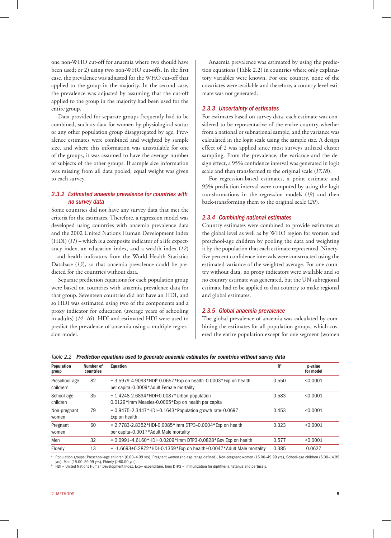one non-WHO cut-off for anaemia where two should have been used; or 2) using two non-WHO cut-offs. In the first case, the prevalence was adjusted for the WHO cut-off that applied to the group in the majority. In the second case, the prevalence was adjusted by assuming that the cut-off applied to the group in the majority had been used for the entire group.

Data provided for separate groups frequently had to be combined, such as data for women by physiological status or any other population group disaggregated by age. Prevalence estimates were combined and weighted by sample size, and where this information was unavailable for one of the groups, it was assumed to have the average number of subjects of the other groups. If sample size information was missing from all data pooled, equal weight was given to each survey.

#### *2.3.2 Estimated anaemia prevalence for countries with no survey data*

Some countries did not have any survey data that met the criteria for the estimates. Therefore, a regression model was developed using countries with anaemia prevalence data and the 2002 United Nations Human Development Index (HDI) (*11*) – which is a composite indicator of a life expectancy index, an education index, and a wealth index (*12*) – and health indicators from the World Health Statistics Database (*13*), so that anaemia prevalence could be predicted for the countries without data.

Separate prediction equations for each population group were based on countries with anaemia prevalence data for that group. Seventeen countries did not have an HDI, and so HDI was estimated using two of the components and a proxy indicator for education (average years of schooling in adults) (*14–16*). HDI and estimated HDI were used to predict the prevalence of anaemia using a multiple regression model.

Anaemia prevalence was estimated by using the prediction equations (Table 2.2) in countries where only explanatory variables were known. For one country, none of the covariates were available and therefore, a country-level estimate was not generated.

#### *2.3.3 Uncertainty of estimates*

For estimates based on survey data, each estimate was considered to be representative of the entire country whether from a national or subnational sample, and the variance was calculated in the logit scale using the sample size. A design effect of 2 was applied since most surveys utilized cluster sampling. From the prevalence, the variance and the design effect, a 95% confidence interval was generated in logit scale and then transformed to the original scale (*17,18*).

For regression-based estimates, a point estimate and 95% prediction interval were computed by using the logit transformations in the regression models (*19*) and then back-transforming them to the original scale (*20*).

#### *2.3.4 Combining national estimates*

Country estimates were combined to provide estimates at the global level as well as by WHO region for women and preschool-age children by pooling the data and weighting it by the population that each estimate represented. Ninetyfive percent confidence intervals were constructed using the estimated variance of the weighted average. For one country without data, no proxy indicators were available and so no country estimate was generated, but the UN subregional estimate had to be applied to that country to make regional and global estimates.

#### *2.3.5 Global anaemia prevalence*

The global prevalence of anaemia was calculated by combining the estimates for all population groups, which covered the entire population except for one segment (women

|  |  |  | Table 2.2 Prediction equations used to generate anaemia estimates for countries without survey data |
|--|--|--|-----------------------------------------------------------------------------------------------------|
|--|--|--|-----------------------------------------------------------------------------------------------------|

| <b>Population</b><br>group             | Number of<br>countries | Equation                                                                                                               | $\mathbb{R}^2$ | p-value<br>for model |
|----------------------------------------|------------------------|------------------------------------------------------------------------------------------------------------------------|----------------|----------------------|
| Preschool-age<br>children <sup>a</sup> | 82                     | $= 3.5979 - 4.9093 * HDIb - 0.0657 * Exp$ on health-0.0003 * Exp on health<br>per capita-0.0009*Adult Female mortality | 0.550          | < 0.0001             |
| School-age<br>children                 | 35                     | $= 1.4248 - 2.6894*HDI+0.0087*Urban population-$<br>0.0129*Imm Measles-0.0005*Exp on health per capita                 | 0.583          | < 0.0001             |
| Non-pregnant<br>women                  | 79                     | $= 0.9475 - 2.3447*HDH + 0.1643* Population growth rate - 0.0697$<br>Exp on health                                     | 0.453          | < 0.0001             |
| Pregnant<br>women                      | 60                     | $= 2.7783 - 2.8352$ *HDI-0.0085*Imm DTP3-0.0004*Exp on health<br>per capita-0.0017*Adult Male mortality                | 0.323          | < 0.0001             |
| Men                                    | 32                     | $= 0.0991 - 4.6160*HDI + 0.0209*Imm$ DTP3-0.0828*Gov Exp on health                                                     | 0.577          | < 0.0001             |
| Elderly                                | 13                     | $= -1.6693 + 0.2872 * HDI - 0.1359 * Exp$ on health+0.0047*Adult Male mortality                                        | 0.385          | 0.0627               |

a Population groups: Preschool-age children (0.00–4.99 yrs), Pregnant women (no age range defined), Non-pregnant women (15.00–49.99 yrs), School-age children (5.00–14.99 yrs), Men (15.00–59.99 yrs), Elderly (≥60.00 yrs).

b HDI = United Nations Human Development Index, Exp= expenditure, Imm DTP3 = immunization for diphtheria, tetanus and pertussis.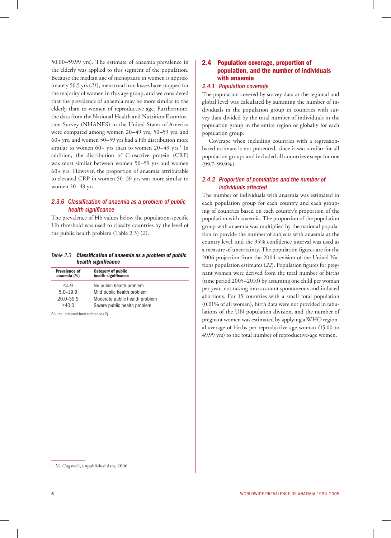50.00–59.99 yrs). The estimate of anaemia prevalence in the elderly was applied to this segment of the population. Because the median age of menopause in women is approximately 50.5 yrs (*21*), menstrual iron losses have stopped for the majority of women in this age group, and we considered that the prevalence of anaemia may be more similar to the elderly than to women of reproductive age. Furthermore, the data from the National Health and Nutrition Examination Survey (NHANES) in the United States of America were compared among women 20–49 yrs, 50–59 yrs, and 60+ yrs, and women 50–59 yrs had a Hb distribution more similar to women  $60+$  yrs than to women  $20-49$  yrs.<sup>1</sup> In addition, the distribution of C-reactive protein (CRP) was most similar between women 50–59 yrs and women 60+ yrs. However, the proportion of anaemia attributable to elevated CRP in women 50–59 yrs was more similar to women 20–49 yrs.

#### *2.3.6 Classification of anaemia as a problem of public health significance*

The prevalence of Hb values below the population-specific Hb threshold was used to classify countries by the level of the public health problem (Table 2.3) (*2*).

*Table 2.3 Classification of anaemia as a problem of public health significance*

| <b>Prevalence of</b><br>anaemia (%) | <b>Category of public</b><br>health significance |
|-------------------------------------|--------------------------------------------------|
| $<$ 4.9                             | No public health problem                         |
| $5.0 - 19.9$                        | Mild public health problem                       |
| $20.0 - 39.9$                       | Moderate public health problem                   |
| >40.0                               | Severe public health problem                     |

Source: adapted from reference (*2*)

#### 2.4 Population coverage, proportion of population, and the number of individuals with anaemia

#### *2.4.1 Population coverage*

The population covered by survey data at the regional and global level was calculated by summing the number of individuals in the population group in countries with survey data divided by the total number of individuals in the population group in the entire region or globally for each population group.

Coverage when including countries with a regressionbased estimate is not presented, since it was similar for all population groups and included all countries except for one (99.7–99.9%).

#### *2.4.2 Proportion of population and the number of individuals affected*

The number of individuals with anaemia was estimated in each population group for each country and each grouping of countries based on each country's proportion of the population with anaemia. The proportion of the population group with anaemia was multiplied by the national population to provide the number of subjects with anaemia at the country level, and the 95% confidence interval was used as a measure of uncertainty. The population figures are for the 2006 projection from the 2004 revision of the United Nations population estimates (*22*). Population figures for pregnant women were derived from the total number of births (time period 2005–2010) by assuming one child per woman per year, not taking into account spontaneous and induced abortions. For 15 countries with a small total population (0.01% of all women), birth data were not provided in tabulations of the UN population division, and the number of pregnant women was estimated by applying a WHO regional average of births per reproductive-age woman (15.00 to 49.99 yrs) to the total number of reproductive-age women.

<sup>&</sup>lt;sup>1</sup> M. Cogswell, unpublished data, 2006.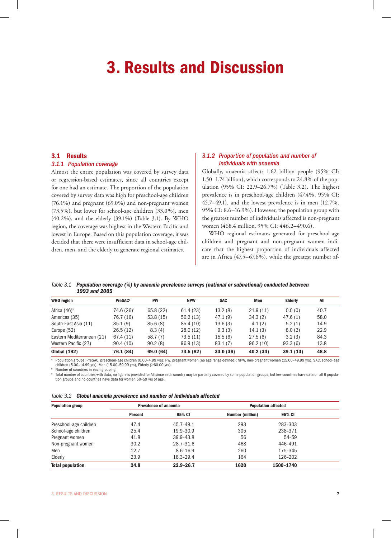### 3. Results and Discussion

#### 3.1 Results

#### *3.1.1 Population coverage*

Almost the entire population was covered by survey data or regression-based estimates, since all countries except for one had an estimate. The proportion of the population covered by survey data was high for preschool-age children (76.1%) and pregnant (69.0%) and non-pregnant women (73.5%), but lower for school-age children (33.0%), men (40.2%), and the elderly (39.1%) (Table 3.1). By WHO region, the coverage was highest in the Western Pacific and lowest in Europe. Based on this population coverage, it was decided that there were insufficient data in school-age children, men, and the elderly to generate regional estimates.

#### *3.1.2 Proportion of population and number of individuals with anaemia*

Globally, anaemia affects 1.62 billion people (95% CI: 1.50–1.74 billion), which corresponds to 24.8% of the population (95% CI: 22.9–26.7%) (Table 3.2). The highest prevalence is in preschool-age children (47.4%, 95% CI: 45.7–49.1), and the lowest prevalence is in men (12.7%, 95% CI: 8.6–16.9%). However, the population group with the greatest number of individuals affected is non-pregnant women (468.4 million, 95% CI: 446.2–490.6).

WHO regional estimates generated for preschool-age children and pregnant and non-pregnant women indicate that the highest proportion of individuals affected are in Africa (47.5–67.6%), while the greatest number af-

*Table 3.1 Population coverage (%) by anaemia prevalence surveys (national or subnational) conducted between 1993 and 2005*

| <b>WHO</b> region          | <b>PreSAC<sup>a</sup></b> | <b>PW</b> | <b>NPW</b> | <b>SAC</b> | Men       | <b>Elderly</b> | All  |  |
|----------------------------|---------------------------|-----------|------------|------------|-----------|----------------|------|--|
| Africa $(46)^b$            | $74.6(26)$ <sup>c</sup>   | 65.8 (22) | 61.4 (23)  | 13.2(8)    | 21.9(11)  | 0.0(0)         | 40.7 |  |
| Americas (35)              | 76.7 (16)                 | 53.8(15)  | 56.2(13)   | 47.1(9)    | 34.3(2)   | 47.6(1)        | 58.0 |  |
| South-East Asia (11)       | 85.1(9)                   | 85.6(8)   | 85.4 (10)  | 13.6(3)    | 4.1(2)    | 5.2(1)         | 14.9 |  |
| Europe (52)                | 26.5(12)                  | 8.3(4)    | 28.0(12)   | 9.3(3)     | 14.1(3)   | 8.0(2)         | 22.9 |  |
| Eastern Mediterranean (21) | 67.4 (11)                 | 58.7(7)   | 73.5 (11)  | 15.5(6)    | 27.5(6)   | 3.2(3)         | 84.3 |  |
| Western Pacific (27)       | 90.4(10)                  | 90.2(8)   | 96.9(13)   | 83.1(7)    | 96.2(10)  | 93.3(6)        | 13.8 |  |
| <b>Global (192)</b>        | 76.1 (84)                 | 69.0 (64) | 73.5 (82)  | 33.0(36)   | 40.2 (34) | 39.1(13)       | 48.8 |  |

a Population groups: PreSAC, preschool-age children (0.00–4.99 yrs); PW, pregnant women (no age range defined); NPW, non-pregnant women (15.00–49.99 yrs), SAC, school-age children (5.00–14.99 yrs), Men (15.00–59.99 yrs), Elderly (≥60.00 yrs).

b

 $^{\rm b}$  Number of countries in each grouping.<br>© Total number of countries with data, no figure is provided for All since each country may be partially covered by some population groups, but few countries have data on all 6 tion groups and no countries have data for women 50–59 yrs of age.

|  | Table 3.2 Global anaemia prevalence and number of individuals affected |  |  |  |  |
|--|------------------------------------------------------------------------|--|--|--|--|
|--|------------------------------------------------------------------------|--|--|--|--|

| Population group        |         | <b>Prevalence of anaemia</b> |                  | <b>Population affected</b> |  |
|-------------------------|---------|------------------------------|------------------|----------------------------|--|
|                         | Percent | 95% CI                       | Number (million) | 95% CI                     |  |
| Preschool-age children  | 47.4    | 45.7-49.1                    | 293              | 283-303                    |  |
| School-age children     | 25.4    | 19.9-30.9                    | 305              | 238-371                    |  |
| Pregnant women          | 41.8    | 39.9-43.8                    | 56               | 54-59                      |  |
| Non-pregnant women      | 30.2    | 28.7-31.6                    | 468              | 446-491                    |  |
| Men                     | 12.7    | $8.6 - 16.9$                 | 260              | 175-345                    |  |
| Elderly                 | 23.9    | 18.3-29.4                    | 164              | 126-202                    |  |
| <b>Total population</b> | 24.8    | $22.9 - 26.7$                | 1620             | 1500-1740                  |  |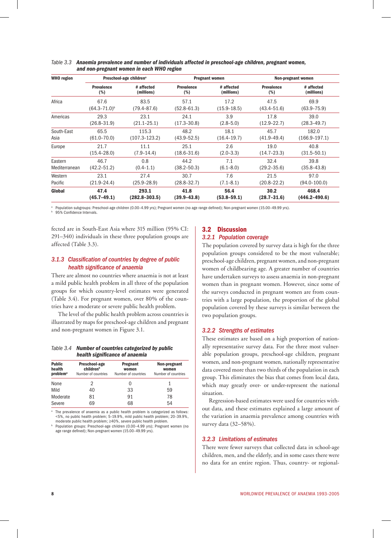| <b>WHO</b> region | Preschool-age children <sup>a</sup> |                   |                   | <b>Pregnant women</b> |                   | Non-pregnant women |  |
|-------------------|-------------------------------------|-------------------|-------------------|-----------------------|-------------------|--------------------|--|
|                   | <b>Prevalence</b>                   | # affected        | <b>Prevalence</b> | # affected            | <b>Prevalence</b> | # affected         |  |
|                   | (%)                                 | (millions)        | (%)               | (millions)            | (%)               | (millions)         |  |
| Africa            | 67.6                                | 83.5              | 57.1              | 17.2                  | 47.5              | 69.9               |  |
|                   | $(64.3 - 71.0)^{b}$                 | $(79.4 - 87.6)$   | $(52.8 - 61.3)$   | $(15.9 - 18.5)$       | $(43.4 - 51.6)$   | $(63.9 - 75.9)$    |  |
| Americas          | 29.3                                | 23.1              | 24.1              | 3.9                   | 17.8              | 39.0               |  |
|                   | $(26.8 - 31.9)$                     | $(21.1 - 25.1)$   | $(17.3 - 30.8)$   | $(2.8 - 5.0)$         | $(12.9 - 22.7)$   | $(28.3 - 49.7)$    |  |
| South-East        | 65.5                                | 115.3             | 48.2              | 18.1                  | 45.7              | 182.0              |  |
| Asia              | $(61.0 - 70.0)$                     | $(107.3 - 123.2)$ | $(43.9 - 52.5)$   | $(16.4 - 19.7)$       | $(41.9 - 49.4)$   | $(166.9 - 197.1)$  |  |
| Europe            | 21.7                                | 11.1              | 25.1              | 2.6                   | 19.0              | 40.8               |  |
|                   | $(15.4 - 28.0)$                     | $(7.9 - 14.4)$    | $(18.6 - 31.6)$   | $(2.0 - 3.3)$         | $(14.7 - 23.3)$   | $(31.5 - 50.1)$    |  |
| Eastern           | 46.7                                | 0.8               | 44.2              | 7.1                   | 32.4              | 39.8               |  |
| Mediterranean     | $(42.2 - 51.2)$                     | $(0.4 - 1.1)$     | $(38.2 - 50.3)$   | $(6.1 - 8.0)$         | $(29.2 - 35.6)$   | $(35.8 - 43.8)$    |  |
| Western           | 23.1                                | 27.4              | 30.7              | 7.6                   | 21.5              | 97.0               |  |
| Pacific           | $(21.9 - 24.4)$                     | $(25.9 - 28.9)$   | $(28.8 - 32.7)$   | $(7.1 - 8.1)$         | $(20.8 - 22.2)$   | $(94.0 - 100.0)$   |  |
| Global            | 47.4                                | 293.1             | 41.8              | 56.4                  | 30.2              | 468.4              |  |
|                   | $(45.7 - 49.1)$                     | $(282.8 - 303.5)$ | $(39.9 - 43.8)$   | $(53.8 - 59.1)$       | $(28.7 - 31.6)$   | (446.2–490.6)      |  |

#### *Table 3.3 Anaemia prevalence and number of individuals affected in preschool-age children, pregnant women, and non-pregnant women in each WHO region*

a Population subgroups: Preschool-age children (0.00–4.99 yrs); Pregnant women (no age range defined); Non-pregnant women (15.00–49.99 yrs).

95% Confidence Intervals.

fected are in South-East Asia where 315 million (95% CI: 291–340) individuals in these three population groups are affected (Table 3.3).

#### *3.1.3 Classification of countries by degree of public health significance of anaemia*

There are almost no countries where anaemia is not at least a mild public health problem in all three of the population groups for which country-level estimates were generated (Table 3.4). For pregnant women, over 80% of the countries have a moderate or severe public health problem.

The level of the public health problem across countries is illustrated by maps for preschool-age children and pregnant and non-pregnant women in Figure 3.1.

#### *Table 3.4 Number of countries categorized by public health significance of anaemia*

| <b>Public</b><br>health<br><b>problem</b> <sup>a</sup> | Preschool-age<br>children <sup>b</sup><br>Number of countries | Pregnant<br>women<br>Number of countries | Non-pregnant<br>women<br>Number of countries |
|--------------------------------------------------------|---------------------------------------------------------------|------------------------------------------|----------------------------------------------|
| None                                                   | 2                                                             |                                          |                                              |
| Mild                                                   | 40                                                            | 33                                       | 59                                           |
| Moderate                                               | 81                                                            | 91                                       | 78                                           |
| Severe                                                 | 69                                                            | 68                                       | 54                                           |

a The prevalence of anaemia as a public health problem is categorized as follows: <5%, no public health problem; 5–19.9%, mild public health problem; 20–39.9%, moderate public health problem; ≥40%, severe public health problem.

b Population groups: Preschool-age children (0.00–4.99 yrs); Pregnant women (no age range defined); Non-pregnant women (15.00–49.99 yrs).

#### 3.2 Discussion *3.2.1 Population coverage*

The population covered by survey data is high for the three population groups considered to be the most vulnerable; preschool-age children, pregnant women, and non-pregnant women of childbearing age. A greater number of countries have undertaken surveys to assess anaemia in non-pregnant women than in pregnant women. However, since some of the surveys conducted in pregnant women are from countries with a large population, the proportion of the global population covered by these surveys is similar between the two population groups.

#### *3.2.2 Strengths of estimates*

These estimates are based on a high proportion of nationally representative survey data. For the three most vulnerable population groups, preschool-age children, pregnant women, and non-pregnant women, nationally representative data covered more than two thirds of the population in each group. This eliminates the bias that comes from local data, which may greatly over- or under-represent the national situation.

Regression-based estimates were used for countries without data, and these estimates explained a large amount of the variation in anaemia prevalence among countries with survey data (32–58%).

#### *3.2.3 Limitations of estimates*

There were fewer surveys that collected data in school-age children, men, and the elderly, and in some cases there were no data for an entire region. Thus, country- or regional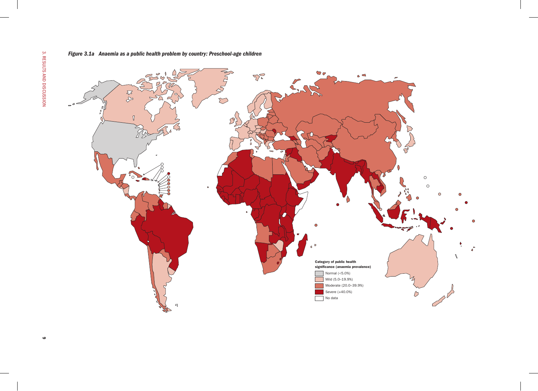*Figure 3.1a Anaemia as a public health problem by country: Preschool-age children*

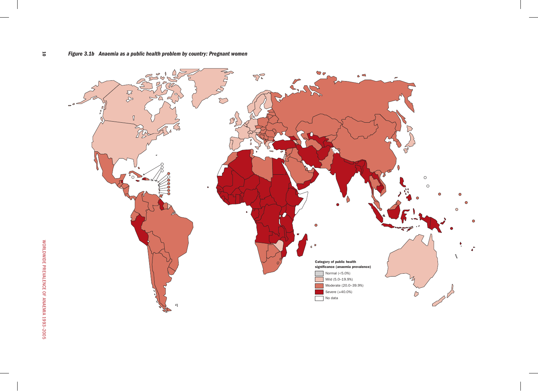

 $\overline{\phantom{0}}$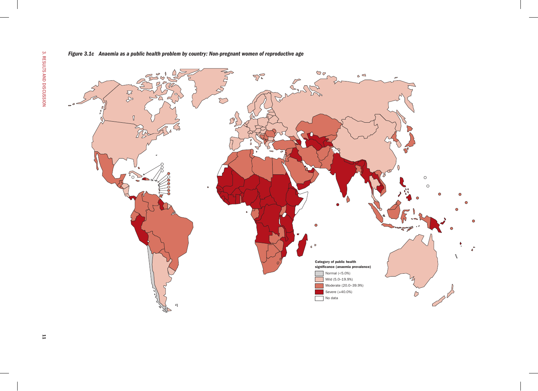*Figure 3.1c Anaemia as a public health problem by country: Non-pregnant women of reproductive age*

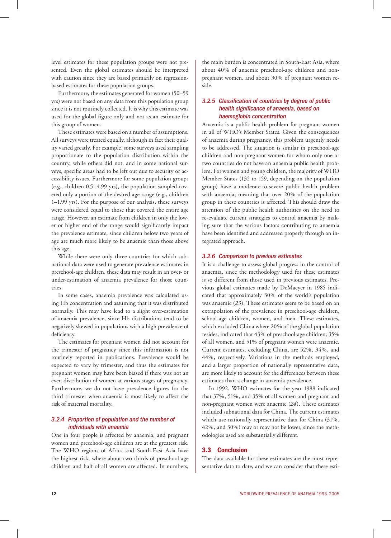level estimates for these population groups were not presented. Even the global estimates should be interpreted with caution since they are based primarily on regressionbased estimates for these population groups.

Furthermore, the estimates generated for women (50–59 yrs) were not based on any data from this population group since it is not routinely collected. It is why this estimate was used for the global figure only and not as an estimate for this group of women.

These estimates were based on a number of assumptions. All surveys were treated equally, although in fact their quality varied greatly. For example, some surveys used sampling proportionate to the population distribution within the country, while others did not, and in some national surveys, specific areas had to be left out due to security or accessibility issues. Furthermore for some population groups (e.g., children 0.5–4.99 yrs), the population sampled covered only a portion of the desired age range (e.g., children 1–1.99 yrs). For the purpose of our analysis, these surveys were considered equal to those that covered the entire age range. However, an estimate from children in only the lower or higher end of the range would significantly impact the prevalence estimate, since children below two years of age are much more likely to be anaemic than those above this age.

While there were only three countries for which subnational data were used to generate prevalence estimates in preschool-age children, these data may result in an over- or under-estimation of anaemia prevalence for those countries.

In some cases, anaemia prevalence was calculated using Hb concentration and assuming that it was distributed normally. This may have lead to a slight over-estimation of anaemia prevalence, since Hb distributions tend to be negatively skewed in populations with a high prevalence of deficiency.

The estimates for pregnant women did not account for the trimester of pregnancy since this information is not routinely reported in publications. Prevalence would be expected to vary by trimester, and thus the estimates for pregnant women may have been biased if there was not an even distribution of women at various stages of pregnancy. Furthermore, we do not have prevalence figures for the third trimester when anaemia is most likely to affect the risk of maternal mortality.

#### *3.2.4 Proportion of population and the number of individuals with anaemia*

One in four people is affected by anaemia, and pregnant women and preschool-age children are at the greatest risk. The WHO regions of Africa and South-East Asia have the highest risk, where about two thirds of preschool-age children and half of all women are affected. In numbers,

the main burden is concentrated in South-East Asia, where about 40% of anaemic preschool-age children and nonpregnant women, and about 30% of pregnant women reside.

#### *3.2.5 Classification of countries by degree of public health significance of anaemia, based on haemoglobin concentration*

Anaemia is a public health problem for pregnant women in all of WHO's Member States. Given the consequences of anaemia during pregnancy, this problem urgently needs to be addressed. The situation is similar in preschool-age children and non-pregnant women for whom only one or two countries do not have an anaemia public health problem. For women and young children, the majority of WHO Member States (132 to 159, depending on the population group) have a moderate-to-severe public health problem with anaemia; meaning that over 20% of the population group in these countries is affected. This should draw the attention of the public health authorities on the need to re-evaluate current strategies to control anaemia by making sure that the various factors contributing to anaemia have been identified and addressed properly through an integrated approach.

#### *3.2.6 Comparison to previous estimates*

It is a challenge to assess global progress in the control of anaemia, since the methodology used for these estimates is so different from those used in previous estimates. Previous global estimates made by DeMaeyer in 1985 indicated that approximately 30% of the world's population was anaemic (*23*). These estimates seem to be based on an extrapolation of the prevalence in preschool-age children, school-age children, women, and men. These estimates, which excluded China where 20% of the global population resides, indicated that 43% of preschool-age children, 35% of all women, and 51% of pregnant women were anaemic. Current estimates, excluding China, are 52%, 34%, and 44%, respectively. Variations in the methods employed, and a larger proportion of nationally representative data, are more likely to account for the differences between these estimates than a change in anaemia prevalence.

In 1992, WHO estimates for the year 1988 indicated that 37%, 51%, and 35% of all women and pregnant and non-pregnant women were anaemic (*24*). These estimates included subnational data for China. The current estimates which use nationally representative data for China (31%, 42%, and 30%) may or may not be lower, since the methodologies used are substantially different.

#### 3.3 Conclusion

The data available for these estimates are the most representative data to date, and we can consider that these esti-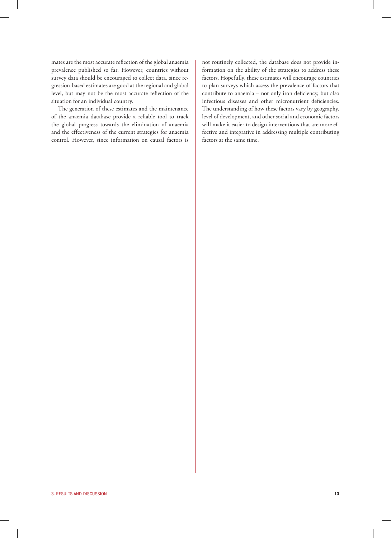mates are the most accurate reflection of the global anaemia prevalence published so far. However, countries without survey data should be encouraged to collect data, since regression-based estimates are good at the regional and global level, but may not be the most accurate reflection of the situation for an individual country.

The generation of these estimates and the maintenance of the anaemia database provide a reliable tool to track the global progress towards the elimination of anaemia and the effectiveness of the current strategies for anaemia control. However, since information on causal factors is

not routinely collected, the database does not provide information on the ability of the strategies to address these factors. Hopefully, these estimates will encourage countries to plan surveys which assess the prevalence of factors that contribute to anaemia – not only iron deficiency, but also infectious diseases and other micronutrient deficiencies. The understanding of how these factors vary by geography, level of development, and other social and economic factors will make it easier to design interventions that are more effective and integrative in addressing multiple contributing factors at the same time.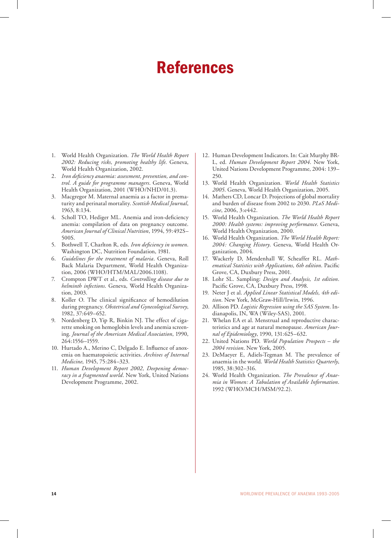### References

- 1. World Health Organization. *The World Health Report 2002: Reducing risks, promoting healthy life*. Geneva, World Health Organization, 2002.
- 2. *Iron deficiency anaemia: assessment, prevention, and control. A guide for programme managers*. Geneva, World Health Organization, 2001 (WHO/NHD/01.3).
- 3. Macgregor M. Maternal anaemia as a factor in prematurity and perinatal mortality. *Scottish Medical Journal*, 1963, 8:134.
- 4. Scholl TO, Hediger ML. Anemia and iron-deficiency anemia: compilation of data on pregnancy outcome. *American Journal of Clinical Nutrition*, 1994, 59:492S– 500S.
- 5. Bothwell T, Charlton R, eds. *Iron deficiency in women*. Washington DC, Nutrition Foundation, 1981.
- 6. *Guidelines for the treatment of malaria*. Geneva, Roll Back Malaria Department, World Health Organization, 2006 (WHO/HTM/MAL/2006.1108).
- 7. Crompton DWT et al., eds. *Controlling disease due to helminth infections*. Geneva, World Health Organization, 2003.
- 8. Koller O. The clinical significance of hemodilution during pregnancy. *Obstetrical and Gynecological Survey*, 1982, 37:649–652.
- Nordenberg D, Yip R, Binkin NJ. The effect of cigarette smoking on hemoglobin levels and anemia screening. *Journal of the American Medical Association*, 1990, 264:1556–1559.
- 10. Hurtado A., Merino C, Delgado E. Influence of anoxemia on haematopoietic activities. *Archives of Internal Medicine*, 1945, 75:284–323.
- 11. *Human Development Report 2002, Deepening democracy in a fragmented world*. New York, United Nations Development Programme, 2002.
- 12. Human Development Indicators. In: Cait Murphy BR-L, ed. *Human Development Report 2004*. New York, United Nations Development Programme, 2004: 139– 250.
- 13. World Health Organization. *World Health Statistics 2005*. Geneva, World Health Organization, 2005.
- 14. Mathers CD, Loncar D. Projections of global mortality and burden of disease from 2002 to 2030. *PLoS Medicine*, 2006, 3:e442.
- 15. World Health Organization. *The World Health Report 2000: Health systems: improving performance*. Geneva, World Health Organization, 2000.
- 16. World Health Organization. *The World Health Report: 2004: Changing History*. Geneva, World Health Organization, 2004.
- 17. Wackerly D, Mendenhall W, Scheaffer RL. *Mathematical Statistics with Applications, 6th edition*. Pacific Grove, CA, Duxbury Press, 2001.
- 18. Lohr SL. Sampling: *Design and Analysis, 1st edition*. Pacific Grove, CA, Duxbury Press, 1998.
- 19. Neter J et al. *Applied Linear Statistical Models, 4th edition*. New York, McGraw-Hill/Irwin, 1996.
- 20. Allison PD. *Logistic Regression using the SAS System*. Indianapolis, IN, WA (Wiley-SAS), 2001.
- 21. Whelan EA et al. Menstrual and reproductive characteristics and age at natural menopause. *American Journal of Epidemiology*, 1990, 131:625–632.
- 22. United Nations PD. *World Population Prospects the 2004 revision*. New York, 2005.
- 23. DeMaeyer E, Adiels-Tegman M. The prevalence of anaemia in the world. *World Health Statistics Quarterly*, 1985, 38:302–316.
- 24. World Health Organization. *The Prevalence of Anaemia in Women: A Tabulation of Available Information*. 1992 (WHO/MCH/MSM/92.2).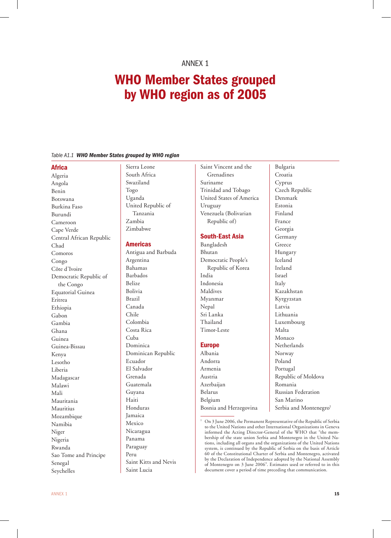### Annex 1

### WHO Member States grouped by WHO region as of 2005

#### *Table A1.1 WHO Member States grouped by WHO region*

#### Africa

Algeria Angola Benin Botswana Burkina Faso Burundi Cameroon Cape Verde Central African Republic Chad Comoros Congo Côte d'Ivoire Democratic Republic of the Congo Equatorial Guinea Eritrea Ethiopia Gabon Gambia Ghana Guinea Guinea-Bissau Kenya Lesotho Liberia Madagascar Malawi Mali Mauritania Mauritius Mozambique Namibia Niger Nigeria Rwanda Sao Tome and Principe Senegal Seychelles

Sierra Leone South Africa Swaziland Togo Uganda United Republic of Tanzania Zambia Zimbabwe

#### Americas

Antigua and Barbuda Argentina Bahamas Barbados Belize Bolivia Brazil Canada Chile Colombia Costa Rica Cuba Dominica Dominican Republic Ecuador El Salvador Grenada Guatemala Guyana Haiti Honduras Jamaica Mexico Nicaragua Panama Paraguay Peru Saint Kitts and Nevis Saint Lucia

Saint Vincent and the Grenadines Suriname Trinidad and Tobago United States of America Uruguay Venezuela (Bolivarian Republic of)

Bulgaria Croatia Cyprus

Czech Republic Denmark Estonia Finland France Georgia Germany Greece Hungary Iceland Ireland Israel Italy Kazakhstan Kyrgyzstan Latvia Lithuania Luxembourg Malta Monaco Netherlands

#### South-East Asia

Bangladesh Bhutan Democratic People's Republic of Korea India Indonesia Maldives Myanmar Nepal Sri Lanka Thailand Timor-Leste

#### **Europe**

| Albania                | Norway                             |
|------------------------|------------------------------------|
| Andorra                | Poland                             |
| Armenia                | Portugal                           |
| Austria                | Republic of Moldova                |
| Azerbaijan             | Romania                            |
| Belarus                | Russian Federation                 |
| Belgium                | San Marino                         |
| Bosnia and Herzegovina | Serbia and Montenegro <sup>1</sup> |
|                        |                                    |

<sup>&</sup>lt;sup>1</sup> On 3 June 2006, the Permanent Representative of the Republic of Serbia to the United Nations and other International Organizations in Geneva informed the Acting Director-General of the WHO that "the membership of the state union Serbia and Montenegro in the United Nations, including all organs and the organizations of the United Nations system, is continued by the Republic of Serbia on the basis of Article 60 of the Constitutional Charter of Serbia and Montenegro, activated by the Declaration of Independence adopted by the National Assembly of Montenegro on 3 June 2006". Estimates used or referred to in this document cover a period of time preceding that communication.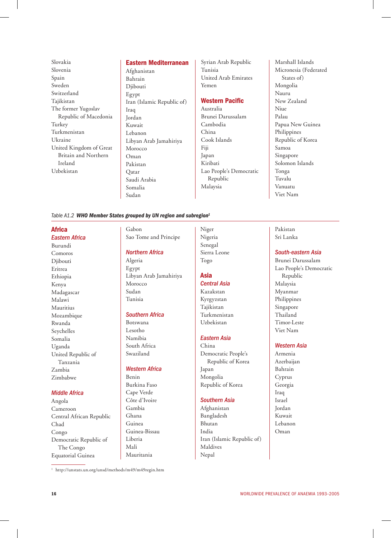Slovakia Slovenia Spain Sweden Switzerland Tajikistan The former Yugoslav Republic of Macedonia Turkey Turkmenistan Ukraine United Kingdom of Great Britain and Northern Ireland Uzbekistan

#### Eastern Mediterranean

Afghanistan Bahrain Diibouti Egypt Iran (Islamic Republic of) Iraq Jordan Kuwait Lebanon Libyan Arab Jamahiriya Morocco Oman Pakistan Qatar Saudi Arabia Somalia Sudan

Syrian Arab Republic Tunisia United Arab Emirates Yemen

### Western Pacific

Australia Brunei Darussalam Cambodia China Cook Islands Fiji Japan Kiribati Lao People's Democratic Republic Malaysia

Marshall Islands Micronesia (Federated States of) Mongolia Nauru New Zealand Niue Palau Papua New Guinea Philippines Republic of Korea Samoa Singapore Solomon Islands Tonga Tuvalu Vanuatu Viet Nam

#### *Table A1.2 WHO Member States grouped by UN region and subregion1*

#### Africa

*Eastern Africa* Burundi Comoros Djibouti Eritrea Ethiopia Kenya Madagascar Malawi Mauritius Mozambique Rwanda Seychelles Somalia Uganda United Republic of Tanzania Zambia Zimbabwe

#### *Middle Africa*

Angola Cameroon Central African Republic Chad Congo Democratic Republic of The Congo Equatorial Guinea

Gabon Sao Tome and Principe

#### *Northern Africa*

Algeria Egypt Libyan Arab Jamahiriya Morocco Sudan Tunisia

#### *Southern Africa*

Botswana Lesotho Namibia South Africa Swaziland

#### *Western Africa*

Benin Burkina Faso Cape Verde Côte d'Ivoire Gambia Ghana Guinea Guinea-Bissau Liberia Mali Mauritania

<sup>1</sup> http://unstats.un.org/unsd/methods/m49/m49regin.htm

Niger Nigeria Senegal Sierra Leone Togo

#### Asia

### *Central Asia*

Kazakstan Kyrgyzstan Tajikistan Turkmenistan Uzbekistan

#### *Eastern Asia*

China Democratic People's Republic of Korea Japan Mongolia Republic of Korea

#### *Southern Asia*

Afghanistan Bangladesh Bhutan India Iran (Islamic Republic of) Maldives Nepal

#### Pakistan Sri Lanka

#### *South-eastern Asia*

Brunei Darussalam Lao People's Democratic Republic Malaysia Myanmar Philippines Singapore Thailand Timor-Leste Viet Nam

#### *Western Asia*

Armenia Azerbaijan Bahrain Cyprus Georgia Iraq Israel Jordan Kuwait Lebanon Oman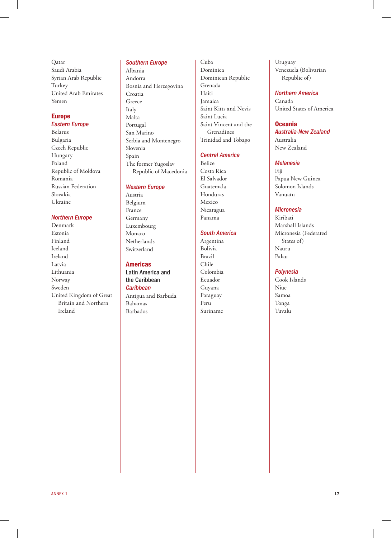Qatar Saudi Arabia Syrian Arab Republic Turkey United Arab Emirates Yemen

#### Europe *Eastern Europe*

Belarus Bulgaria Czech Republic Hungary Poland Republic of Moldova Romania Russian Federation Slovakia Ukraine

#### *Northern Europe*

Denmark Estonia Finland Iceland Ireland Latvia Lithuania Norway Sweden United Kingdom of Great Britain and Northern Ireland

#### *Southern Europe*

Albania Andorra Bosnia and Herzegovina Croatia Greece Italy Malta Portugal San Marino Serbia and Montenegro Slovenia Spain The former Yugoslav Republic of Macedonia

#### *Western Europe*

Austria Belgium France Germany Luxembourg Monaco Netherlands Switzerland

#### Americas

Latin America and the Caribbean *Caribbean* Antigua and Barbuda Bahamas Barbados

Cuba Dominica Dominican Republic Grenada Haiti Jamaica Saint Kitts and Nevis Saint Lucia Saint Vincent and the Grenadines Trinidad and Tobago

#### *Central America*

Belize Costa Rica El Salvador Guatemala Honduras Mexico Nicaragua Panama

#### *South America*

Argentina Bolivia Brazil Chile Colombia Ecuador Guyana Paraguay Peru Suriname

Uruguay Venezuela (Bolivarian Republic of)

#### *Northern America*

Canada United States of America

#### Oceania

*Australia-New Zealand* Australia New Zealand

#### *Melanesia*

Fiji Papua New Guinea Solomon Islands Vanuatu

#### *Micronesia*

Kiribati Marshall Islands Micronesia (Federated States of) Nauru Palau

#### *Polynesia*

Cook Islands Niue Samoa Tonga Tuvalu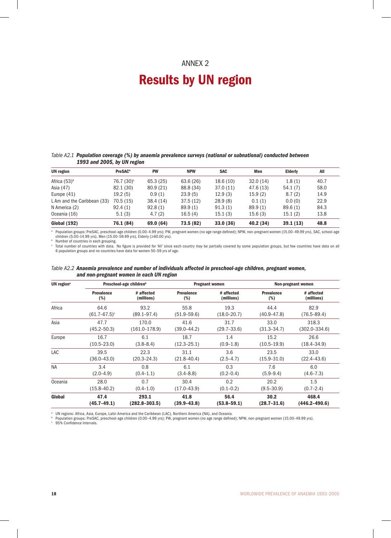### Annex 2

### Results by UN region

#### *Table A2.1 Population coverage (%) by anaemia prevalence surveys (national or subnational) conducted between 1993 and 2005, by UN region*

| <b>UN</b> region            | PreSAC <sup>a</sup>    | <b>PW</b> | <b>NPW</b> | <b>SAC</b> | Men       | <b>Elderly</b> | All  |
|-----------------------------|------------------------|-----------|------------|------------|-----------|----------------|------|
| Africa $(53)^b$             | 76.7 (30) <sup>c</sup> | 65.3(25)  | 63.6 (26)  | 18.6(10)   | 32.0(14)  | 1.8(1)         | 40.7 |
| Asia (47)                   | 82.1 (30)              | 80.9 (21) | 88.8 (34)  | 37.0(11)   | 47.6 (13) | 54.1(7)        | 58.0 |
| Europe $(41)$               | 19.2(5)                | 0.9(1)    | 23.9(5)    | 12.9(3)    | 15.9(2)   | 8.7(2)         | 14.9 |
| L Am and the Caribbean (33) | 70.5(15)               | 38.4(14)  | 37.5(12)   | 28.9(8)    | 0.1(1)    | 0.0(0)         | 22.9 |
| N America (2)               | 92.4(1)                | 92.8(1)   | 89.9(1)    | 91.3(1)    | 89.9(1)   | 89.6(1)        | 84.3 |
| Oceania (16)                | 5.1(3)                 | 4.7(2)    | 16.5(4)    | 15.1(3)    | 15.6(3)   | 15.1(2)        | 13.8 |
| <b>Global (192)</b>         | 76.1 (84)              | 69.0 (64) | 73.5 (82)  | 33.0(36)   | 40.2 (34) | 39.1(13)       | 48.8 |

a Population groups: PreSAC, preschool-age children (0.00–4.99 yrs); PW, pregnant women (no age range defined); NPW, non-pregnant women (15.00–49.99 yrs), SAC, school-age children (5.00–14.99 yrs), Men (15.00–59.99 yrs), Elderly (≥60.00 yrs).

**b** Number of countries in each grouping.

 $^{\circ}$  Total number of countries with data. No figure is provided for 'All' since each country may be partially covered by some population groups, but few countries have data on all 6 population groups and no countries have data for women 50–59 yrs of age.

#### *Table A2.2 Anaemia prevalence and number of individuals affected in preschool-age children, pregnant women, and non-pregnant women in each UN region*

| UN region <sup>a</sup> |                   | Preschool-age children <sup>b</sup> |                   | <b>Pregnant women</b> |                   | Non-pregnant women |
|------------------------|-------------------|-------------------------------------|-------------------|-----------------------|-------------------|--------------------|
|                        | <b>Prevalence</b> | # affected                          | <b>Prevalence</b> | # affected            | <b>Prevalence</b> | # affected         |
|                        | (%)               | (millions)                          | (%)               | (millions)            | (%)               | (millions)         |
| Africa                 | 64.6              | 93.2                                | 55.8              | 19.3                  | 44.4              | 82.9               |
|                        | $(61.7 - 67.5)^c$ | $(89.1 - 97.4)$                     | $(51.9 - 59.6)$   | $(18.0 - 20.7)$       | $(40.9 - 47.8)$   | $(76.5 - 89.4)$    |
| Asia                   | 47.7              | 170.0                               | 41.6              | 31.7                  | 33.0              | 318.3              |
|                        | $(45.2 - 50.3)$   | $(161.0 - 178.9)$                   | (39.0–44.2)       | $(29.7 - 33.6)$       | $(31.3 - 34.7)$   | $(302.0 - 334.6)$  |
| Europe                 | 16.7              | 6.1                                 | 18.7              | 1.4                   | 15.2              | 26.6               |
|                        | $(10.5 - 23.0)$   | $(3.8 - 8.4)$                       | $(12.3 - 25.1)$   | $(0.9 - 1.8)$         | $(10.5 - 19.9)$   | $(18.4 - 34.9)$    |
| LAC                    | 39.5              | 22.3                                | 31.1              | 3.6                   | 23.5              | 33.0               |
|                        | $(36.0 - 43.0)$   | $(20.3 - 24.3)$                     | $(21.8 - 40.4)$   | $(2.5 - 4.7)$         | $(15.9 - 31.0)$   | $(22.4 - 43.6)$    |
| <b>NA</b>              | 3.4               | 0.8                                 | 6.1               | 0.3                   | 7.6               | 6.0                |
|                        | $(2.0 - 4.9)$     | $(0.4 - 1.1)$                       | $(3.4 - 8.8)$     | $(0.2 - 0.4)$         | $(5.9 - 9.4)$     | $(4.6 - 7.3)$      |
| Oceania                | 28.0              | 0.7                                 | 30.4              | 0.2                   | 20.2              | 1.5                |
|                        | $(15.8 - 40.2)$   | $(0.4 - 1.0)$                       | $(17.0 - 43.9)$   | $(0.1 - 0.2)$         | $(9.5 - 30.9)$    | $(0.7 - 2.4)$      |
| Global                 | 47.4              | 293.1                               | 41.8              | 56.4                  | 30.2              | 468.4              |
|                        | $(45.7 - 49.1)$   | $(282.8 - 303.5)$                   | $(39.9 - 43.8)$   | $(53.8 - 59.1)$       | $(28.7 - 31.6)$   | $(446.2 - 490.6)$  |

° UN regions: Africa, Asia, Europe, Latin America and the Caribbean (LAC), Northern America (NA), and Oceania.<br><sup>b</sup> Population groups: PreSAC, preschool-age children (0.00–4.99 yrs); PW, pregnant women (no age range defined

<sup>c</sup> 95% Confidence Intervals.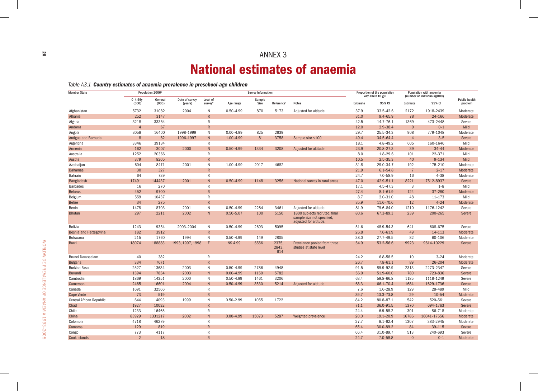### Annex 3 National estimates of anaemia

*Table A3.1 Country estimates of anaemia prevalence in preschool-age children*

| <b>Member State</b>      |                      | Population 2006 <sup>a</sup> |                           |                     |                | <b>Survey Information</b> |                        |                                                                                       |          | Proportion of the population<br>with $Hb < 110 g/L$ |                | Population with anaemia<br>(number of individuals)(000) |                                 |
|--------------------------|----------------------|------------------------------|---------------------------|---------------------|----------------|---------------------------|------------------------|---------------------------------------------------------------------------------------|----------|-----------------------------------------------------|----------------|---------------------------------------------------------|---------------------------------|
|                          | $0 - 4.99y$<br>(000) | General<br>(000)             | Date of survey<br>(years) | Level of<br>surveyb | Age range      | Sample<br>Size            | Reference <sup>c</sup> | <b>Notes</b>                                                                          | Estimate | 95% CI                                              | Estimate       | 95% CI                                                  | <b>Public health</b><br>problem |
| Afghanistan              | 5732                 | 31082                        | 2004                      | $\mathsf{N}$        | $0.50 - 4.99$  | 870                       | 5173                   | Adjusted for altitude                                                                 | 37.9     | $33.5 - 42.6$                                       | 2172           | 1918-2439                                               | Moderate                        |
| Albania                  | 252                  | 3147                         |                           | $\mathsf{R}$        |                |                           |                        |                                                                                       | 31.0     | $9.4 - 65.9$                                        | 78             | 24-166                                                  | Moderate                        |
| Algeria                  | 3218                 | 33354                        |                           | $\mathsf{R}$        |                |                           |                        |                                                                                       | 42.5     | 14.7-76.1                                           | 1369           | 473-2448                                                | Severe                          |
| Andorra                  | $\overline{4}$       | 67                           |                           | $\overline{R}$      |                |                           |                        |                                                                                       | 12.0     | $2.9 - 38.4$                                        | $\Omega$       | $0 - 1$                                                 | Mild                            |
| Angola                   | 3058                 | 16400                        | 1998-1999                 | N                   | $0.00 - 4.99$  | 825                       | 2839                   |                                                                                       | 29.7     | 25.5-34.3                                           | 908            | 779-1048                                                | Moderate                        |
| Antigua and Barbuda      | 8                    | 82                           | 1996-1997                 | N <sub>1</sub>      | 1.00-4.99      | 81                        | 3758                   | Sample size <100                                                                      | 49.4     | 34.5-64.4                                           | $\overline{4}$ | $3 - 5$                                                 | Severe                          |
| Argentina                | 3346                 | 39134                        |                           | R                   |                |                           |                        |                                                                                       | 18.1     | 4.8-49.2                                            | 605            | 160-1646                                                | Mild                            |
| Armenia                  | 162                  | 3007                         | 2000                      | N                   | $0.50 - 4.99$  | 1334                      | 3208                   | <b>Adjusted for altitude</b>                                                          | 23.9     | 20.8-27.3                                           | 39             | $34 - 44$                                               | Moderate                        |
| Australia                | 1252                 | 20366                        |                           | ${\sf R}$           |                |                           |                        |                                                                                       | 8.0      | $1.8 - 29.6$                                        | 101            | 22-371                                                  | Mild                            |
| Austria                  | 379                  | 8205                         |                           | $\overline{R}$      |                |                           |                        |                                                                                       | 10.5     | $2.5 - 35.3$                                        | 40             | $9 - 134$                                               | Mild                            |
| Azerbaijan               | 604                  | 8471                         | 2001                      | N                   | 1.00-4.99      | 2017                      | 4682                   |                                                                                       | 31.8     | 29.0-34.7                                           | 192            | 175-210                                                 | Moderate                        |
| <b>Bahamas</b>           | 30                   | 327                          |                           | $\mathsf{R}$        |                |                           |                        |                                                                                       | 21.9     | $6.1 - 54.8$                                        | $\overline{7}$ | $2 - 17$                                                | Moderate                        |
| <b>Bahrain</b>           | 64                   | 739                          |                           | R                   |                |                           |                        |                                                                                       | 24.7     | $7.0 - 58.9$                                        | 16             | $4 - 38$                                                | Moderate                        |
| Bangladesh               | 17491                | 144437                       | 2001                      | N                   | $0.50 - 4.99$  | 1148                      | 3256                   | National survey in rural areas                                                        | 47.0     | 42.9-51.1                                           | 8221           | 7512-8937                                               | Severe                          |
| <b>Barbados</b>          | 16                   | 270                          |                           | $\mathsf{R}$        |                |                           |                        |                                                                                       | 17.1     | $4.5 - 47.3$                                        | 3              | $1 - 8$                                                 | Mild                            |
| <b>Belarus</b>           | 452                  | 9700                         |                           | $\mathsf{R}$        |                |                           |                        |                                                                                       | 27.4     | $8.1 - 61.9$                                        | 124            | 37-280                                                  | Moderate                        |
| Belgium                  | 559                  | 10437                        |                           | $\mathsf{R}$        |                |                           |                        |                                                                                       | 8.7      | $2.0 - 31.0$                                        | 48             | $11 - 173$                                              | Mild                            |
| <b>Belize</b>            | 34                   | 275                          |                           | R                   |                |                           |                        |                                                                                       | 35.9     | 11.6-70.6                                           | 12             | $4 - 24$                                                | Moderate                        |
| Benin                    | 1478                 | 8703                         | 2001                      | N                   | $0.50 - 4.99$  | 2284                      | 3461                   | Adjusted for altitude                                                                 | 81.9     | 79.6-84.0                                           | 1210           | 1176-1242                                               | Severe                          |
| <b>Bhutan</b>            | 297                  | 2211                         | 2002                      | N                   | $0.50 - 5.07$  | 100                       | 5150                   | 1800 subjects recruted, final<br>sample size not specified,<br>adjusted for altitude. | 80.6     | 67.3-89.3                                           | 239            | 200-265                                                 | Severe                          |
| <b>Bolivia</b>           | 1243                 | 9354                         | 2003-2004                 | N                   | $0.50 - 4.99$  | 2693                      | 5095                   |                                                                                       | 51.6     | 48.9-54.3                                           | 641            | 608-675                                                 | Severe                          |
| Bosnia and Herzegovina   | 182                  | 3912                         |                           | R                   |                |                           |                        |                                                                                       | 26.8     | $7.6 - 61.9$                                        | 49             | 14-113                                                  | Moderate                        |
| Botswana                 | 215                  | 1760                         | 1994                      | N                   | $0.50 - 4.99$  | 149                       | 2805                   |                                                                                       | 38.0     | 27.7-49.5                                           | 82             | 60-106                                                  | Moderate                        |
| <b>Brazil</b>            | 18074                | 188883                       | 1993, 1997, 1998          | F                   | <b>NS 4.99</b> | 6556                      | 2375.<br>2843.<br>614  | Prevelance pooled from three<br>studies at state level                                | 54.9     | 53.2-56.6                                           | 9923           | 9614-10229                                              | Severe                          |
| Brunei Darussalam        | 40                   | 382                          |                           | R                   |                |                           |                        |                                                                                       | 24.2     | $6.8 - 58.5$                                        | 10             | $3 - 24$                                                | Moderate                        |
| <b>Bulgaria</b>          | 334                  | 7671                         |                           | $\overline{R}$      |                |                           |                        |                                                                                       | 26.7     | $7.8 - 61.1$                                        | 89             | $26 - 204$                                              | Moderate                        |
| Burkina Faso             | 2527                 | 13634                        | 2003                      | N                   | $0.50 - 4.99$  | 2786                      | 4948                   |                                                                                       | 91.5     | 89.9-92.9                                           | 2313           | 2273-2347                                               | Severe                          |
| <b>Burundi</b>           | 1394                 | 7834                         | 2003                      | N                   | $0.00 - 4.99$  | 1150                      | 5782                   |                                                                                       | 56.0     | $51.9 - 60.0$                                       | 780            | 723-836                                                 | Severe                          |
| Cambodia                 | 1869                 | 14351                        | 2000                      | N                   | $0.50 - 4.99$  | 1461                      | 3206                   |                                                                                       | 63.4     | 59.8-66.8                                           | 1185           | 1118-1249                                               | Severe                          |
| Cameroon                 | 2465                 | 16601                        | 2004                      | N                   | $0.50 - 4.99$  | 3530                      | 5214                   | Adjusted for altitude                                                                 | 68.3     | 66.1-70.4                                           | 1684           | 1629-1736                                               | Severe                          |
| Canada                   | 1691                 | 32566                        |                           | $\mathsf{R}$        |                |                           |                        |                                                                                       | 7.6      | $1.6 - 28.9$                                        | 129            | 28-489                                                  | Mild                            |
| Cape Verde               | 73                   | 519                          |                           | $\mathsf{R}$        |                |                           |                        |                                                                                       | 39.7     | 13.3-73.8                                           | 29             | $10 - 54$                                               | Moderate                        |
| Central African Republic | 644                  | 4093                         | 1999                      | N                   | $0.50 - 2.99$  | 1055                      | 1722                   |                                                                                       | 84.2     | 80.8-87.1                                           | 542            | 520-561                                                 | Severe                          |
| Chad                     | 1927                 | 10032                        |                           | R                   |                |                           |                        |                                                                                       | 71.1     | 36.0-91.5                                           | 1370           | 694-1763                                                | Severe                          |
| Chile                    | 1233                 | 16465                        |                           | $\mathsf{R}$        |                |                           |                        |                                                                                       | 24.4     | 6.9-58.2                                            | 301            | 86-718                                                  | Moderate                        |
| China                    | 83929                | 1331217                      | 2002                      | N                   | $0.00 - 4.99$  | 15073                     | 5287                   | Weighted prevalence                                                                   | 20.0     | 19.1-20.9                                           | 16786          | 16041-17556                                             | Moderate                        |
| Colombia                 | 4718                 | 46279                        |                           | $\mathsf{R}$        |                |                           |                        |                                                                                       | 27.7     | $8.1 - 62.4$                                        | 1307           | 383-2945                                                | Moderate                        |
| Comoros                  | 129                  | 819                          |                           | R                   |                |                           |                        |                                                                                       | 65.4     | 30.0-89.2                                           | 84             | $39 - 115$                                              | Severe                          |
| Congo                    | 773                  | 4117                         |                           | $\mathsf{R}$        |                |                           |                        |                                                                                       | 66.4     | 31.0-89.7                                           | 513            | 240-693                                                 | Severe                          |
| <b>Cook Islands</b>      | $\mathfrak{D}$       | 18                           |                           | $\overline{R}$      |                |                           |                        |                                                                                       | 24.7     | $7.0 - 58.8$                                        | $\Omega$       | $0 - 1$                                                 | Moderate                        |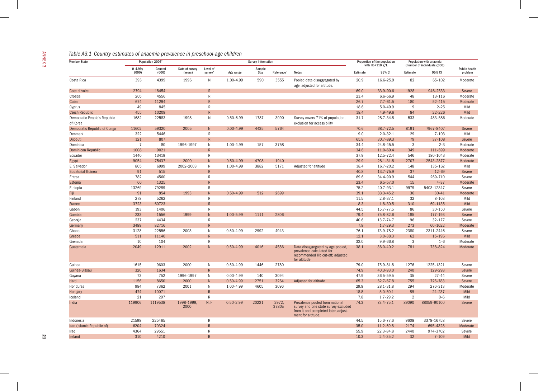|  |  | Table A3.1 Country estimates of anaemia prevalence in preschool-age children |
|--|--|------------------------------------------------------------------------------|
|  |  |                                                                              |

| <b>Member State</b>                      |                      | Population 2006 <sup>a</sup> |                           |                     |               | <b>Survey Information</b> |                        |                                                                                                                                       |          | Proportion of the population<br>with $Hb < 110$ g/L |                | Population with anaemia<br>(number of individuals)(000) |                                 |
|------------------------------------------|----------------------|------------------------------|---------------------------|---------------------|---------------|---------------------------|------------------------|---------------------------------------------------------------------------------------------------------------------------------------|----------|-----------------------------------------------------|----------------|---------------------------------------------------------|---------------------------------|
|                                          | $0 - 4.99y$<br>(000) | General<br>(000)             | Date of survey<br>(years) | Level of<br>surveyb | Age range     | Sample<br>Size            | Reference <sup>c</sup> | <b>Notes</b>                                                                                                                          | Estimate | 95% CI                                              | Estimate       | 95% CI                                                  | <b>Public health</b><br>problem |
| Costa Rica                               | 393                  | 4399                         | 1996                      | $\mathsf{N}$        | 1.00-4.99     | 590                       | 3555                   | Pooled data disaggregated by<br>age, adjusted for altitude.                                                                           | 20.9     | 16.6-25.9                                           | 82             | 65-102                                                  | Moderate                        |
| Cote d'Ivoire                            | 2794                 | 18454                        |                           | $\overline{R}$      |               |                           |                        |                                                                                                                                       | 69.0     | 33.9-90.6                                           | 1928           | 946-2533                                                |                                 |
| Croatia                                  | 205                  | 4556                         |                           | $\mathsf{R}$        |               |                           |                        |                                                                                                                                       | 23.4     | 6.6-56.9                                            | 48             | 13-116                                                  | Moderate                        |
| Cuba                                     | 674                  | 11294                        |                           | $\overline{R}$      |               |                           |                        |                                                                                                                                       | 26.7     | $7.7 - 61.5$                                        | 180            | $52 - 415$                                              | Moderate                        |
| Cyprus                                   | 49                   | 845                          |                           | $\overline{R}$      |               |                           |                        |                                                                                                                                       | 18.6     | $5.0 - 49.9$                                        | 9              | $2 - 25$                                                |                                 |
| <b>Czech Republic</b>                    | 455                  | 10209                        |                           | $\overline{R}$      |               |                           |                        |                                                                                                                                       | 18.4     | $4.9 - 49.6$                                        | 84             | $22 - 226$                                              |                                 |
| Democratic People's Republic<br>of Korea | 1682                 | 22583                        | 1998                      | $\mathsf{N}$        | $0.50 - 6.99$ | 1787                      | 3090                   | Survey covers 71% of population,<br>exclusion for accessibility                                                                       | 31.7     | 28.7-34.8                                           | 533            | 483-586                                                 |                                 |
| <b>Democratic Republic of Congo</b>      | 11602                | 59320                        | 2005                      | $\mathsf{N}$        | $0.00 - 4.99$ | 4435                      | 5764                   |                                                                                                                                       | 70.6     | 68.7-72.5                                           | 8191           | 7967-8407                                               |                                 |
| Denmark                                  | 322                  | 5446                         |                           | $\mathsf R$         |               |                           |                        |                                                                                                                                       | 9.0      | $2.0 - 32.1$                                        | 29             | $7 - 103$                                               |                                 |
| Djibouti                                 | 121                  | 807                          |                           | $\mathsf{R}$        |               |                           |                        |                                                                                                                                       | 65.8     | 30.7-89.3                                           | 79             | 37-108                                                  |                                 |
| Dominica                                 | $\overline{7}$       | 80                           | 1996-1997                 | $\mathsf{N}$        | 1.00-4.99     | 157                       | 3758                   |                                                                                                                                       | 34.4     | 24.8-45.5                                           | 3              | $2 - 3$                                                 |                                 |
| <b>Dominican Republic</b>                | 1008                 | 9021                         |                           | ${\sf R}$           |               |                           |                        |                                                                                                                                       | 34.6     | 11.0-69.4                                           | 349            | 111-699                                                 |                                 |
| Ecuador                                  | 1440                 | 13419                        |                           | $\mathsf{R}$        |               |                           |                        |                                                                                                                                       | 37.9     | 12.5-72.4                                           | 546            | 180-1043                                                |                                 |
| Egypt                                    | 9054                 | 75437                        | 2000                      | $\overline{N}$      | $0.50 - 4.99$ | 4708                      | 1940                   |                                                                                                                                       | 29.9     | 28.1-31.8                                           | 2707           | 2543-2877                                               | Moderate                        |
| El Salvador                              | 805                  | 6999                         | 2002-2003                 | $\mathsf{N}$        | 1.00-4.99     | 3882                      | 5171                   | Adjusted for altitude                                                                                                                 | 18.4     | 16.7-20.2                                           | 148            | 135-162                                                 |                                 |
| <b>Equatorial Guinea</b>                 | 91                   | 515                          |                           | $\mathsf{R}$        |               |                           |                        |                                                                                                                                       | 40.8     | 13.7-75.9                                           | 37             | $12 - 69$                                               |                                 |
| Eritrea                                  | 782                  | 4560                         |                           | $\mathsf R$         |               |                           |                        |                                                                                                                                       | 69.6     | 34.4-90.9                                           | 544            | 269-710                                                 |                                 |
| Estonia                                  | 66                   | 1325                         |                           | $\overline{R}$      |               |                           |                        |                                                                                                                                       | 23.4     | $6.5 - 57.0$                                        | 15             | $4 - 37$                                                |                                 |
| Ethiopia                                 | 13269                | 79289                        |                           | $\mathsf{R}$        |               |                           |                        |                                                                                                                                       | 75.2     | 40.7-93.1                                           | 9979           | 5403-12347                                              |                                 |
| Fiji                                     | 91                   | 854                          | 1993                      | $\mathsf{N}$        | $0.50 - 4.99$ | 512                       | 2699                   |                                                                                                                                       | 39.1     | 33.3-45.2                                           | 36             | $30 - 41$                                               |                                 |
| Finland                                  | 278                  | 5262                         |                           | $\mathsf{R}$        |               |                           |                        |                                                                                                                                       | 11.5     | $2.8 - 37.1$                                        | 32             | $8 - 103$                                               |                                 |
| France                                   | 3723                 | 60723                        |                           | $\mathsf{R}$        |               |                           |                        |                                                                                                                                       | 8.3      | $1.8 - 30.5$                                        | 310            | 69-1135                                                 |                                 |
| Gabon                                    | 193                  | 1406                         |                           | ${\sf R}$           |               |                           |                        |                                                                                                                                       | 44.5     | 15.7-77.5                                           | 86             | $30 - 150$                                              |                                 |
| Gambia                                   | 233                  | 1556                         | 1999                      | ${\sf N}$           | 1.00-5.99     | 1111                      | 2806                   |                                                                                                                                       | 79.4     | 75.8-82.6                                           | 185            | 177-193                                                 |                                 |
| Georgia                                  | 237                  | 4434                         |                           | $\mathsf{R}$        |               |                           |                        |                                                                                                                                       | 40.6     | 13.7-74.7                                           | 96             | $32 - 177$                                              |                                 |
| Germany                                  | 3489                 | 82716                        |                           | $\mathsf{R}$        |               |                           |                        |                                                                                                                                       | 7.8      | $1.7 - 29.3$                                        | 273            | 60-1022                                                 |                                 |
| Ghana                                    | 3128                 | 22556                        | 2003                      | N                   | $0.50 - 4.99$ | 2992                      | 4943                   |                                                                                                                                       | 76.1     | 73.9-78.2                                           | 2380           | 2311-2446                                               |                                 |
| Greece                                   | 511                  | 11140                        |                           | $\mathsf{R}$        |               |                           |                        |                                                                                                                                       | 12.1     | $3.0 - 38.3$                                        | 62             | 15-196                                                  |                                 |
| Grenada                                  | 10                   | 104                          |                           | $\mathsf{R}$        |               |                           |                        |                                                                                                                                       | 32.0     | $9.9 - 66.8$                                        | $\overline{3}$ | $1 - 6$                                                 | Moderate                        |
| Guatemala                                | 2049                 | 12911                        | 2002                      | N                   | $0.50 - 4.99$ | 4016                      | 4586                   | Data disaggregated by age pooled,<br>prevalence calculated for<br>recommended Hb cut-off; adjusted<br>for altitude                    | 38.1     | 36.0-40.2                                           | 781            | 738-824                                                 | Moderate                        |
| Guinea                                   | 1615                 | 9603                         | 2000                      | N                   | $0.50 - 4.99$ | 1446                      | 2780                   |                                                                                                                                       | 79.0     | 75.9-81.8                                           | 1276           | 1225-1321                                               |                                 |
| Guinea-Bissau                            | 320                  | 1634                         |                           | $\overline{R}$      |               |                           |                        |                                                                                                                                       | 74.9     | 40.3-93.0                                           | 240            | 129-298                                                 |                                 |
| Guyana                                   | 73                   | 752                          | 1996-1997                 | N                   | $0.00 - 4.99$ | 140                       | 3094                   |                                                                                                                                       | 47.9     | 36.5-59.5                                           | 35             | $27 - 44$                                               |                                 |
| Haiti                                    | 1156                 | 8650                         | 2000                      | N                   | $0.50 - 4.99$ | 2751                      | 3264                   | Adjusted for altitude                                                                                                                 | 65.3     | 62.7-67.8                                           | 755            | 725-783                                                 |                                 |
| Honduras                                 | 984                  | 7362                         | 2001                      | $\mathsf{N}$        | 1.00-4.99     | 4605                      | 3096                   |                                                                                                                                       | 29.9     | 28.1-31.8                                           | 294            | 276-313                                                 | Moderate                        |
| Hungary                                  | 474                  | 10071                        |                           | $\mathsf{R}$        |               |                           |                        |                                                                                                                                       | 18.8     | $5.0 - 50.1$                                        | 89             | 24-237                                                  |                                 |
| Iceland                                  | 21                   | 297                          |                           | $\mathsf{R}$        |               |                           |                        |                                                                                                                                       | 7.8      | $1.7 - 29.2$                                        | 2              | $0 - 6$                                                 |                                 |
| India                                    | 119906               | 1119538                      | 1998-1999,<br>2000        | N, F                | $0.50 - 2.99$ | 20221                     | 2972,<br>3780a         | Prevalence pooled from national<br>survey and one state survey excluded<br>from it and completed later, adjust-<br>ment for altitude. | 74.3     | 73.4-75.1                                           | 89090          | 88059-90100                                             |                                 |
| Indonesia                                | 21598                | 225465                       |                           | ${\sf R}$           |               |                           |                        |                                                                                                                                       | 44.5     | 15.6-77.6                                           | 9608           | 3378-16758                                              |                                 |
| Iran (Islamic Republic of)               | 6204                 | 70324                        |                           | $\overline{R}$      |               |                           |                        |                                                                                                                                       | 35.0     | 11.2-69.8                                           | 2174           | 695-4328                                                | Moderate                        |
| Iraq                                     | 4364                 | 29551                        |                           | R                   |               |                           |                        |                                                                                                                                       | 55.9     | 22.3-84.8                                           | 2440           | 974-3702                                                |                                 |
| Ireland                                  | 310                  | 4210                         |                           | $\overline{R}$      |               |                           |                        |                                                                                                                                       | 10.3     | $2.4 - 35.2$                                        | 32             | $7 - 109$                                               |                                 |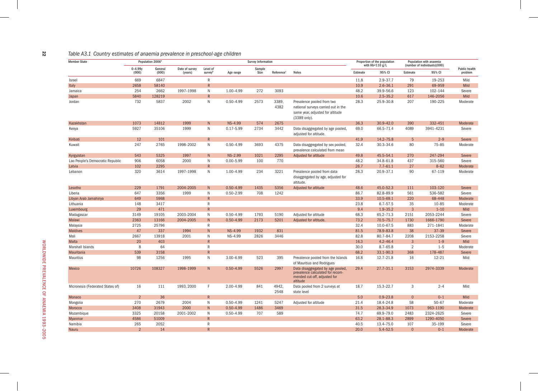#### *Table A3.1 Country estimates of anaemia prevalence in preschool-age children*

| <b>Member State</b>              |                | Population 2006 <sup>a</sup> |                |                |                | <b>Survey Information</b> |                        |                                                                                                                       |          | Proportion of the population |                | Population with anaemia      |                      |
|----------------------------------|----------------|------------------------------|----------------|----------------|----------------|---------------------------|------------------------|-----------------------------------------------------------------------------------------------------------------------|----------|------------------------------|----------------|------------------------------|----------------------|
|                                  | $0 - 4.99v$    | General                      | Date of survey | Level of       |                | Sample                    |                        |                                                                                                                       |          | with $Hb < 110 g/L$          |                | (number of individuals)(000) | <b>Public health</b> |
|                                  | (000)          | (000)                        | (years)        | surveyb        | Age range      | Size                      | Reference <sup>c</sup> | <b>Notes</b>                                                                                                          | Estimate | 95% CI                       | Estimate       | 95% CI                       | problem              |
| Israel                           | 669            | 6847                         |                | R              |                |                           |                        |                                                                                                                       | 11.8     | $2.9 - 37.7$                 | 79             | 19-253                       | Mild                 |
| Italy                            | 2658           | 58140                        |                | R              |                |                           |                        |                                                                                                                       | 10.9     | $2.6 - 36.1$                 | 291            | 69-959                       | Mild                 |
| Jamaica                          | 254            | 2662                         | 1997-1998      | $\mathsf{N}$   | 1.00-4.99      | 272                       | 3093                   |                                                                                                                       | 48.2     | 39.9-56.6                    | 123            | 102-144                      | Severe               |
| Japan                            | 5840           | 128219                       |                | R              |                |                           |                        |                                                                                                                       | 10.6     | $2.5 - 35.2$                 | 617            | 146-2056                     | Mild                 |
| Jordan                           | 732            | 5837                         | 2002           | N              | $0.50 - 4.99$  | 2573                      | 3389,<br>4382          | Prevalence pooled from two<br>national surveys carried out in the<br>same year, adjusted for altitude<br>(3389 only). | 28.3     | 25.9-30.8                    | 207            | 190-225                      | Moderate             |
| Kazakhstan                       | 1073           | 14812                        | 1999           | N              | <b>NS-4.99</b> | 574                       | 2675                   |                                                                                                                       | 36.3     | $30.9 - 42.0$                | 390            | 332-451                      | Moderate             |
| Kenya                            | 5927           | 35106                        | 1999           | N              | $0.17 - 5.99$  | 2734                      | 3442                   | Data disaggregated by age pooled,<br>adjusted for altitude.                                                           | 69.0     | 66.5-71.4                    | 4089           | 3941-4231                    | Severe               |
| Kiribati                         | 12             | 101                          |                | $\overline{R}$ |                |                           |                        |                                                                                                                       | 41.9     | $14.2 - 75.8$                | 5              | $2 - 9$                      | Severe               |
| Kuwait                           | 247            | 2765                         | 1998-2002      | N              | $0.50 - 4.99$  | 3693                      | 4375                   | Data disaggregated by sex pooled,<br>prevalence calculated from mean                                                  | 32.4     | $30.3 - 34.6$                | 80             | 75-85                        | Moderate             |
| Kyrgyzstan                       | 543            | 5325                         | 1997           | N              | <b>NS-2.99</b> | 1021                      | 2295                   | Adjusted for altitude                                                                                                 | 49.8     | 45.5-54.1                    | 270            | 247-294                      | Severe               |
| Lao People's Democratic Republic | 906            | 6058                         | 2000           | $\mathsf{N}$   | $0.00 - 5.99$  | 100                       | 770                    |                                                                                                                       | 48.2     | 34.8-61.8                    | 437            | 315-560                      | Severe               |
| Latvia                           | 102            | 2295                         |                | $\overline{R}$ |                |                           |                        |                                                                                                                       | 26.7     | $7.7 - 61.1$                 | 27             | $8 - 62$                     | Moderate             |
| Lebanon                          | 320            | 3614                         | 1997-1998      | N              | 1.00-4.99      | 234                       | 3221                   | Prevalence pooled from data<br>disaggregated by age, adjusted for<br>altitude.                                        | 28.3     | 20.9-37.1                    | 90             | 67-119                       | Moderate             |
| Lesotho                          | 229            | 1791                         | 2004-2005      | N <sub>1</sub> | $0.50 - 4.99$  | 1435                      | 5356                   | Adjusted for altitude                                                                                                 | 48.6     | 45.0-52.3                    | 111            | 103-120                      | Severe               |
| Liberia                          | 647            | 3356                         | 1999           | $\mathsf{N}$   | $0.50 - 2.99$  | 708                       | 1242                   |                                                                                                                       | 86.7     | 82.8-89.9                    | 561            | 536-582                      | Severe               |
| Libyan Arab Jamahiriya           | 649            | 5968                         |                | $\overline{R}$ |                |                           |                        |                                                                                                                       | 33.9     | $10.5 - 69.1$                | 220            | 68-448                       | Moderate             |
| Lithuania                        | 148            | 3417                         |                | $\mathsf{R}$   |                |                           |                        |                                                                                                                       | 23.8     | $6.7 - 57.5$                 | 35             | $10 - 85$                    | Moderate             |
| Luxembourg                       | 29             | 471                          |                | $\overline{R}$ |                |                           |                        |                                                                                                                       | 9.4      | $1.9 - 35.2$                 | $\overline{3}$ | $1 - 10$                     | Mild                 |
| Madagascar                       | 3149           | 19105                        | 2003-2004      | N              | $0.50 - 4.99$  | 1793                      | 5190                   | Adjusted for altitude                                                                                                 | 68.3     | 65.2-71.3                    | 2151           | 2053-2244                    | Severe               |
| Malawi                           | 2363           | 13166                        | 2004-2005      | N              | $0.50 - 4.99$  | 2173                      | 5201                   | Adjusted for altitude.                                                                                                | 73.2     | $70.5 - 75.7$                | 1730           | 1666-1790                    | Severe               |
| Malaysia                         | 2725           | 25796                        |                | $\mathsf{R}$   |                |                           |                        |                                                                                                                       | 32.4     | 10.0-67.5                    | 883            | 271-1841                     | Moderate             |
| <b>Maldives</b>                  | 47             | 337                          | 1994           | N              | <b>NS-4.99</b> | 1932                      | 831                    |                                                                                                                       | 81.5     | 78.9-83.8                    | 38             | $37 - 39$                    | Severe               |
| Mali                             | 2667           | 13918                        | 2001           | $\mathsf{N}$   | NS-4.99        | 2826                      | 3446                   |                                                                                                                       | 82.8     | 80.7-84.7                    | 2208           | 2153-2258                    | Severe               |
| Malta                            | 20             | 403                          |                | R              |                |                           |                        |                                                                                                                       | 16.3     | $4.2 - 46.4$                 | 3              | $1 - 9$                      | Mild                 |
| Marshall Islands                 | 8              | 64                           |                | $\mathsf R$    |                |                           |                        |                                                                                                                       | 30.0     | $8.7 - 65.8$                 | 2              | $1 - 5$                      | Moderate             |
| Mauritania                       | 539            | 3158                         |                | R              |                |                           |                        |                                                                                                                       | 68.2     | $33.1 - 90.3$                | 368            | 178-487                      | Severe               |
| Mauritius                        | 98             | 1256                         | 1995           | N              | $3.00 - 6.99$  | 523                       | 395                    | Prevalence pooled from the Islands<br>of Mauritius and Rodrigues                                                      | 16.8     | 12.7-21.8                    | 16             | $12 - 21$                    | Mild                 |
| <b>Mexico</b>                    | 10726          | 108327                       | 1998-1999      | N              | $0.50 - 4.99$  | 5526                      | 2997                   | Data disaggregated by age pooled,<br>prevalence calculated for recom-<br>mended cut-off, adjusted for<br>altitude     | 29.4     | 27.7-31.1                    | 3153           | 2974-3339                    | Moderate             |
| Micronesia (Federated States of) | 16             | 111                          | 1993, 2000     | F.             | 2.00-4.99      | 841                       | 4942,<br>2548          | Data pooled from 2 surveys at<br>state level                                                                          | 18.7     | 15.3-22.7                    | 3              | $2 - 4$                      | Mild                 |
| Monaco                           | $\overline{2}$ | 36                           |                | $\overline{R}$ |                |                           |                        |                                                                                                                       | 5.0      | $0.9 - 23.8$                 | $\mathbf{0}$   | $0 - 1$                      | Mild                 |
| Mongolia                         | 270            | 2679                         | 2004           | N              | $0.50 - 4.99$  | 1241                      | 5247                   | Adjusted for altitude                                                                                                 | 21.4     | 18.4-24.8                    | 58             | $50 - 67$                    | Moderate             |
| Morocco                          | 3408           | 31943                        | 2000           | N              | $0.50 - 4.99$  | 1486                      | 3469                   |                                                                                                                       | 31.5     | 28.3-34.9                    | 1073           | 963-1190                     | Moderate             |
| Mozambique                       | 3325           | 20158                        | 2001-2002      | N              | $0.50 - 4.99$  | 707                       | 589                    |                                                                                                                       | 74.7     | 69.9-79.0                    | 2483           | 2324-2625                    | Severe               |
| Myanmar                          | 4586           | 51009                        |                | $\overline{R}$ |                |                           |                        |                                                                                                                       | 63.2     | 28.1-88.3                    | 2899           | 1290-4050                    | Severe               |
| Namibia                          | 265            | 2052                         |                | ${\sf R}$      |                |                           |                        |                                                                                                                       | 40.5     | 13.4-75.0                    | 107            | 35-199                       | Severe               |
| <b>Nauru</b>                     | $\mathfrak{D}$ | 14                           |                | $\overline{R}$ |                |                           |                        |                                                                                                                       | 20.0     | $5.4 - 52.5$                 | $\Omega$       | $0 - 1$                      | Moderate             |

22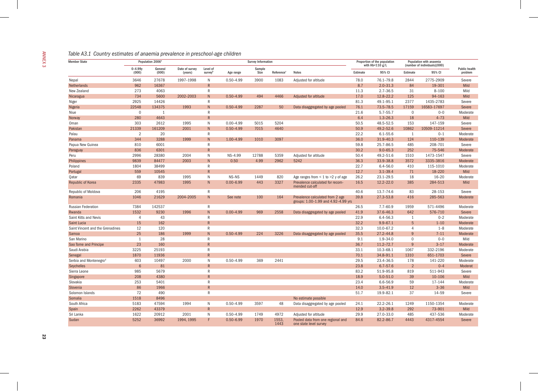| <b>Member State</b>              |                      | Population 2006 <sup>a</sup> |                           |                                        |               | <b>Survey Information</b> |                        |                                                                         |          | Proportion of the population<br>with $Hb < 110 g/L$ |                | Population with anaemia<br>(number of individuals)(000) |  |
|----------------------------------|----------------------|------------------------------|---------------------------|----------------------------------------|---------------|---------------------------|------------------------|-------------------------------------------------------------------------|----------|-----------------------------------------------------|----------------|---------------------------------------------------------|--|
|                                  | $0 - 4.99v$<br>(000) | General<br>(000)             | Date of survey<br>(years) | Level of<br><b>survey</b> <sup>b</sup> | Age range     | Sample<br>Size            | Reference <sup>®</sup> | <b>Notes</b>                                                            | Estimate | 95% CI                                              | Estimate       | 95% CI                                                  |  |
| Nepal                            | 3646                 | 27678                        | 1997-1998                 | N                                      | $0.50 - 4.99$ | 3900                      | 1083                   | Adjusted for altitude                                                   | 78.0     | 76.1-79.8                                           | 2844           | 2775-2909                                               |  |
| Netherlands                      | 962                  | 16367                        |                           | $\overline{R}$                         |               |                           |                        |                                                                         | 8.7      | $2.0 - 31.3$                                        | 84             | 19-301                                                  |  |
| New Zealand                      | 273                  | 4063                         |                           | $\mathsf{R}$                           |               |                           |                        |                                                                         | 11.3     | $2.7 - 36.5$                                        | 31             | $8 - 100$                                               |  |
| Nicaragua                        | 734                  | 5600                         | 2002-2003                 | ${\sf N}$                              | $0.50 - 4.99$ | 494                       | 4466                   | Adjusted for altitude                                                   | 17.0     | 12.8-22.2                                           | 125            | 94-163                                                  |  |
| Niger                            | 2925                 | 14426                        |                           | $\mathsf{R}$                           |               |                           |                        |                                                                         | 81.3     | 49.1-95.1                                           | 2377           | 1435-2783                                               |  |
| Nigeria                          | 22548                | 134375                       | 1993                      | ${\sf N}$                              | $0.50 - 4.99$ | 2287                      | 50                     | Data disaggregated by age pooled                                        | 76.1     | $73.5 - 78.5$                                       | 17159          | 16583-17697                                             |  |
| Niue                             | $\mathbf 0$          | 1                            |                           | $\mathsf{R}$                           |               |                           |                        |                                                                         | 21.6     | $5.7 - 55.7$                                        | $\overline{0}$ | $0 - 0$                                                 |  |
| Norway                           | 280                  | 4643                         |                           | $\mathsf{R}$                           |               |                           |                        |                                                                         | 6.4      | $1.3 - 26.3$                                        | 18             | $4 - 73$                                                |  |
| Oman                             | 303                  | 2612                         | 1995                      | $\mathsf{N}$                           | $0.00 - 4.99$ | 5015                      | 5204                   |                                                                         | 50.5     | 48.5-52.5                                           | 153            | 147-159                                                 |  |
| Pakistar                         | 21339                | 161209                       | 2001                      | ${\sf N}$                              | $0.50 - 4.99$ | 7015                      | 4640                   |                                                                         | 50.9     | 49.2-52.6                                           | 10862          | 10509-11214                                             |  |
| Palau                            | 2                    | 20                           |                           | $\mathsf{R}$                           |               |                           |                        |                                                                         | 22.2     | $6.1 - 55.6$                                        | $\overline{1}$ | $0 - 1$                                                 |  |
| Panama                           | 344                  | 3288                         | 1999                      | N                                      | $1.00 - 4.99$ | 1010                      | 3097                   |                                                                         | 36.0     | 31.9-40.3                                           | 124            | 110-139                                                 |  |
| Papua New Guinea                 | 810                  | 6001                         |                           | $\mathsf{R}$                           |               |                           |                        |                                                                         | 59.8     | 25.7-86.5                                           | 485            | 208-701                                                 |  |
| Paraguay                         | 836                  | 6301                         |                           | $\overline{R}$                         |               |                           |                        |                                                                         | 30.2     | $9.0 - 65.3$                                        | 252            | 75-546                                                  |  |
| Peru                             | 2996                 | 28380                        | 2004                      | N                                      | NS-4.99       | 12788                     | 5359                   | Adjusted for altitude                                                   | 50.4     | 49.2-51.6                                           | 1510           | 1473-1547                                               |  |
| Philippines                      | 9839                 | 84477                        | 2003                      | N                                      | 0.50          | 4.99                      | 2962                   | 5242                                                                    | 36.3     | 33.9-38.8                                           | 3572           | 3335-3816                                               |  |
| Poland                           | 1804                 | 38499                        |                           | $\mathsf{R}$                           |               |                           |                        |                                                                         | 22.7     | $6.4 - 56.0$                                        | 410            | 115-1010                                                |  |
| Portugal                         | 559                  | 10545                        |                           | $\overline{R}$                         |               |                           |                        |                                                                         | 12.7     | $3.1 - 39.4$                                        | 71             | 18-220                                                  |  |
| Qatar                            | 69                   | 839                          | 1995                      | N                                      | NS-NS         | 1449                      | 820                    | Age ranges from $\leq 1$ to $\geq 2$ y of age                           | 26.2     | 23.1-29.5                                           | 18             | $16 - 20$                                               |  |
| Republic of Korea                | 2335                 | 47983                        | 1995                      | ${\sf N}$                              | $0.00 - 6.99$ | 443                       | 3327                   | Prevalence calculated for recom-                                        | 16.5     | $12.2 - 22.0$                                       | 385            | 284-513                                                 |  |
|                                  |                      |                              |                           |                                        |               |                           |                        | mended cut-off                                                          |          |                                                     |                |                                                         |  |
| Republic of Moldova              | 206                  | 4195                         |                           | $\mathsf{R}$                           |               |                           |                        |                                                                         | 40.6     | $13.7 - 74.6$                                       | 83             | 28-153                                                  |  |
| Romania                          | 1046                 | 21629                        | 2004-2005                 | ${\sf N}$                              | See note      | 100                       | 164                    | Prevalence calculated from 2 age<br>groups: 1.00-1.99 and 4.92-4.99 yrs | 39.8     | 27.3-53.8                                           | 416            | 285-563                                                 |  |
| <b>Russian Federation</b>        | 7384                 | 142537                       |                           | $\mathsf{R}$                           |               |                           |                        |                                                                         | 26.5     | $7.7 - 60.9$                                        | 1959           | 571-4496                                                |  |
| Rwanda                           | 1532                 | 9230                         | 1996                      | N                                      | $0.00 - 4.99$ | 969                       | 2558                   | Data disaggregated by age pooled                                        | 41.9     | 37.6-46.3                                           | 642            | 576-710                                                 |  |
| Saint Kitts and Nevis            | $\overline{4}$       | 43                           |                           | $\mathsf{R}$                           |               |                           |                        |                                                                         | 22.9     | $6.4 - 56.3$                                        | 1              | $0 - 2$                                                 |  |
| Saint Lucia                      | 15                   | 162                          |                           | $\overline{R}$                         |               |                           |                        |                                                                         | 32.2     | $9.9 - 67.1$                                        | $5\phantom{1}$ | $1 - 10$                                                |  |
| Saint Vincent and the Grenadines | 12                   | 120                          |                           | $\mathsf{R}$                           |               |                           |                        |                                                                         | 32.3     | 10.0-67.2                                           | $\overline{4}$ | $1 - 8$                                                 |  |
| Samoa                            | 25                   | 186                          | 1999                      | N                                      | $0.50 - 4.99$ | 224                       | 3226                   | Data disaggregated by age pooled                                        | 35.5     | 27.2-44.8                                           | 9              | $7 - 11$                                                |  |
| San Marino                       | 1                    | 28                           |                           | $\mathsf{R}$                           |               |                           |                        |                                                                         | 9.1      | $1.9 - 34.0$                                        | $\Omega$       | $0 - 0$                                                 |  |
| Sao Tome and Principe            | 23                   | 160                          |                           | $\overline{R}$                         |               |                           |                        |                                                                         | 36.7     | $11.2 - 72.7$                                       | $\mathbf{q}$   | $3 - 17$                                                |  |
| Saudi Arabia                     | 3225                 | 25193                        |                           | $\mathsf{R}$                           |               |                           |                        |                                                                         | 33.1     | $10.3 - 68.1$                                       | 1067           | 332-2196                                                |  |
| Senegal                          | 1870                 | 11936                        |                           | $\overline{R}$                         |               |                           |                        |                                                                         | 70.1     | 34.8-91.1                                           | 1310           | 651-1703                                                |  |
| Serbia and Montenegrod           | 603                  | 10497                        | 2000                      | ${\sf N}$                              | $0.50 - 4.99$ | 369                       | 2441                   |                                                                         | 29.5     | 23.4-36.5                                           | 178            | 141-220                                                 |  |
| <b>Seychelles</b>                | 6                    | 81                           |                           | $\overline{R}$                         |               |                           |                        |                                                                         | 23.8     | $6.7 - 57.6$                                        | $\overline{2}$ | $0 - 4$                                                 |  |
| Sierra Leone                     | 985                  | 5679                         |                           | $\mathsf{R}$                           |               |                           |                        |                                                                         | 83.2     | 51.9-95.8                                           | 819            | 511-943                                                 |  |
| Singapore                        | 208                  | 4380                         |                           | R                                      |               |                           |                        |                                                                         | 18.9     | $5.0 - 51.0$                                        | 39             | 10-106                                                  |  |
| Slovakia                         | 253                  | 5401                         |                           | ${\sf R}$                              |               |                           |                        |                                                                         | 23.4     | 6.6-56.9                                            | 59             | 17-144                                                  |  |
| Slovenia                         | 86                   | 1966                         |                           | R                                      |               |                           |                        |                                                                         | 14.0     | $3.5 - 41.9$                                        | 12             | $3 - 36$                                                |  |
| Solomon Islands                  | 72                   | 490                          |                           | $\mathsf{R}$                           |               |                           |                        |                                                                         | 51.7     | 19.9-82.1                                           | 37             | 14-59                                                   |  |
| Somalia                          | 1518                 | 8496                         |                           |                                        |               |                           |                        | No estimate possible                                                    |          |                                                     |                |                                                         |  |
| South Africa                     | 5183                 | 47594                        | 1994                      | N                                      | $0.50 - 4.99$ | 3597                      | 48                     | Data disaggregated by age pooled                                        | 24.1     | 22.2-26.1                                           | 1249           | 1150-1354                                               |  |
| Spain                            | 2262                 | 43379                        |                           | $\overline{R}$                         |               |                           |                        |                                                                         | 12.9     | $3.2 - 39.8$                                        | 292            | 73-901                                                  |  |
| Sri Lanka                        | 1622                 | 20912                        | 2001                      | N                                      | $0.50 - 4.99$ | 1749                      | 4972                   | Adjusted for altitude                                                   | 29.9     | 27.0-33.0                                           | 485            | 437-536                                                 |  |
| Sudan                            | 5252                 | 36992                        | 1994, 1995                | F                                      | $0.50 - 6.99$ | 1970                      | 1553,<br>1443          | Pooled data from one regional and<br>one state level survey             | 84.6     | 82.2-86.7                                           | 4443           | 4317-4554                                               |  |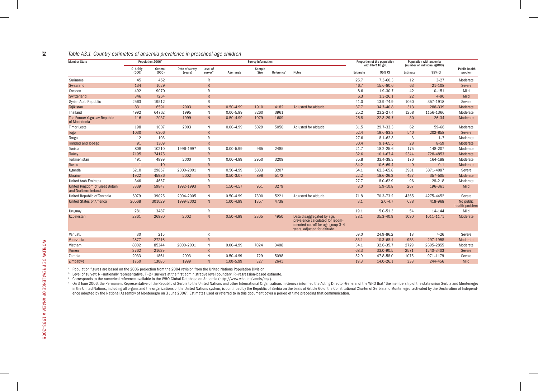#### *Table A3.1 Country estimates of anaemia prevalence in preschool-age children*

| <b>Member State</b>                                     |                      | Population 2006 <sup>a</sup> |                           |                                        |               | <b>Survey Information</b> |                        |                                                                                                                                     |          | Proportion of the population<br>with $Hb < 110 g/L$ |          | Population with anaemia<br>(number of individuals)(000) |                                 |
|---------------------------------------------------------|----------------------|------------------------------|---------------------------|----------------------------------------|---------------|---------------------------|------------------------|-------------------------------------------------------------------------------------------------------------------------------------|----------|-----------------------------------------------------|----------|---------------------------------------------------------|---------------------------------|
|                                                         | $0 - 4.99v$<br>(000) | General<br>(000)             | Date of survey<br>(years) | Level of<br><b>survev</b> <sup>b</sup> | Age range     | Sample<br>Size            | Reference <sup>c</sup> | <b>Notes</b>                                                                                                                        | Estimate | 95% CI                                              | Estimate | 95% CI                                                  | <b>Public health</b><br>problem |
| Suriname                                                | 45                   | 452                          |                           | $\mathsf{R}$                           |               |                           |                        |                                                                                                                                     | 25.7     | $7.3 - 60.3$                                        | 12       | $3 - 27$                                                | Moderate                        |
| Swaziland                                               | 134                  | 1029                         |                           | $\mathsf{R}$                           |               |                           |                        |                                                                                                                                     | 46.7     | 15.6-80.6                                           | 63       | $21 - 108$                                              | Severe                          |
| Sweden                                                  | 492                  | 9070                         |                           | $\mathsf{R}$                           |               |                           |                        |                                                                                                                                     | 8.6      | $1.9 - 30.7$                                        | 42       | $10 - 151$                                              | Mild                            |
| Switzerland                                             | 346                  | 7264                         |                           | R                                      |               |                           |                        |                                                                                                                                     | 6.3      | $1.3 - 26.1$                                        | 22       | $4 - 90$                                                | Mild                            |
| Syrian Arab Republic                                    | 2563                 | 19512                        |                           | $\mathsf{R}$                           |               |                           |                        |                                                                                                                                     | 41.0     | 13.9-74.9                                           | 1050     | 357-1918                                                | Severe                          |
| Tajikistan                                              | 831                  | 6591                         | 2003                      | N                                      | $0.50 - 4.99$ | 1910                      | 4182                   | Adjusted for altitude                                                                                                               | 37.7     | 34.7-40.8                                           | 313      | 288-339                                                 | Moderate                        |
| Thailand                                                | 4992                 | 64762                        | 1995                      | N                                      | $0.00 - 5.99$ | 3260                      | 3961                   |                                                                                                                                     | 25.2     | 23.2-27.4                                           | 1258     | 1156-1366                                               | Moderate                        |
| The Former Yugoslav Republic<br>of Macedonia            | 116                  | 2037                         | 1999                      | N                                      | $0.50 - 4.99$ | 1079                      | 1609                   |                                                                                                                                     | 25.8     | $22.3 - 29.7$                                       | 30       | $26 - 34$                                               | Moderate                        |
| <b>Timor Leste</b>                                      | 198                  | 1007                         | 2003                      | N                                      | $0.00 - 4.99$ | 5029                      | 5050                   | Adjusted for altitude                                                                                                               | 31.5     | 29.7-33.3                                           | 62       | 59-66                                                   | Moderate                        |
| <b>Togo</b>                                             | 1030                 | 6306                         |                           | $\mathsf{R}$                           |               |                           |                        |                                                                                                                                     | 52.4     | 19.6-83.3                                           | 540      | 202-858                                                 | Severe                          |
| Tonga                                                   | 12                   | 103                          |                           | R                                      |               |                           |                        |                                                                                                                                     | 27.6     | $8.1 - 62.3$                                        | 3        | $1 - 7$                                                 | Moderate                        |
| Trinidad and Tobago                                     | 91                   | 1309                         |                           | $\mathsf{R}$                           |               |                           |                        |                                                                                                                                     | 30.4     | $9.1 - 65.5$                                        | 28       | $8 - 59$                                                | Moderate                        |
| Tunisia                                                 | 808                  | 10210                        | 1996-1997                 | N                                      | $0.00 - 5.99$ | 965                       | 2485                   |                                                                                                                                     | 21.7     | 18.2-25.6                                           | 175      | 148-207                                                 | Moderate                        |
| <b>Turkey</b>                                           | 7195                 | 74175                        |                           | $\mathsf{R}$                           |               |                           |                        |                                                                                                                                     | 32.6     | $10.1 - 67.4$                                       | 2344     | 728-4853                                                | Moderate                        |
| Turkmenistan                                            | 491                  | 4899                         | 2000                      | N                                      | $0.00 - 4.99$ | 2950                      | 3209                   |                                                                                                                                     | 35.8     | 33.4-38.3                                           | 176      | 164-188                                                 | Moderate                        |
| Tuvalu                                                  | $\overline{1}$       | 10                           |                           | $\overline{R}$                         |               |                           |                        |                                                                                                                                     | 34.2     | 10.6-69.4                                           | $\Omega$ | $0 - 1$                                                 | Moderate                        |
| Uganda                                                  | 6210                 | 29857                        | 2000-2001                 | N                                      | $0.50 - 4.99$ | 5833                      | 3207                   |                                                                                                                                     | 64.1     | 62.3-65.8                                           | 3981     | 3871-4087                                               | Severe                          |
| <b>Ukraine</b>                                          | 1922                 | 45986                        | 2002                      | N                                      | $0.50 - 3.07$ | 896                       | 5172                   |                                                                                                                                     | 22.2     | 18.6-26.3                                           | 427      | 357-505                                                 | Moderate                        |
| <b>United Arab Emirates</b>                             | 346                  | 4657                         |                           | R                                      |               |                           |                        |                                                                                                                                     | 27.7     | $8.0 - 62.9$                                        | 96       | 28-218                                                  | Moderate                        |
| United Kingdom of Great Britain<br>and Northern Ireland | 3339                 | 59847                        | 1992-1993                 | N                                      | 1.50-4.57     | 951                       | 3279                   |                                                                                                                                     | 8.0      | $5.9 - 10.8$                                        | 267      | 196-361                                                 | Mild                            |
| United Republic of Tanzania                             | 6079                 | 39025                        | 2004-2005                 | N                                      | $0.50 - 4.99$ | 7300                      | 5221                   | Adjusted for altitude.                                                                                                              | 71.8     | $70.3 - 73.2$                                       | 4365     | 4275-4452                                               | Severe                          |
| <b>United States of America</b>                         | 20568                | 301029                       | 1999-2002                 | N                                      | 1.00-4.99     | 1357                      | 4738                   |                                                                                                                                     | 3.1      | $2.0 - 4.7$                                         | 638      | 418-968                                                 | No public<br>health problem     |
| Uruguay                                                 | 281                  | 3487                         |                           | R                                      |               |                           |                        |                                                                                                                                     | 19.1     | $5.0 - 51.3$                                        | 54       | 14-144                                                  | Mild                            |
| <b>Uzbekistan</b>                                       | 2861                 | 26980                        | 2002                      | N                                      | $0.50 - 4.99$ | 2305                      | 4950                   | Data disaggregated by age.<br>prevalence calculated for recom-<br>mended cut-off for age group 3-4<br>years, adjusted for altitude. | 38.1     | 35.3-40.9                                           | 1090     | 1011-1171                                               | Moderate                        |
| Vanuatu                                                 | 30                   | 215                          |                           | R                                      |               |                           |                        |                                                                                                                                     | 59.0     | 24.9-86.2                                           | 18       | $7 - 26$                                                | Severe                          |
| Venezuela                                               | 2877                 | 27216                        |                           | $\overline{R}$                         |               |                           |                        |                                                                                                                                     | 33.1     | $10.3 - 68.1$                                       | 953      | 297-1958                                                | Moderate                        |
| Vietnam                                                 | 8002                 | 85344                        | 2000-2001                 | $\mathsf{N}$                           | $0.00 - 4.99$ | 7024                      | 3408                   |                                                                                                                                     | 34.1     | 32.6-35.7                                           | 2729     | 2605-2855                                               | Moderate                        |
| Yemen                                                   | 3762                 | 21639                        |                           | R                                      |               |                           |                        |                                                                                                                                     | 68.3     | 33.0-90.5                                           | 2571     | 1240-3403                                               | Severe                          |
| Zambia                                                  | 2033                 | 11861                        | 2003                      | N                                      | $0.50 - 4.99$ | 729                       | 5098                   |                                                                                                                                     | 52.9     | 47.8-58.0                                           | 1075     | 971-1179                                                | Severe                          |
| Zimbabwe                                                | 1750                 | 13085                        | 1999                      | N                                      | 1.00-5.99     | 327                       | 2641                   |                                                                                                                                     | 19.3     | 14.0-26.1                                           | 338      | 244-456                                                 | Mild                            |

a Population figures are based on the 2006 projection from the 2004 revision from the United Nations Population Division.

b Level of survey: N=nationally representative, F=2+ surveys at the first administrative level boundary, R=regression-based estimate.

c Corresponds to the numerical reference available in the WHO Global Database on Anaemia (http://www.who.int/vmnis/en/).

<sup>d</sup> On 3 June 2006, the Permanent Representative of the Republic of Serbia to the United Nations and other International Organizations in Geneva informed the Acting Director-General of the WHO that "the membership of the s in the United Nations, including all organizations of the United Nations system, is continued by the Republic of Serbia on the basis of Article 60 of the Constitutional Charter of Serbia and Montenegro, activated by the De ence adopted by the National Assembly of Montenegro on 3 June 2006". Estimates used or referred to in this document cover a period of time preceding that communication.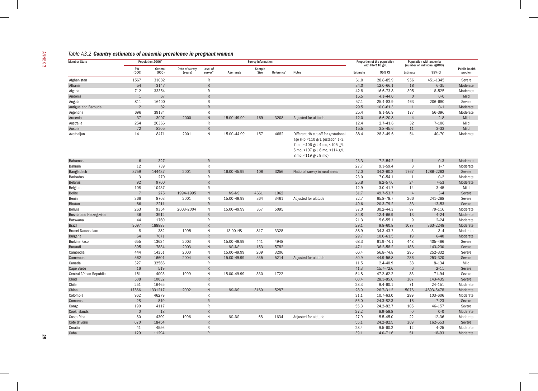| <b>Member State</b>      |                | Population 2006 <sup>a</sup> |                           |                                 |             | <b>Survey Information</b> |                        |                                                                                                                                                                   |          | Proportion of the population<br>with $Hb < 110 g/L$ |                | Population with anaemia<br>(number of individuals)(000) |  |
|--------------------------|----------------|------------------------------|---------------------------|---------------------------------|-------------|---------------------------|------------------------|-------------------------------------------------------------------------------------------------------------------------------------------------------------------|----------|-----------------------------------------------------|----------------|---------------------------------------------------------|--|
|                          | PW<br>(000)    | General<br>(000)             | Date of survey<br>(years) | Level of<br>survey <sup>b</sup> | Age range   | Sample<br>Size            | Reference <sup>c</sup> | <b>Notes</b>                                                                                                                                                      | Estimate | 95% CI                                              | Estimate       | 95% CI                                                  |  |
| Afghanistan              | 1567           | 31082                        |                           | $\mathsf{R}$                    |             |                           |                        |                                                                                                                                                                   | 61.0     | 28.8-85.9                                           | 956            | 451-1345                                                |  |
| Albania                  | 54             | 3147                         |                           | $\overline{R}$                  |             |                           |                        |                                                                                                                                                                   | 34.0     | $12.0 - 66.1$                                       | 18             | $6 - 35$                                                |  |
| Algeria                  | 712            | 33354                        |                           | $\mathsf{R}$                    |             |                           |                        |                                                                                                                                                                   | 42.8     | 16.6-73.8                                           | 305            | 118-525                                                 |  |
| Andorra                  | $\mathbf{1}$   | 67                           |                           | $\overline{R}$                  |             |                           |                        |                                                                                                                                                                   | 15.5     | $4.1 - 44.0$                                        | $\Omega$       | $0 - 0$                                                 |  |
| Angola                   | 811            | 16400                        |                           | $\mathsf{R}$                    |             |                           |                        |                                                                                                                                                                   | 57.1     | 25.4-83.9                                           | 463            | 206-680                                                 |  |
| Antigua and Barbuda      | $\overline{2}$ | 82                           |                           | R                               |             |                           |                        |                                                                                                                                                                   | 29.5     | $10.0 - 61.3$                                       | 1              | $0 - 1$                                                 |  |
| Argentina                | 696            | 39134                        |                           | $\mathsf{R}$                    |             |                           |                        |                                                                                                                                                                   | 25.4     | $8.1 - 56.9$                                        | 177            | 56-396                                                  |  |
| Armenia                  | 37             | 3007                         | 2000                      | $\,$ N                          | 15.00-49.99 | 169                       | 3208                   | Adjusted for altitude.                                                                                                                                            | 12.0     | $6.6 - 20.8$                                        | $\overline{4}$ | $2 - 8$                                                 |  |
| Australia                | 254            | 20366                        |                           | ${\sf R}$                       |             |                           |                        |                                                                                                                                                                   | 12.4     | $2.7 - 41.6$                                        | 32             | $7 - 106$                                               |  |
| Austria                  | 72             | 8205                         |                           | $\overline{R}$                  |             |                           |                        |                                                                                                                                                                   | 15.5     | $3.8 - 45.6$                                        | 11             | $3 - 33$                                                |  |
| Azerbaijan               | 141            | 8471                         | 2001                      | $\mathsf{N}$                    | 15.00-44.99 | 157                       | 4682                   | Different Hb cut-off for gestational<br>age (Hb <110 g/L gestation 1-3,<br>7 mo, <106 g/L 4 mo, <105 g/L<br>5 mo, <107 g/L 6 mo, <114 g/L<br>8 mo, <119 g/L 9 mo) | 38.4     | 28.3-49.6                                           | 54             | $40 - 70$                                               |  |
| <b>Bahamas</b>           | 6              | 327                          |                           | $\overline{R}$                  |             |                           |                        |                                                                                                                                                                   | 23.3     | $7.2 - 54.2$                                        |                | $0 - 3$                                                 |  |
| Bahrain                  | 12             | 739                          |                           | $\mathsf{R}$                    |             |                           |                        |                                                                                                                                                                   | 27.7     | $9.1 - 59.4$                                        | $\overline{3}$ | $1 - 7$                                                 |  |
| Bangladesh               | 3759           | 144437                       | 2001                      | $\mathsf{N}$                    | 16.00-45.99 | 108                       | 3256                   | National survey in rural areas                                                                                                                                    | 47.0     | 34.2-60.2                                           | 1767           | 1286-2263                                               |  |
| <b>Barbados</b>          | $\mathbf{3}$   | 270                          |                           | $\mathsf{R}$                    |             |                           |                        |                                                                                                                                                                   | 23.0     | $7.0 - 54.1$                                        | 1              | $0 - 2$                                                 |  |
| <b>Belarus</b>           | 92             | 9700                         |                           | $\overline{R}$                  |             |                           |                        |                                                                                                                                                                   | 25.8     | $8.2 - 57.6$                                        | 24             | $7 - 53$                                                |  |
| Belgium                  | 108            | 10437                        |                           | $\mathsf{R}$                    |             |                           |                        |                                                                                                                                                                   | 12.9     | $3.0 - 41.7$                                        | 14             | $3 - 45$                                                |  |
| <b>Belize</b>            | $\overline{7}$ | 275                          | 1994-1995                 | $\mathsf{N}$                    | NS-NS       | 4661                      | 1062                   |                                                                                                                                                                   | 51.7     | 49.7-53.7                                           | $\overline{4}$ | $3 - 4$                                                 |  |
| Benin                    | 366            | 8703                         | 2001                      | $\mathsf{N}$                    | 15.00-49.99 | 364                       | 3461                   | Adjusted for altitude                                                                                                                                             | 72.7     | 65.8-78.7                                           | 266            | 241-288                                                 |  |
| <b>Bhutan</b>            | 66             | 2211                         |                           | $\mathsf{R}$                    |             |                           |                        |                                                                                                                                                                   | 49.6     | $20.3 - 79.2$                                       | 33             | $13 - 53$                                               |  |
| <b>Bolivia</b>           | 263            | 9354                         | 2003-2004                 | ${\sf N}$                       | 15.00-49.99 | 357                       | 5095                   |                                                                                                                                                                   | 37.0     | $30.2 - 44.3$                                       | 97             | 79-116                                                  |  |
| Bosnia and Herzegovina   | 36             | 3912                         |                           | $\mathsf{R}$                    |             |                           |                        |                                                                                                                                                                   | 34.8     | 12.4-66.9                                           | 13             | $4 - 24$                                                |  |
| Botswana                 | 44             | 1760                         |                           | $\mathsf{R}$                    |             |                           |                        |                                                                                                                                                                   | 21.3     | $5.6 - 55.1$                                        | 9              | $2 - 24$                                                |  |
| <b>Brazil</b>            | 3697           | 188883                       |                           | $\overline{R}$                  |             |                           |                        |                                                                                                                                                                   | 29.1     | $9.8 - 60.8$                                        | 1077           | 363-2248                                                |  |
| Brunei Darussalam        | 8              | 382                          | 1995                      | ${\sf N}$                       | 13.00-NS    | 817                       | 3328                   |                                                                                                                                                                   | 38.9     | 34.3-43.7                                           | 3              | $3 - 4$                                                 |  |
| <b>Bulgaria</b>          | 64             | 7671                         |                           | $\overline{R}$                  |             |                           |                        |                                                                                                                                                                   | 29.7     | $10.0 - 61.5$                                       | 19             | $6 - 40$                                                |  |
| <b>Burkina Faso</b>      | 655            | 13634                        | 2003                      | ${\sf N}$                       | 15.00-49.99 | 441                       | 4948                   |                                                                                                                                                                   | 68.3     | 61.9-74.1                                           | 448            | 405-486                                                 |  |
| Burundi                  | 395            | 7834                         | 2003                      | $\mathsf{N}$                    | NS-NS       | 153                       | 5782                   |                                                                                                                                                                   | 47.1     | 36.2-58.2                                           | 186            | 143-230                                                 |  |
| Cambodia                 | 444            | 14351                        | 2000                      | $\mathsf{N}$                    | 15.00-49.99 | 209                       | 3206                   |                                                                                                                                                                   | 66.4     | 56.8-74.8                                           | 295            | 252-332                                                 |  |
| Cameroon                 | 562            | 16601                        | 2004                      | $\mathsf{N}$                    | 15.00-49.99 | 535                       | 5214                   | Adjusted for altitude                                                                                                                                             | 50.9     | 44.9-56.8                                           | 286            | 253-320                                                 |  |
| Canada                   | 327            | 32566                        |                           | $\mathsf{R}$                    |             |                           |                        |                                                                                                                                                                   | 11.5     | $2.4 - 40.9$                                        | 38             | $8 - 134$                                               |  |
| Cape Verde               | 16             | 519                          |                           | $\mathsf{R}$                    |             |                           |                        |                                                                                                                                                                   | 41.3     | 15.7-72.6                                           | 6              | $2 - 11$                                                |  |
| Central African Republic | 151            | 4093                         | 1999                      | $\mathsf{N}$                    | 15.00-49.99 | 330                       | 1722                   |                                                                                                                                                                   | 54.8     | 47.2-62.2                                           | 83             | $71 - 94$                                               |  |
| Chad                     | 508            | 10032                        |                           | $\overline{R}$                  |             |                           |                        |                                                                                                                                                                   | 60.4     | 28.1-85.6                                           | 307            | 143-435                                                 |  |
| Chile                    | 251            | 16465                        |                           | $\mathsf{R}$                    |             |                           |                        |                                                                                                                                                                   | 28.3     | $9.4 - 60.1$                                        | 71             | 24-151                                                  |  |
| China                    | 17566          | 1331217                      | 2002                      | $\mathsf{N}$                    | NS-NS       | 3160                      | 5287                   |                                                                                                                                                                   | 28.9     | 26.7-31.2                                           | 5076           | 4693-5478                                               |  |
| Colombia                 | 962            | 46279                        |                           | $\mathsf{R}$                    |             |                           |                        |                                                                                                                                                                   | 31.1     | $10.7 - 63.0$                                       | 299            | 103-606                                                 |  |
| Comoros                  | 28             | 819                          |                           | $\mathsf{R}$                    |             |                           |                        |                                                                                                                                                                   | 55.0     | 24.3-82.3                                           | 16             | $7 - 23$                                                |  |
| Congo                    | 190            | 4117                         |                           | ${\sf R}$                       |             |                           |                        |                                                                                                                                                                   | 55.3     | 24.2-82.7                                           | 105            | 46-157                                                  |  |
| Cook Islands             | $\Omega$       | 18                           |                           | $\mathsf{R}$                    |             |                           |                        |                                                                                                                                                                   | 27.2     | 8.9-58.8                                            | $\overline{0}$ | $0-0$                                                   |  |
| Costa Rica               | 80             | 4399                         | 1996                      | N                               | NS-NS       | 68                        | 1634                   | Adjusted for altitude.                                                                                                                                            | 27.9     | 15.5-45.0                                           | 22             | 12-36                                                   |  |
| Cote d'Ivoire            | 670            | 18454                        |                           | $\mathsf{R}$                    |             |                           |                        |                                                                                                                                                                   | 55.1     | 24.2-82.5                                           | 369            | 162-553                                                 |  |
| Croatia                  | 41             | 4556                         |                           | $\mathsf{R}$                    |             |                           |                        |                                                                                                                                                                   | 28.4     | $9.5 - 60.2$                                        | 12             | $4 - 25$                                                |  |
|                          |                |                              |                           |                                 |             |                           |                        |                                                                                                                                                                   |          |                                                     |                |                                                         |  |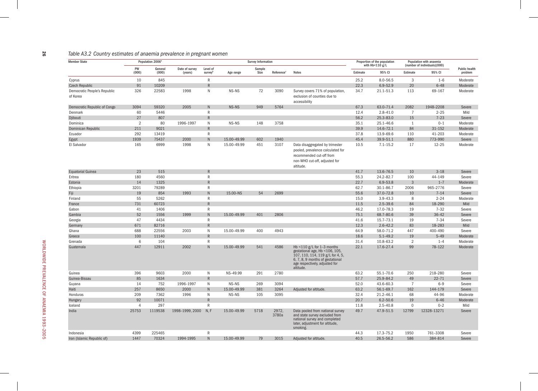#### *Table A3.2 Country estimates of anaemia prevalence in pregnant women*

| <b>Member State</b>             |                | Population 2006 <sup>a</sup> |                           |                                    |             | <b>Survey Information</b> |                        |                                                                                                                                                                                       |          | Proportion of the population |                | Population with anaemia                |                                 |
|---------------------------------|----------------|------------------------------|---------------------------|------------------------------------|-------------|---------------------------|------------------------|---------------------------------------------------------------------------------------------------------------------------------------------------------------------------------------|----------|------------------------------|----------------|----------------------------------------|---------------------------------|
|                                 | PW<br>(000)    | General<br>(000)             | Date of survey<br>(years) | Level of<br>$S$ urvey <sup>t</sup> | Age range   | Sample<br>Size            | Reference <sup>c</sup> | <b>Notes</b>                                                                                                                                                                          | Estimate | with Hb<110 g/L<br>95% CI    | Estimate       | (number of individuals)(000)<br>95% CI | <b>Public health</b><br>problem |
|                                 | 10             | 845                          |                           | $\mathsf{R}$                       |             |                           |                        |                                                                                                                                                                                       | 25.2     | $8.0 - 56.5$                 | 3              | $1 - 6$                                | Moderate                        |
| Cyprus<br><b>Czech Republic</b> | 91             | 10209                        |                           |                                    |             |                           |                        |                                                                                                                                                                                       | 22.3     | $6.9 - 52.9$                 | 20             | $6 - 48$                               | Moderate                        |
| Democratic People's Republic    | 326            | 22583                        | 1998                      | N                                  | NS-NS       | 72                        | 3090                   | Survey covers 71% of population,                                                                                                                                                      | 34.7     | $21.1 - 51.3$                | 113            | 69-167                                 | Moderate                        |
| of Korea                        |                |                              |                           |                                    |             |                           |                        | exclusion of counties due to<br>accessibility                                                                                                                                         |          |                              |                |                                        |                                 |
| Democratic Republic of Congo    | 3094           | 59320                        | 2005                      | N                                  | NS-NS       | 949                       | 5764                   |                                                                                                                                                                                       | 67.3     | 63.0-71.4                    | 2082           | 1948-2208                              | Severe                          |
| Denmark                         | 60             | 5446                         |                           | R                                  |             |                           |                        |                                                                                                                                                                                       | 12.4     | $2.8 - 41.0$                 | $\overline{7}$ | $2 - 25$                               | Mild                            |
| Djibouti                        | 27             | 807                          |                           | $\mathsf{R}$                       |             |                           |                        |                                                                                                                                                                                       | 56.2     | 25.3-83.0                    | 15             | $7 - 23$                               | Severe                          |
| Dominica                        | $\overline{2}$ | 80                           | 1996-1997                 | N                                  | NS-NS       | 148                       | 3758                   |                                                                                                                                                                                       | 35.1     | 25.1-46.6                    | 1              | $0 - 1$                                | Moderate                        |
| Dominican Republic              | 211            | 9021                         |                           | $\mathsf{R}$                       |             |                           |                        |                                                                                                                                                                                       | 39.9     | 14.6-72.1                    | 84             | $31 - 152$                             | Moderate                        |
| Ecuador                         | 292            | 13419                        |                           | R                                  |             |                           |                        |                                                                                                                                                                                       | 37.8     | 13.9-69.6                    | 110            | 41-203                                 | Moderate                        |
| Egypt                           | 1939           | 75437                        | 2000                      | N                                  | 15.00-49.99 | 602                       | 1940                   |                                                                                                                                                                                       | 45.4     | 39.9-51.1                    | 880            | 773-990                                | Severe                          |
| El Salvador                     | 165            | 6999                         | 1998                      | N                                  | 15.00-49.99 | 451                       | 3107                   | Data disaggregated by trimester<br>pooled, prevalence calculated for<br>recommended cut-off from<br>non-WHO cut-off, adjusted for<br>altitude.                                        | 10.5     | $7.1 - 15.2$                 | 17             | $12 - 25$                              | Moderate                        |
| <b>Equatorial Guinea</b>        | 23             | 515                          |                           | R                                  |             |                           |                        |                                                                                                                                                                                       | 41.7     | 13.6-76.5                    | 10             | $3 - 18$                               | Severe                          |
| Eritrea                         | 180            | 4560                         |                           | $\mathsf{R}$                       |             |                           |                        |                                                                                                                                                                                       | 55.3     | 24.2-82.7                    | 100            | 44-149                                 | Severe                          |
| Estonia                         | 14             | 1325                         |                           | $\overline{R}$                     |             |                           |                        |                                                                                                                                                                                       | 22.7     | $6.9 - 53.8$                 | $\mathbf{3}$   | $1 - 7$                                | Moderate                        |
| Ethiopia                        | 3201           | 79289                        |                           | R                                  |             |                           |                        |                                                                                                                                                                                       | 62.7     | 30.1-86.7                    | 2006           | 965-2776                               | Severe                          |
| Fiji                            | 19             | 854                          | 1993                      | N                                  | 15.00-NS    | 54                        | 2699                   |                                                                                                                                                                                       | 55.6     | 37.0-72.8                    | 10             | $7 - 14$                               | Severe                          |
| Finland                         | 55             | 5262                         |                           | $\mathsf R$                        |             |                           |                        |                                                                                                                                                                                       | 15.0     | $3.9 - 43.3$                 | 8              | $2 - 24$                               | Moderate                        |
| France                          | 731            | 60723                        |                           | $\mathsf{R}$                       |             |                           |                        |                                                                                                                                                                                       | 11.5     | $2.5 - 39.6$                 | 84             | 18-290                                 | Mild                            |
| Gabon                           | 41             | 1406                         |                           | $\mathsf{R}$                       |             |                           |                        |                                                                                                                                                                                       | 46.2     | 17.0-78.3                    | 19             | $7 - 32$                               | Severe                          |
| Gambia                          | 52             | 1556                         | 1999                      | $\mathsf{N}$                       | 15.00-49.99 | 401                       | 2806                   |                                                                                                                                                                                       | 75.1     | 68.7-80.6                    | 39             | $36 - 42$                              | Severe                          |
| Georgia                         | 47             | 4434                         |                           | R                                  |             |                           |                        |                                                                                                                                                                                       | 41.6     | 15.7-73.1                    | 19             | $7 - 34$                               | Severe                          |
| Germany                         | 671            | 82716                        |                           | R                                  |             |                           |                        |                                                                                                                                                                                       | 12.3     | $2.6 - 42.2$                 | 83             | 18-283                                 | Mild                            |
| Ghana                           | 688            | 22556                        | 2003                      | $\mathsf{N}$                       | 15.00-49.99 | 400                       | 4943                   |                                                                                                                                                                                       | 64.9     | 58.0-71.2                    | 447            | 400-490                                | Severe                          |
| Greece                          | 100            | 11140                        |                           | $\mathsf{R}$                       |             |                           |                        |                                                                                                                                                                                       | 18.6     | $5.1 - 49.2$                 | 19             | $5 - 49$                               | Moderate                        |
| Grenada                         | 6              | 104                          |                           | R                                  |             |                           |                        |                                                                                                                                                                                       | 31.4     | 10.8-63.2                    | $\overline{2}$ | $1 - 4$                                | Moderate                        |
| Guatemala                       | 447            | 12911                        | 2002                      | N.                                 | 15.00-49.99 | 541                       | 4586                   | Hb <110 $g/L$ for 1-3 months<br>gestational age, Hb <106, 105,<br>107, 110, 114, 119 g/L for 4, 5,<br>6, 7, 8, 9 months of gestational<br>age respectively, adjusted for<br>altitude. | 22.1     | 17.6-27.4                    | 99             | 78-122                                 | Moderate                        |
| Guinea                          | 396            | 9603                         | 2000                      | N                                  | NS-49.99    | 291                       | 2780                   |                                                                                                                                                                                       | 63.2     | $55.1 - 70.6$                | 250            | 218-280                                | Severe                          |
| Guinea-Bissau                   | 85             | 1634                         |                           | $\mathsf{R}$                       |             |                           |                        |                                                                                                                                                                                       | 57.7     | 25.9-84.2                    | 49             | $22 - 71$                              | Severe                          |
| Guyana                          | 14             | 752                          | 1996-1997                 | N                                  | NS-NS       | 269                       | 3094                   |                                                                                                                                                                                       | 52.0     | 43.6-60.3                    | $\overline{7}$ | $6 - 9$                                | Severe                          |
| Haiti                           | 257            | 8650                         | 2000                      | N                                  | 15.00-49.99 | 381                       | 3264                   | Adjusted for altitude.                                                                                                                                                                | 63.2     | $56.1 - 69.7$                | 162            | 144-179                                | Severe                          |
| Honduras                        | 209            | 7362                         | 1996                      | N                                  | NS-NS       | 105                       | 3095                   |                                                                                                                                                                                       | 32.4     | $21.2 - 46.1$                | 68             | 44-96                                  | Moderate                        |
| Hungary                         | 92             | 10071                        |                           | R                                  |             |                           |                        |                                                                                                                                                                                       | 20.7     | $6.2 - 50.6$                 | 19             | $6 - 46$                               | Moderate                        |
| Iceland                         | $\overline{4}$ | 297                          |                           | R                                  |             |                           |                        |                                                                                                                                                                                       | 11.8     | $2.5 - 40.8$                 | $\mathbf 0$    | $0 - 2$                                | Mild                            |
| India                           | 25753          | 1119538                      | 1998-1999, 2000           | N, F                               | 15.00-49.99 | 5718                      | 2972,<br>3780a         | Data pooled from national survey<br>and state survey excluded from<br>national survey and completed<br>later, adjustment for altitude,<br>smoking.                                    | 49.7     | 47.9-51.5                    | 12799          | 12328-13271                            | Severe                          |
| Indonesia                       | 4399           | 225465                       |                           | R                                  |             |                           |                        |                                                                                                                                                                                       | 44.3     | 17.3-75.2                    | 1950           | 761-3308                               | Severe                          |
| Iran (Islamic Republic of)      | 1447           | 70324                        | 1994-1995                 | N                                  | 15.00-49.99 | 79                        | 3015                   | Adjusted for altitude.                                                                                                                                                                | 40.5     | 26.5-56.2                    | 586            | 384-814                                | Severe                          |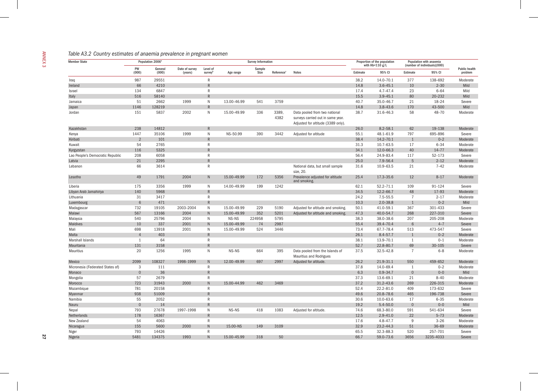| <b>Member State</b>              |                | Population 2006 <sup>a</sup> |                           |                     |             | <b>Survey Information</b> |                        |                                                                                                          |          | Proportion of the population<br>with $Hb < 110$ g/L |                | Population with anaemia<br>(number of individuals)(000) |                                 |
|----------------------------------|----------------|------------------------------|---------------------------|---------------------|-------------|---------------------------|------------------------|----------------------------------------------------------------------------------------------------------|----------|-----------------------------------------------------|----------------|---------------------------------------------------------|---------------------------------|
|                                  | PW<br>(000)    | General<br>(000)             | Date of survey<br>(years) | Level of<br>surveyb | Age range   | Sample<br>Size            | Reference <sup>c</sup> | <b>Notes</b>                                                                                             | Estimate | 95% CI                                              | Estimate       | 95% CI                                                  | <b>Public health</b><br>problem |
| Iraq                             | 987            | 29551                        |                           | $\mathsf{R}$        |             |                           |                        |                                                                                                          | 38.2     | 14.0-70.1                                           | 377            | 138-692                                                 | Moderate                        |
| Ireland                          | 66             | 4210                         |                           | $\mathsf{R}$        |             |                           |                        |                                                                                                          | 14.8     | $3.6 - 45.1$                                        | 10             | $2 - 30$                                                | Mild                            |
| Israel                           | 134            | 6847                         |                           | $\mathsf{R}$        |             |                           |                        |                                                                                                          | 17.4     | $4.7 - 47.4$                                        | 23             | $6 - 64$                                                | Mild                            |
| Italy                            | 516            | 58140                        |                           | R                   |             |                           |                        |                                                                                                          | 15.5     | $3.9 - 45.1$                                        | 80             | 20-232                                                  | Mild                            |
| Jamaica                          | 51             | 2662                         | 1999                      | $\mathsf{N}$        | 13.00-46.99 | 541                       | 3759                   |                                                                                                          | 40.7     | 35.0-46.7                                           | 21             | 18-24                                                   | Severe                          |
| Japan                            | 1146           | 128219                       |                           | $\mathsf{R}$        |             |                           |                        |                                                                                                          | 14.8     | $3.8 - 43.6$                                        | 170            | 43-500                                                  | Mild                            |
| Jordan                           | 151            | 5837                         | 2002                      | $\mathsf{N}$        | 15.00-49.99 | 336                       | 3389,<br>4382          | Data pooled from two national<br>surveys carried out in same year.<br>Adjusted for altitude (3389 only). | 38.7     | 31.6-46.3                                           | 58             | 48-70                                                   | Moderate                        |
| Kazakhstan                       | 238            | 14812                        |                           | R                   |             |                           |                        |                                                                                                          | 26.0     | $8.2 - 58.1$                                        | 62             | 19-138                                                  | Moderate                        |
| Kenya                            | 1447           | 35106                        | 1999                      | N                   | NS-50.99    | 390                       | 3442                   | Adjusted for altitude                                                                                    | 55.1     | 48.1-61.9                                           | 797            | 695-896                                                 | Severe                          |
| Kiribati                         | $\overline{2}$ | 101                          |                           | $\overline{R}$      |             |                           |                        |                                                                                                          | 38.4     | 14.2-70.1                                           | $\mathbf{1}$   | $0 - 2$                                                 | Moderate                        |
| Kuwait                           | 54             | 2765                         |                           | R                   |             |                           |                        |                                                                                                          | 31.3     | $10.7 - 63.5$                                       | 17             | $6 - 34$                                                | Moderate                        |
| Kyrgyzstan                       | 116            | 5325                         |                           | R                   |             |                           |                        |                                                                                                          | 34.1     | 12.0-66.3                                           | 40             | $14 - 77$                                               | Moderate                        |
| Lao People's Democratic Republic | 208            | 6058                         |                           | $\mathsf{R}$        |             |                           |                        |                                                                                                          | 56.4     | 24.9-83.4                                           | 117            | 52-173                                                  | Severe                          |
| Latvia                           | 21             | 2295                         |                           | R                   |             |                           |                        |                                                                                                          | 25.0     | 7.9-56.4                                            | 5              | $2 - 12$                                                | Moderate                        |
| Lebanon                          | 66             | 3614                         |                           | $\mathsf{R}$        |             |                           |                        | National data, but small sample<br>size, 20.                                                             | 31.6     | 10.9-63.5                                           | 21             | $7 - 42$                                                | Moderate                        |
| Lesotho                          | 49             | 1791                         | 2004                      | N                   | 15.00-49.99 | 172                       | 5356                   | Prevalence adjusted for altitude<br>and smoking.                                                         | 25.4     | 17.3-35.6                                           | 12             | $8 - 17$                                                | Moderate                        |
| Liberia                          | 175            | 3356                         | 1999                      | $\mathsf{N}$        | 14.00-49.99 | 199                       | 1242                   |                                                                                                          | 62.1     | $52.2 - 71.1$                                       | 109            | 91-124                                                  | Severe                          |
| Libyan Arab Jamahiriya           | 140            | 5968                         |                           | $\mathsf{R}$        |             |                           |                        |                                                                                                          | 34.5     | 12.2-66.7                                           | 48             | 17-93                                                   | Moderate                        |
| Lithuania                        | 31             | 3417                         |                           | $\mathsf{R}$        |             |                           |                        |                                                                                                          | 24.2     | $7.5 - 55.5$                                        | $\overline{7}$ | $2 - 17$                                                | Moderate                        |
| Luxembourg                       | 6              | 471                          |                           | $\mathsf{R}$        |             |                           |                        |                                                                                                          | 10.3     | $2.0 - 38.8$                                        | 1              | $0 - 2$                                                 | Mild                            |
| Madagascar                       | 732            | 19105                        | 2003-2004                 | N                   | 15.00-49.99 | 229                       | 5190                   | Adjusted for altitude and smoking.                                                                       | 50.1     | 41.0-59.1                                           | 367            | 301-433                                                 | Severe                          |
| Malawi                           | 567            | 13166                        | 2004                      | N                   | 15.00-49.99 | 352                       | 5201                   | Adjusted for altitude and smoking.                                                                       | 47.3     | 40.0-54.7                                           | 268            | 227-310                                                 | Severe                          |
| Malaysia                         | 540            | 25796                        | 2004                      | N                   | NS-NS       | 224958                    | 5795                   |                                                                                                          | 38.3     | 38.0-38.6                                           | 207            | 205-208                                                 | Moderate                        |
| Maldives                         | 10             | 337                          | 2001                      | ${\sf N}$           | 15.00-49.99 | 74                        | 2987                   |                                                                                                          | 55.4     | 39.4-70.4                                           | 6              | $4 - 7$                                                 | Severe                          |
| Mali                             | 698            | 13918                        | 2001                      | $\mathsf{N}$        | 15.00-49.99 | 524                       | 3446                   |                                                                                                          | 73.4     | 67.7-78.4                                           | 513            | 473-547                                                 | Severe                          |
| Malta                            | $\overline{4}$ | 403                          |                           | $\mathsf{R}$        |             |                           |                        |                                                                                                          | 26.1     | $8.4 - 57.7$                                        | $\mathbf{1}$   | $0 - 2$                                                 | Moderate                        |
| Marshall Islands                 | 1              | 64                           |                           | $\mathsf{R}$        |             |                           |                        |                                                                                                          | 38.1     | 13.9-70.1                                           | 1              | $0 - 1$                                                 | Moderate                        |
| Mauritania                       | 131            | 3158                         |                           | $\mathsf{R}$        |             |                           |                        |                                                                                                          | 52.7     | 22.8-80.7                                           | 69             | $30 - 105$                                              | Severe                          |
| Mauritius                        | 20             | 1256                         | 1995                      | N                   | NS-NS       | 664                       | 395                    | Data pooled from the Islands of<br><b>Mauritius and Rodrigues</b>                                        | 37.5     | $32.5 - 42.8$                                       | $\overline{7}$ | $6 - 8$                                                 | Moderate                        |
| Mexico                           | 2099           | 108327                       | 1998-1999                 | N                   | 12.00-49.99 | 697                       | 2997                   | Adjusted for altitude.                                                                                   | 26.2     | 21.9-31.1                                           | 550            | 459-652                                                 | Moderate                        |
| Micronesia (Federated States of) | 3              | 111                          |                           | $\mathsf{R}$        |             |                           |                        |                                                                                                          | 37.8     | 14.0-69.4                                           | $\mathbf{1}$   | $0 - 2$                                                 | Moderate                        |
| Monaco                           | $\Omega$       | 36                           |                           | $\overline{R}$      |             |                           |                        |                                                                                                          | 6.3      | $0.9 - 34.7$                                        | $\mathbf{0}$   | $0-0$                                                   | Mild                            |
| Mongolia                         | 57             | 2679                         |                           | R                   |             |                           |                        |                                                                                                          | 37.3     | 13.6-69.1                                           | 21             | $8 - 40$                                                | Moderate                        |
| Morocco                          | 723            | 31943                        | 2000                      | N                   | 15.00-44.99 | 462                       | 3469                   |                                                                                                          | 37.2     | $31.2 - 43.6$                                       | 269            | 226-315                                                 | Moderate                        |
| Mozambique                       | 781            | 20158                        |                           | $\mathsf{R}$        |             |                           |                        |                                                                                                          | 52.4     | $22.2 - 81.0$                                       | 409            | 173-632                                                 | Severe                          |
| Myanmar                          | 938            | 51009                        |                           | $\overline{R}$      |             |                           |                        |                                                                                                          | 49.6     | 20.8-78.6                                           | 465            | 196-738                                                 | Severe                          |
| Namibia                          | 55             | 2052                         |                           | R                   |             |                           |                        |                                                                                                          | 30.6     | 10.0-63.6                                           | 17             | $6 - 35$                                                | Moderate                        |
| Nauru                            | $\overline{0}$ | 14                           |                           | R                   |             |                           |                        |                                                                                                          | 19.2     | $5.4 - 50.0$                                        | $\mathbf 0$    | $0 - 0$                                                 | Mild                            |
| Nepal                            | 793            | 27678                        | 1997-1998                 | N                   | NS-NS       | 418                       | 1083                   | Adjusted for altitude.                                                                                   | 74.6     | 68.3-80.0                                           | 591            | 541-634                                                 | Severe                          |
| Netherlands                      | 178            | 16367                        |                           | ${\sf R}$           |             |                           |                        |                                                                                                          | 12.5     | $2.9 - 41.0$                                        | 22             | $5 - 73$                                                | Moderate                        |
| New Zealand                      | 54             | 4063                         |                           | $\mathsf{R}$        |             |                           |                        |                                                                                                          | 17.6     | 4.8-47.7                                            | 9              | $3 - 26$                                                | Moderate                        |
| Nicaragua                        | 155            | 5600                         | 2000                      | $\mathsf{N}$        | 15.00-NS    | 149                       | 3109                   |                                                                                                          | 32.9     | $23.2 - 44.3$                                       | 51             | $36 - 69$                                               | Moderate                        |
| Niger                            | 793            | 14426                        |                           | $\mathsf{R}$        |             |                           |                        |                                                                                                          | 65.5     | 32.3-88.3                                           | 520            | 257-701                                                 | Severe                          |
| Nigeria                          | 5481           | 134375                       | 1993                      | $\mathsf{N}$        | 15.00-45.99 | 318                       | 50                     |                                                                                                          | 66.7     | 59.0-73.6                                           | 3656           | 3235-4033                                               | Severe                          |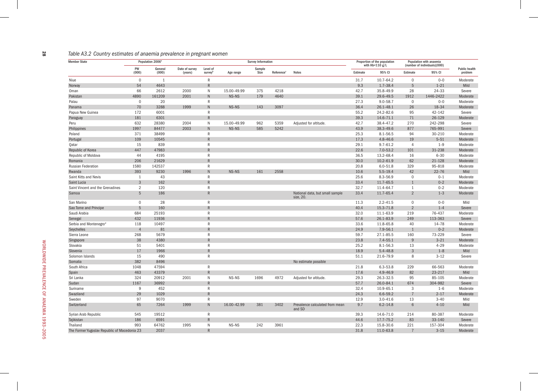#### *Table A3.2 Country estimates of anaemia prevalence in pregnant women*

| <b>Member State</b>                          |                | Population 2006 <sup>a</sup> |                           |                     |             | <b>Survey Information</b> |                        |                                              | Proportion of the population<br>with $Hb < 110$ g/L |               | Population with anaemia<br>(number of individuals)(000) |            |                                 |
|----------------------------------------------|----------------|------------------------------|---------------------------|---------------------|-------------|---------------------------|------------------------|----------------------------------------------|-----------------------------------------------------|---------------|---------------------------------------------------------|------------|---------------------------------|
|                                              | PW<br>(000)    | General<br>(000)             | Date of survey<br>(years) | Level of<br>surveyb | Age range   | Sample<br>Size            | Reference <sup>c</sup> | <b>Notes</b>                                 | Estimate                                            | 95% CI        | Estimate                                                | 95% CI     | <b>Public health</b><br>problem |
| Niue                                         | $\mathbf 0$    | 1                            |                           | $\mathsf{R}$        |             |                           |                        |                                              | 31.7                                                | 10.7-64.2     | $\Omega$                                                | $0 - 0$    | Moderate                        |
| Norway                                       | 54             | 4643                         |                           | $\mathsf{R}$        |             |                           |                        |                                              | 9.3                                                 | $1.7 - 38.4$  | 5                                                       | $1 - 21$   | Mild                            |
| Oman                                         | 66             | 2612                         | 2000                      | N                   | 15.00-49.99 | 375                       | 4218                   |                                              | 42.7                                                | 35.8-49.9     | 28                                                      | $24 - 33$  | Severe                          |
| Pakistan                                     | 4890           | 161209                       | 2001                      | N                   | NS-NS       | 179                       | 4640                   |                                              | 39.1                                                | 29.6-49.5     | 1912                                                    | 1446-2422  | Moderate                        |
| Palau                                        | $\mathbf 0$    | 20                           |                           | R                   |             |                           |                        |                                              | 27.3                                                | $9.0 - 58.7$  | $\mathbf 0$                                             | $0 - 0$    | Moderate                        |
| Panama                                       | 70             | 3288                         | 1999                      | N                   | NS-NS       | 143                       | 3097                   |                                              | 36.4                                                | $26.1 - 48.1$ | 26                                                      | 18-34      | Moderate                        |
| Papua New Guinea                             | 172            | 6001                         |                           | $\mathsf R$         |             |                           |                        |                                              | 55.2                                                | 24.2-82.6     | 95                                                      | $42 - 142$ | Severe                          |
| Paraguay                                     | 181            | 6301                         |                           | $\mathsf{R}$        |             |                           |                        |                                              | 39.3                                                | 14.6-71.1     | 71                                                      | $26 - 129$ | Moderate                        |
| Peru                                         | 632            | 28380                        | 2004                      | N                   | 15.00-49.99 | 962                       | 5359                   | Adjusted for altitude.                       | 42.7                                                | 38.4-47.2     | 270                                                     | 242-298    | Severe                          |
| Philippines                                  | 1997           | 84477                        | 2003                      | N                   | NS-NS       | 585                       | 5242                   |                                              | 43.9                                                | 38.3-49.6     | 877                                                     | 765-991    | Severe                          |
| Poland                                       | 371            | 38499                        |                           | $\mathsf{R}$        |             |                           |                        |                                              | 25.3                                                | $8.1 - 56.5$  | 94                                                      | $30 - 210$ | Moderate                        |
| Portugal                                     | 109            | 10545                        |                           | $\mathsf{R}$        |             |                           |                        |                                              | 17.3                                                | 4.8-46.6      | 19                                                      | $5 - 51$   | Moderate                        |
| Qatar                                        | 15             | 839                          |                           | R                   |             |                           |                        |                                              | 29.1                                                | $9.7 - 61.2$  | $\overline{4}$                                          | $1 - 9$    | Moderate                        |
| Republic of Korea                            | 447            | 47983                        |                           | $\mathsf{R}$        |             |                           |                        |                                              | 22.6                                                | $7.0 - 53.2$  | 101                                                     | 31-238     | Moderate                        |
| Republic of Moldova                          | 44             | 4195                         |                           | R                   |             |                           |                        |                                              | 36.5                                                | 13.2-68.4     | 16                                                      | $6 - 30$   | Moderate                        |
| Romania                                      | 206            | 21629                        |                           | $\mathsf{R}$        |             |                           |                        |                                              | 30.0                                                | $10.2 - 61.9$ | 62                                                      | $21 - 128$ | Moderate                        |
| <b>Russian Federation</b>                    | 1580           | 142537                       |                           | R                   |             |                           |                        |                                              | 20.8                                                | $6.0 - 51.8$  | 329                                                     | 95-818     | Moderate                        |
| Rwanda                                       | 393            | 9230                         | 1996                      | N                   | NS-NS       | 161                       | 2558                   |                                              | 10.6                                                | $5.5 - 19.4$  | 42                                                      | $22 - 76$  | Mild                            |
| Saint Kitts and Nevis                        | 1              | 43                           |                           | R                   |             |                           |                        |                                              | 25.6                                                | $8.3 - 56.9$  | $\mathbf 0$                                             | $0 - 1$    | Moderate                        |
| Saint Lucia                                  | 3              | 162                          |                           | $\mathsf{R}$        |             |                           |                        |                                              | 33.4                                                | 11.7-65.5     | $\mathbf{1}$                                            | $0 - 2$    | Moderate                        |
| Saint Vincent and the Grenadines             | $\overline{2}$ | 120                          |                           | R                   |             |                           |                        |                                              | 32.7                                                | 11.4-64.7     | 1                                                       | $0 - 2$    | Moderate                        |
| Samoa                                        | 5              | 186                          |                           | $\mathsf{R}$        |             |                           |                        | National data, but small sample<br>size, 20. | 33.4                                                | 11.7-65.4     | 2                                                       | $1 - 3$    | Moderate                        |
| San Marino                                   | $\mathbf 0$    | 28                           |                           | R                   |             |                           |                        |                                              | 11.3                                                | $2.2 - 41.5$  | $\mathbf 0$                                             | $0 - 0$    | Mild                            |
| Sao Tome and Principe                        | 5              | 160                          |                           | $\mathsf{R}$        |             |                           |                        |                                              | 40.4                                                | 15.3-71.8     | $\overline{2}$                                          | $1 - 4$    | Severe                          |
| Saudi Arabia                                 | 684            | 25193                        |                           | R                   |             |                           |                        |                                              | 32.0                                                | 11.1-63.9     | 219                                                     | 76-437     | Moderate                        |
| Senegal                                      | 432            | 11936                        |                           | $\mathsf{R}$        |             |                           |                        |                                              | 57.6                                                | 26.1-83.9     | 249                                                     | 113-363    | Severe                          |
| Serbia and Montenegrod                       | 118            | 10497                        |                           | R                   |             |                           |                        |                                              | 33.6                                                | 11.8-65.8     | 40                                                      | 14-78      | Moderate                        |
| Seychelles                                   | $\overline{4}$ | 81                           |                           | $\mathsf{R}$        |             |                           |                        |                                              | 24.9                                                | $7.9 - 56.1$  | $\mathbf{1}$                                            | $0 - 2$    | Moderate                        |
| Sierra Leone                                 | 268            | 5679                         |                           | R                   |             |                           |                        |                                              | 59.7                                                | $27.1 - 85.5$ | 160                                                     | 73-229     | Severe                          |
| Singapore                                    | 38             | 4380                         |                           | $\mathsf{R}$        |             |                           |                        |                                              | 23.8                                                | $7.4 - 55.1$  | 9                                                       | $3 - 21$   | Moderate                        |
| Slovakia                                     | 51             | 5401                         |                           | $\mathsf{R}$        |             |                           |                        |                                              | 25.2                                                | $8.1 - 56.3$  | 13                                                      | $4 - 29$   | Moderate                        |
| Slovenia                                     | 17             | 1966                         |                           | $\mathsf{R}$        |             |                           |                        |                                              | 18.9                                                | $5.4 - 48.8$  | 3                                                       | $1 - 8$    | Mild                            |
| Solomon Islands                              | 15             | 490                          |                           | $\mathsf{R}$        |             |                           |                        |                                              | 51.1                                                | 21.6-79.9     | 8                                                       | $3 - 12$   | Severe                          |
| Somalia                                      | 382            | 8496                         |                           |                     |             |                           |                        | No estimate possible                         |                                                     |               |                                                         |            |                                 |
| South Africa                                 | 1048           | 47594                        |                           | $\mathsf{R}$        |             |                           |                        |                                              | 21.8                                                | $6.3 - 53.8$  | 229                                                     | 66-563     | Moderate                        |
| Spain                                        | 463            | 43379                        |                           | $\mathsf{R}$        |             |                           |                        |                                              | 17.6                                                | $4.9 - 46.9$  | 82                                                      | $23 - 217$ | Mild                            |
| Sri Lanka                                    | 324            | 20912                        | 2001                      | N                   | NS-NS       | 1696                      | 4972                   | Adjusted for altitude.                       | 29.3                                                | 26.3-32.5     | 95                                                      | 85-105     | Moderate                        |
| Sudan                                        | 1167           | 36992                        |                           | $\mathsf{R}$        |             |                           |                        |                                              | 57.7                                                | 26.0-84.1     | 674                                                     | 304-982    | Severe                          |
| Suriname                                     | 9              | 452                          |                           | $\mathsf{R}$        |             |                           |                        |                                              | 32.4                                                | $10.9 - 65.1$ | 3                                                       | $1 - 6$    | Moderate                        |
| Swaziland                                    | 29             | 1029                         |                           | $\mathsf{R}$        |             |                           |                        |                                              | 24.3                                                | $6.6 - 59.2$  | $\overline{7}$                                          | $2 - 17$   | Moderate                        |
| Sweden                                       | 97             | 9070                         |                           | R                   |             |                           |                        |                                              | 12.9                                                | $3.0 - 41.6$  | 13                                                      | $3 - 40$   | Mild                            |
| Switzerland                                  | 65             | 7264                         | 1999                      | N.                  | 16.00-42.99 | 381                       | 3402                   | Prevalence calculated from mean<br>and SD    | 9.7                                                 | $6.2 - 14.8$  | 6                                                       | $4 - 10$   | Mild                            |
| Syrian Arab Republic                         | 545            | 19512                        |                           | R                   |             |                           |                        |                                              | 39.3                                                | 14.6-71.0     | 214                                                     | 80-387     | Moderate                        |
| Tajikistan                                   | 186            | 6591                         |                           | $\mathsf{R}$        |             |                           |                        |                                              | 44.6                                                | 17.7-75.2     | 83                                                      | $33 - 140$ | Severe                          |
| Thailand                                     | 993            | 64762                        | 1995                      | N                   | NS-NS       | 242                       | 3961                   |                                              | 22.3                                                | 15.8-30.6     | 221                                                     | 157-304    | Moderate                        |
| The Former Yugoslav Republic of Macedonia 23 |                | 2037                         |                           | $\mathsf{R}$        |             |                           |                        |                                              | 31.8                                                | 11.0-63.8     |                                                         | $3 - 15$   | Moderate                        |

 $28$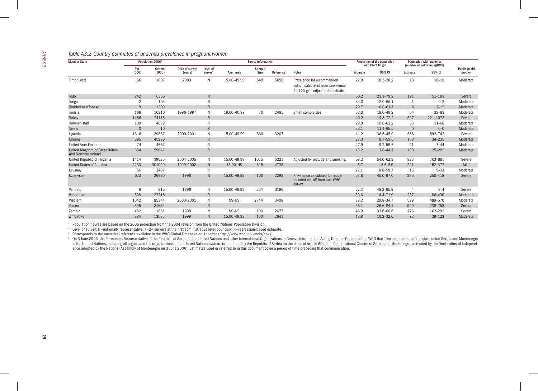| <b>Member State</b>                                     |             | Population 2006 <sup>a</sup> |                           |                     |             | <b>Survey Information</b> |           |                                                                                                         | Proportion of the population<br>with $Hb < 110 g/L$ |               | Population with anaemia<br>(number of individuals)(000) |            | <b>Public health</b> |
|---------------------------------------------------------|-------------|------------------------------|---------------------------|---------------------|-------------|---------------------------|-----------|---------------------------------------------------------------------------------------------------------|-----------------------------------------------------|---------------|---------------------------------------------------------|------------|----------------------|
|                                                         | PW<br>(000) | General<br>(000)             | Date of survey<br>(years) | Level of<br>surveyb | Age range   | Sample<br>Size            | Reference | <b>Notes</b>                                                                                            | Estimate                                            | 95% CI        | Estimate                                                | 95% CI     | problem              |
| <b>Timor Leste</b>                                      | 56          | 1007                         | 2003                      | N                   | 15.00-49.99 | 549                       | 5050      | Prevalence for recommended<br>cut-off calculated from prevalence<br>for 120 g/L, adjusted for altitude. | 22.9                                                | 18.3-28.2     | 13                                                      | $10 - 16$  | Moderate             |
| Togo                                                    | 242         | 6306                         |                           | $\mathsf{R}$        |             |                           |           |                                                                                                         | 50.2                                                | $21.1 - 79.2$ | 121                                                     | 51-191     | Severe               |
| Tonga                                                   | 2           | 103                          |                           | $\mathsf{R}$        |             |                           |           |                                                                                                         | 34.0                                                | 12.0-66.1     | $\overline{1}$                                          | $0 - 2$    | Moderate             |
| Trinidad and Tobago                                     | 19          | 1309                         |                           | $\mathsf{R}$        |             |                           |           |                                                                                                         | 29.7                                                | $10.0 - 61.7$ | 6                                                       | $2 - 12$   | Moderate             |
| Tunisia                                                 | 168         | 10210                        | 1996-1997                 | N                   | 19.00-40.99 | 70                        | 2485      | Small sample size                                                                                       | 32.3                                                | 19.0-49.2     | 54                                                      | $32 - 83$  | Moderate             |
| Turkey                                                  | 1486        | 74175                        |                           | $\mathsf{R}$        |             |                           |           |                                                                                                         | 40.2                                                | 14.8-72.2     | 597                                                     | 221-1073   | Severe               |
| Turkmenistan                                            | 109         | 4899                         |                           | R                   |             |                           |           |                                                                                                         | 29.9                                                | $10.0 - 62.2$ | 33                                                      | $11 - 68$  | Moderate             |
| Tuvalu                                                  | $\Omega$    | 10                           |                           | $\mathsf{R}$        |             |                           |           |                                                                                                         | 33.1                                                | 11.4-65.5     | $\overline{0}$                                          | $0 - 0$    | Moderate             |
| Uganda                                                  | 1616        | 29857                        | 2000-2001                 | $\mathsf{N}$        | 15.00-49.99 | 860                       | 3207      |                                                                                                         | 41.2                                                | 36.6-45.9     | 666                                                     | 592-742    | Severe               |
| Ukraine                                                 | 395         | 45986                        |                           | $\mathsf{R}$        |             |                           |           |                                                                                                         | 27.3                                                | $8.7 - 59.6$  | 108                                                     | 34-235     | Moderate             |
| <b>United Arab Emirates</b>                             | 74          | 4657                         |                           | $\mathsf{R}$        |             |                           |           |                                                                                                         | 27.9                                                | $9.2 - 59.6$  | 21                                                      | $7 - 44$   | Moderate             |
| United Kingdom of Great Britain<br>and Northern Ireland | 654         | 59847                        |                           | $\overline{R}$      |             |                           |           |                                                                                                         | 15.2                                                | $3.8 - 44.7$  | 100                                                     | 25-292     | Moderate             |
| United Republic of Tanzania                             | 1414        | 39025                        | 2004-2005                 | N                   | 15.00-49.99 | 1075                      | 5221      | Adjusted for altitude and smoking.                                                                      | 58.2                                                | 54.0-62.3     | 823                                                     | 763-881    | Severe               |
| <b>United States of America</b>                         | 4233        | 301029                       | 1999-2002                 | $\mathsf{N}$        | 13.00-NS    | 615                       | 4738      |                                                                                                         | 5.7                                                 | $3.6 - 8.9$   | 241                                                     | 152-377    |                      |
| Uruguay                                                 | 56          | 3487                         |                           | $\mathsf{R}$        |             |                           |           |                                                                                                         | 27.1                                                | $8.8 - 58.7$  | 15                                                      | $5 - 33$   | Moderate             |
| Uzbekistan                                              | 623         | 26980                        | 1996                      | $\mathsf{N}$        | 15.00-49.99 | 100                       | 2293      | Prevalence calculated for recom-<br>mended cut-off from non-WHO<br>cut-off.                             | 53.8                                                | 40.0-67.0     | 335                                                     | 250-418    | Severe               |
| Vanuatu                                                 | 6           | 215                          | 1996                      | N                   | 15.00-49.99 | 234                       | 3196      |                                                                                                         | 57.3                                                | 48.2-65.9     | $\overline{4}$                                          | $3 - 4$    | Severe               |
| Venezuela                                               | 598         | 27216                        |                           | $\mathsf{R}$        |             |                           |           |                                                                                                         | 39.6                                                | 14.4-71.9     | 237                                                     | 86-430     | Moderate             |
| Vietnam                                                 | 1642        | 85344                        | 2000-2001                 | N                   | NS-NS       | 2744                      | 3408      |                                                                                                         | 32.2                                                | 29.8-34.7     | 529                                                     | 489-570    | Moderate             |
| Yemen                                                   | 895         | 21639                        |                           | $\mathsf{R}$        |             |                           |           |                                                                                                         | 58.1                                                | 26.6-84.1     | 520                                                     | 238-753    | Severe               |
| Zambia                                                  | 482         | 11861                        | 1998                      | N                   | NS-NS       | 100                       | 2477      |                                                                                                         | 46.9                                                | 33.6-60.6     | 226                                                     | 162-292    | Severe               |
| Zimbabwe                                                | 384         | 13085                        | 1999                      | N                   | 15.00-49.99 | 100                       | 2641      |                                                                                                         | 18.8                                                | $10.2 - 32.0$ | 72                                                      | $39 - 123$ | Moderate             |

a Population figures are based on the 2006 projection from the 2004 revision from the United Nations Population Division.

<sup>b</sup> Level of survey: N=nationally representative, F=2+ surveys at the first administrative level boundary, R=regression-based estimate.

c Corresponds to the numerical reference available in the WHO Global Database on Anaemia (http://www.who.int/vmnis/en/).

<sup>d</sup> On 3 June 2006, the Permanent Representative of the Republic of Serbia to the United Nations and other International Organizations in Geneva informed the Acting Director-General of the WHO that "the membership of the s in the United Nations, including all organs and the organizations of the United Nations system, is continued by the Republic of Serbia on the basis of Article 60 of the Constitutional Charter of Serbia and Montenegro, acti ence adopted by the National Assembly of Montenegro on 3 June 2006". Estimates used or referred to in this document cover a period of time preceding that communication.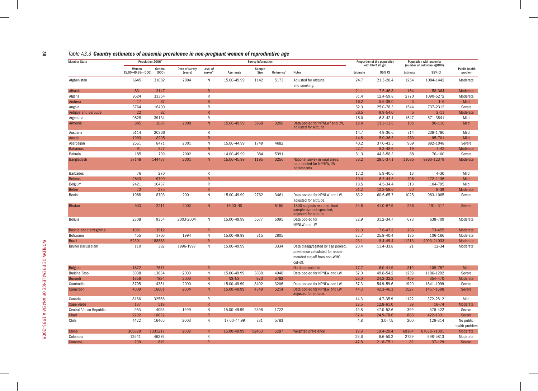| Table A3.3 Country estimates of anaemia prevalence in non-pregnant women of reproductive age |  |  |  |  |  |  |  |  |  |  |  |
|----------------------------------------------------------------------------------------------|--|--|--|--|--|--|--|--|--|--|--|
|----------------------------------------------------------------------------------------------|--|--|--|--|--|--|--|--|--|--|--|

| <b>Member State</b>      |                             | Population 2006 <sup>a</sup> |                           | <b>Survey Information</b>       |             |                |                        |                                                                                                                  |          | Proportion of the population<br>with $Hb < 120 g/L$ |                | Population with anaemia<br>(number of individuals)(000) |                                 |
|--------------------------|-----------------------------|------------------------------|---------------------------|---------------------------------|-------------|----------------|------------------------|------------------------------------------------------------------------------------------------------------------|----------|-----------------------------------------------------|----------------|---------------------------------------------------------|---------------------------------|
|                          | Women<br>15.00-49.99y (000) | General<br>(000)             | Date of survey<br>(years) | Level of<br>survey <sup>1</sup> | Age range   | Sample<br>Size | Reference <sup>c</sup> | <b>Notes</b>                                                                                                     | Estimate | 95% CI                                              | Estimate       | 95% CI                                                  | <b>Public health</b><br>problem |
| Afghanistan              | 6645                        | 31082                        | 2004                      | N                               | 15.00-49.99 | 1142           | 5173                   | Adjusted for altitude<br>and smoking.                                                                            | 24.7     | 21.3-28.4                                           | 1254           | 1084-1442                                               | Moderate                        |
| Albania                  | 831                         | 3147                         |                           | $\overline{R}$                  |             |                |                        |                                                                                                                  | 21.1     | $7.5 - 46.8$                                        | 164            | 58-364                                                  | Moderate                        |
| Algeria                  | 9524                        | 33354                        |                           | ${\sf R}$                       |             |                |                        |                                                                                                                  | 31.4     | 12.4-59.8                                           | 2770           | 1090-5272                                               | Moderate                        |
| Andorra                  | 17                          | 67                           |                           | $\mathsf{R}$                    |             |                |                        |                                                                                                                  | 16.2     | $5.5 - 39.0$                                        | $\overline{3}$ | $1 - 6$                                                 | Mild                            |
| Angola                   | 3764                        | 16400                        |                           | ${\sf R}$                       |             |                |                        |                                                                                                                  | 52.3     | 25.0-78.3                                           | 1544           | 737-2312                                                | Severe                          |
| Antigua and Barbuda      | 22                          | 82                           |                           | R                               |             |                |                        |                                                                                                                  | 26.5     | $9.9 - 54.0$                                        | 5              | $2 - 11$                                                | Moderate                        |
| Argentina                | 9828                        | 39134                        |                           | $\mathsf{R}$                    |             |                |                        |                                                                                                                  | 18.0     | $6.3 - 42.1$                                        | 1647           | 571-3841                                                | Mild                            |
| Armenia                  | 885                         | 3007                         | 2000                      | N                               | 15.00-49.99 | 5968           | 3208                   | Data pooled for NPNLW <sup>d</sup> and LW,<br>adjusted for altitude.                                             | 12.4     | $11.3 - 13.6$                                       | 105            | 96-116                                                  | Mild                            |
| Australia                | 5114                        | 20366                        |                           | R                               |             |                |                        |                                                                                                                  | 14.7     | $4.9 - 36.6$                                        | 714            | 238-1780                                                | Mild                            |
| Austria                  | 1993                        | 8205                         |                           | R                               |             |                |                        |                                                                                                                  | 14.8     | $5.0 - 36.5$                                        | 283            | 95-701                                                  | <b>Mild</b>                     |
| Azerbaijan               | 2551                        | 8471                         | 2001                      | N                               | 15.00-44.99 | 1749           | 4682                   |                                                                                                                  | 40.2     | 37.0-43.5                                           | 969            | 892-1048                                                | Severe                          |
| <b>Bahamas</b>           | 91                          | 327                          |                           | $\overline{R}$                  |             |                |                        |                                                                                                                  | 22.7     | $8.3 - 48.9$                                        | 19             | $7 - 42$                                                | Moderate                        |
| Bahrain                  | 185                         | 739                          | 2002                      | N                               | 14.00-49.99 | 384            | 5391                   |                                                                                                                  | 51.3     | 44.3-58.3                                           | 88             | 76-100                                                  | Severe                          |
| <b>Bangladesh</b>        | 37148                       | 144437                       | 2001                      | N                               | 15.00-45.99 | 1195           | 3256                   | National survey in rural areas;<br>data pooled for NPNLW, LW<br>adolescents.                                     | 33.2     | 29.5-37.1                                           | 11085          | 9863-12379                                              | Moderate                        |
| <b>Barbados</b>          | 76                          | 270                          |                           | $\mathsf{R}$                    |             |                |                        |                                                                                                                  | 17.2     | $5.9 - 40.6$                                        | 13             | $4 - 30$                                                | Mild                            |
| <b>Belarus</b>           | 2643                        | 9700                         |                           | $\overline{R}$                  |             |                |                        |                                                                                                                  | 19.4     | $6.7 - 44.5$                                        | 496            | 172-1136                                                | Mild                            |
| Belgium                  | 2421                        | 10437                        |                           | $\mathsf{R}$                    |             |                |                        |                                                                                                                  | 13.5     | $4.5 - 34.4$                                        | 313            | 104-795                                                 | Mild                            |
| <b>Belize</b>            | 72                          | 275                          |                           | R                               |             |                |                        |                                                                                                                  | 31.2     | 12.2-59.6                                           | 20             | $8 - 39$                                                | Moderate                        |
| Benin                    | 1988                        | 8703                         | 2001                      | N                               | 15.00-49.99 | 2762           | 3461                   | Data pooled for NPNLW and LW,<br>adjusted for altitude.                                                          | 63.2     | 60.6-65.7                                           | 1025           | 983-1065                                                | Severe                          |
| <b>Bhutan</b>            | 533                         | 2211                         | 2002                      | N                               | 16.00-NS    |                | 5150                   | 1800 subjects recruted, final<br>sample size not specified,<br>adjusted for altitude.                            | 54.8     | 41.0-67.9                                           | 256            | $191 - 317$                                             | Severe                          |
| Bolivia                  | 2308                        | 9354                         | 2003-2004                 | $\mathsf{N}$                    | 15.00-49.99 | 5577           | 5095                   | Data pooled for<br>NPNLW and LW                                                                                  | 32.9     | 31.2-34.7                                           | 673            | 638-709                                                 | Moderate                        |
| Bosnia and Herzegovina   | 1001                        | 3912                         |                           | R                               |             |                |                        |                                                                                                                  | 21.3     | $7.6 - 47.2$                                        | 206            | 73-455                                                  | Moderate                        |
| Botswana                 | 455                         | 1760                         | 1994                      | N                               | 15.00-49.99 | 315            | 2805                   |                                                                                                                  | 32.7     | 25.8-40.4                                           | 135            | 106-166                                                 | Moderate                        |
| <b>Brazil</b>            | 52301                       | 188883                       |                           | $\mathsf{R}$                    |             |                |                        |                                                                                                                  | 23.1     | $8.4 - 49.4$                                        | 11213          | 4093-24033                                              | Moderate                        |
| Brunei Darussalam        | 110                         | 382                          | 1996-1997                 | $\mathsf{N}$                    | 15.00-49.99 |                | 3334                   | Data disaggregated by age pooled,<br>prevalence calculated for recom-<br>mended cut-off from non-WHO<br>cut-off. | 20.4     | 11.4-33.8                                           | 21             | $12 - 34$                                               | Moderate                        |
| <b>Bulgaria</b>          | 1872                        | 7671                         |                           | $\mathsf{R}$                    |             |                |                        | No data available                                                                                                | 17.7     | $6.0 - 41.9$                                        | 319            | 108-757                                                 | Mild                            |
| <b>Burkina Faso</b>      | 3038                        | 13634                        | 2003                      | N                               | 15.00-49.99 | 3830           | 4948                   | Data pooled for NPNLW and LW                                                                                     | 52.0     | 49.8-54.2                                           | 1239           | 1186-1292                                               | Severe                          |
| <b>Burundi</b>           | 1856                        | 7834                         | 2003                      | N                               | NS-NS       | 973            | 5782                   |                                                                                                                  | 28.0     | $24.2 - 32.2$                                       | 409            | 354-470                                                 | Moderate                        |
| Cambodia                 | 3795                        | 14351                        | 2000                      | $\mathsf{N}$                    | 15.00-49.99 | 3402           | 3206                   | Data pooled for NPNLW and LW                                                                                     | 57.3     | 54.9-59.6                                           | 1920           | 1841-1999                                               | Severe                          |
| Cameroon                 | 4009                        | 16601                        | 2004                      | N                               | 15.00-49.99 | 4549           | 5214                   | Data pooled for NPNLW and LW,<br>adjusted for altitude.                                                          | 44.3     | $42.3 - 46.3$                                       | 1527           | 1457-1598                                               | Severe                          |
| Canada                   | 8166                        | 32566                        |                           | $\mathsf{R}$                    |             |                |                        |                                                                                                                  | 14.3     | $4.7 - 35.9$                                        | 1122           | 372-2812                                                | Mild                            |
| Cape Verde               | 137                         | 519                          |                           | $\mathsf{R}$                    |             |                |                        |                                                                                                                  | 32.5     | 12.8-61.0                                           | 39             | $16 - 74$                                               | Moderate                        |
| Central African Republic | 953                         | 4093                         | 1999                      | N                               | 15.00-49.99 | 2396           | 1722                   |                                                                                                                  | 49.8     | 47.0-52.6                                           | 399            | 376-422                                                 | Severe                          |
| Chad                     | 2202                        | 10032                        |                           | $\overline{R}$                  |             |                |                        |                                                                                                                  | 52.4     | 24.9-78.6                                           | 888            | 422-1331                                                | Severe                          |
| Chile                    | 4422                        | 16465                        | 2003                      | $\mathsf{N}$                    | 17.00-44.99 | 731            | 5783                   |                                                                                                                  | 4.8      | $3.0 - 7.5$                                         | 200            | 126-314                                                 | No public                       |
|                          |                             |                              |                           |                                 |             |                |                        |                                                                                                                  |          |                                                     |                |                                                         | health problem                  |
| China                    | 365828                      | 1331217                      | 2002                      | N                               | 15.00-49.99 | 52463          | 5287                   | Weighted prevalence                                                                                              | 19.9     | 19.4-20.4                                           | 69304          | 67638-71001                                             | Moderate                        |
| Colombia                 | 12541                       | 46279                        |                           | $\mathsf{R}$<br>R               |             |                |                        |                                                                                                                  | 23.6     | $8.6 - 50.2$                                        | 2729           | 998-5813                                                | Moderate                        |
| <b>Comoros</b>           | 200                         | 819                          |                           |                                 |             |                |                        |                                                                                                                  | 47.8     | 21.8-75.1                                           | 82             | $37 - 129$                                              | Severe                          |

 $\frac{30}{2}$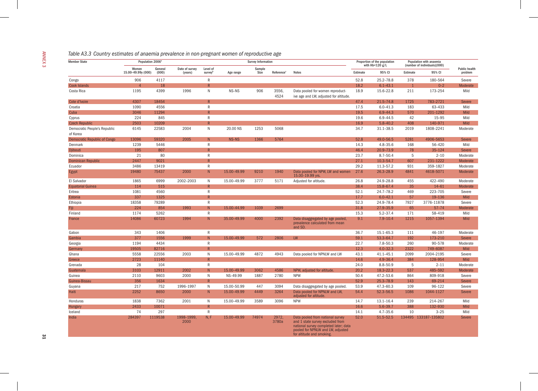|  |  | Table A3.3 Country estimates of anaemia prevalence in non-pregnant women of reproductive age |  |
|--|--|----------------------------------------------------------------------------------------------|--|
|  |  |                                                                                              |  |

| <b>Member State</b>                      | Population 2006 <sup>a</sup> |                  |                           |                     |             | <b>Survey Information</b> |                        |                                                                                                                                                    | Proportion of the population<br>with $Hb < 120$ g/L |               | Population with anaemia<br>(number of individuals)(000) |                      | <b>Public health</b> |
|------------------------------------------|------------------------------|------------------|---------------------------|---------------------|-------------|---------------------------|------------------------|----------------------------------------------------------------------------------------------------------------------------------------------------|-----------------------------------------------------|---------------|---------------------------------------------------------|----------------------|----------------------|
|                                          | Women<br>15.00-49.99y (000)  | General<br>(000) | Date of survey<br>(years) | Level of<br>surveyb | Age range   | Sample<br>Size            | Reference <sup>c</sup> | <b>Notes</b>                                                                                                                                       | Estimate                                            | 95% CI        | Estimate                                                | 95% CI               |                      |
| Congo                                    | 906                          | 4117             |                           | ${\sf R}$           |             |                           |                        |                                                                                                                                                    | 52.8                                                | $25.2 - 78.8$ | 378                                                     | 180-564              |                      |
| <b>Cook Islands</b>                      | $\overline{A}$               | 18               |                           | $\mathsf{R}$        |             |                           |                        |                                                                                                                                                    | 18.2                                                | $6.1 - 43.1$  | $\overline{1}$                                          | $0 - 2$              |                      |
| Costa Rica                               | 1195                         | 4399             | 1996                      | N                   | NS-NS       | 906                       | 3556,<br>4524          | Data pooled for women reproduct-<br>ive age and LW, adjusted for altitude.                                                                         | 18.9                                                | 15.6-22.8     | 211                                                     | 173-254              |                      |
| Cote d'Ivoire                            | 4307                         | 18454            |                           | $\mathsf{R}$        |             |                           |                        |                                                                                                                                                    | 47.4                                                | 21.5-74.8     | 1725                                                    | 783-2721             |                      |
| Croatia                                  | 1090                         | 4556             |                           | ${\sf R}$           |             |                           |                        |                                                                                                                                                    | 17.5                                                | $6.0 - 41.3$  | 183                                                     | 63-433               |                      |
| Cuba                                     | 3046                         | 11294            |                           | $\mathsf{R}$        |             |                           |                        |                                                                                                                                                    | 19.5                                                | $6.9 - 44.3$  | 570                                                     | 201-1292             |                      |
| Cyprus                                   | 224                          | 845              |                           | $\mathsf{R}$        |             |                           |                        |                                                                                                                                                    | 19.6                                                | $6.9 - 44.5$  | 42                                                      | 15-95                |                      |
| <b>Czech Republic</b>                    | 2503                         | 10209            |                           | R                   |             |                           |                        |                                                                                                                                                    | 16.9                                                | $5.8 - 40.2$  | 408                                                     | 140-971              |                      |
| Democratic People's Republic<br>of Korea | 6145                         | 22583            | 2004                      | $\mathsf{N}$        | 20.00 NS    | 1253                      | 5068                   |                                                                                                                                                    | 34.7                                                | 31.1-38.5     | 2019                                                    | 1808-2241            |                      |
| <b>Democratic Republic of Congo</b>      | 13096                        | 59320            | 2005                      | N                   | NS-NS       | 1366                      | 5764                   |                                                                                                                                                    | 52.8                                                | 49.0-56.5     | 5281                                                    | 4906-5653            |                      |
| Denmark                                  | 1239                         | 5446             |                           | $\mathsf{R}$        |             |                           |                        |                                                                                                                                                    | 14.3                                                | $4.8 - 35.6$  | 168                                                     | 56-420               |                      |
| <b>Djibouti</b>                          | 195                          | 807              |                           | R                   |             |                           |                        |                                                                                                                                                    | 46.4                                                | 20.9-73.9     | 78                                                      | $35 - 124$           |                      |
| Dominica                                 | 21                           | 80               |                           | $\mathsf{R}$        |             |                           |                        |                                                                                                                                                    | 23.7                                                | $8.7 - 50.4$  | 5                                                       | $2 - 10$             |                      |
| <b>Dominican Republic</b>                | 2447                         | 9021             |                           | R                   |             |                           |                        |                                                                                                                                                    | 27.1                                                | $10.3 - 54.7$ | 607                                                     | 231-1222             |                      |
| Ecuador                                  | 3486                         | 13419            |                           | $\mathsf{R}$        |             |                           |                        |                                                                                                                                                    | 29.2                                                | 11.3-57.2     | 931                                                     | 359-1827             |                      |
| Egypt                                    | 19480                        | 75437            | 2000                      | ${\sf N}$           | 15.00-49.99 | 9210                      | 1940                   | Data pooled for NPW, LW and women<br>15.00-19.99 yrs.                                                                                              | 27.6                                                | 26.3-28.9     | 4841                                                    | 4618-5071            |                      |
| El Salvador                              | 1865                         | 6999             | 2002-2003                 | $\mathsf{N}$        | 15.00-49.99 | 3777                      | 5171                   | Adjusted for altitude.                                                                                                                             | 26.8                                                | 24.9-28.8     | 455                                                     | 422-490              |                      |
| <b>Equatorial Guinea</b>                 | 114                          | 515              |                           | $\mathsf{R}$        |             |                           |                        |                                                                                                                                                    | 38.4                                                | 15.8-67.4     | 35                                                      | $14 - 61$            |                      |
| Eritrea                                  | 1081                         | 4560             |                           | $\mathsf{R}$        |             |                           |                        |                                                                                                                                                    | 52.1                                                | 24.7-78.2     | 469                                                     | 223-705              |                      |
| Estonia                                  | 337                          | 1325             |                           | $\mathsf{R}$        |             |                           |                        |                                                                                                                                                    | 17.7                                                | $6.0 - 42.1$  | 57                                                      | 19-136               |                      |
| Ethiopia                                 | 18358                        | 79289            |                           | $\mathsf{R}$        |             |                           |                        |                                                                                                                                                    | 52.3                                                | 24.9-78.4     | 7927                                                    | 3776-11878           |                      |
| Fiji                                     | 224                          | 854              | 1993                      | N                   | 15.00-44.99 | 1039                      | 2699                   |                                                                                                                                                    | 31.8                                                | 27.9-35.9     | 65                                                      | $57 - 74$            |                      |
| Finland                                  | 1174                         | 5262             |                           | $\mathsf{R}$        |             |                           |                        |                                                                                                                                                    | 15.3                                                | $5.2 - 37.4$  | 171                                                     | 58-419               |                      |
| France                                   | 14086                        | 60723            | 1994                      | ${\sf N}$           | 35.00-49.99 | 4000                      | 2392                   | Data disaggregated by age pooled,<br>prevalence calculated from mean<br>and SD.                                                                    | 9.1                                                 | $7.9 - 10.4$  | 1215                                                    | 1057-1394            |                      |
| Gabon                                    | 343                          | 1406             |                           | $\mathsf{R}$        |             |                           |                        |                                                                                                                                                    | 36.7                                                | 15.1-65.3     | 111                                                     | 46-197               |                      |
| Gambia                                   | 377                          | 1556             | 1999                      | ${\sf N}$           | 15.00-49.99 | 572                       | 2806                   | LW                                                                                                                                                 | 59.1                                                | 53.3-64.7     | 192                                                     | 173-210              |                      |
| Georgia                                  | 1194                         | 4434             |                           | $\mathsf{R}$        |             |                           |                        |                                                                                                                                                    | 22.7                                                | $7.8 - 50.3$  | 260                                                     | 90-578               |                      |
| Germany                                  | 19505                        | 82716            |                           | $\overline{R}$      |             |                           |                        |                                                                                                                                                    | 12.3                                                | $4.0 - 32.3$  | 2322                                                    | 749-6087             |                      |
| Ghana                                    | 5558                         | 22556            | 2003                      | $\mathsf{N}$        | 15.00-49.99 | 4872                      | 4943                   | Data pooled for NPNLW and LW                                                                                                                       | 43.1                                                | $41.1 - 45.1$ | 2099                                                    | 2004-2195            |                      |
| <b>Greece</b>                            | 2723                         | 11140            |                           | R                   |             |                           |                        |                                                                                                                                                    | 14.6                                                | $4.9 - 36.4$  | 384                                                     | 128-954              |                      |
| Grenada                                  | 28                           | 104              |                           | $\mathsf{R}$        |             |                           |                        |                                                                                                                                                    | 24.0                                                | $8.8 - 50.9$  | 5                                                       | $2 - 11$             |                      |
| Guatemala                                | 3103                         | 12911            | 2002                      | ${\sf N}$           | 15.00-49.99 | 3062                      | 4586                   | NPW, adjusted for altitude.                                                                                                                        | 20.2                                                | 18.3-22.3     | 537                                                     | 485-592              |                      |
| Guinea                                   | 2110                         | 9603             | 2000                      | $\mathsf{N}$        | NS-49.99    | 1887                      | 2780                   | <b>NPW</b>                                                                                                                                         | 50.4                                                | 47.2-53.6     | 864                                                     | 809-918              |                      |
| Guinea-Bissau                            | 356                          | 1634             |                           | R                   |             |                           |                        |                                                                                                                                                    | 52.9                                                | 25.3-78.9     | 143                                                     | 69-214               |                      |
| Guyana                                   | 217                          | 752              | 1996-1997                 | $\mathsf{N}$        | 15.00-50.99 | 447                       | 3094                   | Data disaggregated by age pooled.                                                                                                                  | 53.9                                                | 47.3-60.3     | 109                                                     | 96-122               |                      |
| Haiti                                    | 2252                         | 8650             | 2000                      | ${\sf N}$           | 15.00-49.99 | 4449                      | 3264                   | Data pooled for NPNLW and LW,<br>adjusted for altitude.                                                                                            | 54.4                                                | 52.3-56.5     | 1086                                                    | 1044-1127            |                      |
| Honduras                                 | 1838                         | 7362             | 2001                      | $\mathsf{N}$        | 15.00-49.99 | 3589                      | 3096                   | <b>NPW</b>                                                                                                                                         | 14.7                                                | $13.1 - 16.4$ | 239                                                     | 214-267              |                      |
| Hungary                                  | 2433                         | 10071            |                           | $\mathsf{R}$        |             |                           |                        |                                                                                                                                                    | 16.6                                                | $5.6 - 39.7$  | 388                                                     | 132-930              |                      |
| Iceland                                  | 74                           | 297              |                           | $\mathsf{R}$        |             |                           |                        |                                                                                                                                                    | 14.1                                                | $4.7 - 35.6$  | 10                                                      | $3 - 25$             |                      |
| India                                    | 284397                       | 1119538          | 1998-1999,<br>2000        | N, F                | 15.00-49.99 | 74974                     | 2972,<br>3780a         | Data pooled from national survey<br>and 1 state survey excluded from<br>national survey completed later; data<br>pooled for NPNLW and LW, adjusted | 52.0                                                | $51.5 - 52.5$ |                                                         | 134495 133187-135802 |                      |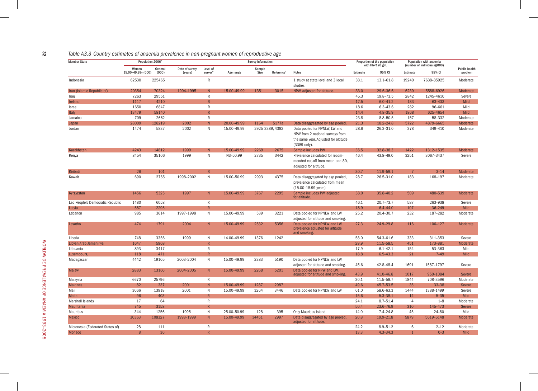| Table A3.3 Country estimates of anaemia prevalence in non-pregnant women of reproductive age |  |  |
|----------------------------------------------------------------------------------------------|--|--|
|                                                                                              |  |  |

| <b>Member State</b>              | Population 2006 <sup>a</sup> |                  |                           |                                        |             | <b>Survey Information</b> |                        |                                                                                                                           |          | Proportion of the population  |                | Population with anaemia                |                                 |
|----------------------------------|------------------------------|------------------|---------------------------|----------------------------------------|-------------|---------------------------|------------------------|---------------------------------------------------------------------------------------------------------------------------|----------|-------------------------------|----------------|----------------------------------------|---------------------------------|
|                                  | Women<br>15.00-49.99y (000)  | General<br>(000) | Date of survey<br>(years) | Level of<br><b>survey</b> <sup>b</sup> | Age range   | Sample<br>Size            | Reference <sup>c</sup> | <b>Notes</b>                                                                                                              | Estimate | with $Hb < 120 g/L$<br>95% CI | Estimate       | (number of individuals)(000)<br>95% CI | <b>Public health</b><br>problem |
| Indonesia                        | 62530                        | 225465           |                           | ${\sf R}$                              |             |                           |                        | 1 study at state level and 3 local<br>studies                                                                             | 33.1     | 13.1-61.8                     | 19240          | 7638-35925                             | Moderate                        |
| Iran (Islamic Republic of)       | 20354                        | 70324            | 1994-1995                 | N <sub>1</sub>                         | 15.00-49.99 | 1351                      | 3015                   | NPW, adjusted for altitude.                                                                                               | 33.0     | 29.6-36.6                     | 6239           | 5588-6926                              | Moderate                        |
| Iraq                             | 7263                         | 29551            |                           | R                                      |             |                           |                        |                                                                                                                           | 45.3     | 19.8-73.5                     | 2842           | 1245-4610                              | Severe                          |
| Ireland                          | 1117                         | 4210             |                           | R                                      |             |                           |                        |                                                                                                                           | 17.5     | $6.0 - 41.2$                  | 183            | 63-433                                 | Mild                            |
| Israel                           | 1650                         | 6847             |                           | $\mathsf{R}$                           |             |                           |                        |                                                                                                                           | 18.6     | $6.3 - 43.6$                  | 282            | 96-661                                 | Mild                            |
| Italy                            | 13479                        | 58140            |                           | R                                      |             |                           |                        |                                                                                                                           | 14.4     | $4.8 - 35.9$                  | 1868           | 625-4654                               | <b>Mild</b>                     |
| Jamaica                          | 709                          | 2662             |                           | $\mathsf{R}$                           |             |                           |                        |                                                                                                                           | 23.8     | $8.8 - 50.5$                  | 157            | 58-332                                 | Moderate                        |
| Japan                            | 28009                        | 128219           | 2002                      | N                                      | 20.00-49.99 | 1164                      | 5177a                  | Data disaggregated by age pooled.                                                                                         | 21.3     | 18.2-24.8                     | 5722           | 4879-6665                              | Moderate                        |
| Jordan                           | 1474                         | 5837             | 2002                      | N                                      | 15.00-49.99 |                           | 2925 3389, 4382        | Data pooled for NPNLW, LW and<br>NPW from 2 national surveys from<br>the same year. Adjusted for altitude<br>(3389 only). | 28.6     | 26.3-31.0                     | 378            | 349-410                                | Moderate                        |
| Kazakhstan                       | 4243                         | 14812            | 1999                      | N                                      | 15.00-49.99 | 2269                      | 2675                   | Sample includes PW                                                                                                        | 35.5     | 32.8-38.3                     | 1422           | 1312-1535                              | Moderate                        |
| Kenya                            | 8454                         | 35106            | 1999                      | N                                      | NS-50.99    | 2735                      | 3442                   | Prevalence calculated for recom-<br>mended cut-off from mean and SD,<br>adjusted for altitude.                            | 46.4     | 43.8-49.0                     | 3251           | 3067-3437                              | Severe                          |
| Kiribati                         | 26                           | 101              |                           | R                                      |             |                           |                        |                                                                                                                           | 30.7     | 11.9-59.1                     |                | $3 - 14$                               | Moderate                        |
| Kuwait                           | 690                          | 2765             | 1998-2002                 | N                                      | 15.00-50.99 | 2993                      | 4375                   | Data disaggregated by age pooled,<br>prevalence calculated from mean<br>(15.00-18.99 years)                               | 28.7     | 26.5-31.0                     | 183            | 168-197                                | Moderate                        |
| Kyrgyzstan                       | 1456                         | 5325             | 1997                      | N                                      | 15.00-49.99 | 3767                      | 2295                   | Sample includes PW, adjusted<br>for altitude.                                                                             | 38.0     | 35.8-40.2                     | 509            | 480-539                                | Moderate                        |
| Lao People's Democratic Republic | 1480                         | 6058             |                           | $\mathsf{R}$                           |             |                           |                        |                                                                                                                           | 46.1     | $20.7 - 73.7$                 | 587            | 263-938                                | Severe                          |
| Latvia                           | 587                          | 2295             |                           | $\mathsf{R}$                           |             |                           |                        |                                                                                                                           | 18.9     | $6.4 - 44.0$                  | 107            | 36-249                                 | <b>Mild</b>                     |
| Lebanon                          | 985                          | 3614             | 1997-1998                 | $\mathsf{N}$                           | 15.00-49.99 | 539                       | 3221                   | Data pooled for NPNLW and LW,<br>adjusted for altitude and smoking.                                                       | 25.2     | 20.4-30.7                     | 232            | 187-282                                | Moderate                        |
| Lesotho                          | 474                          | 1791             | 2004                      | N <sub>1</sub>                         | 15.00-49.99 | 2532                      | 5356                   | Data pooled for NPNLW and LW,<br>prevalence adjusted for altitude<br>and smoking.                                         | 27.3     | 24.9-29.8                     | 116            | 106-127                                | <b>Moderate</b>                 |
| Liberia                          | 748                          | 3356             | 1999                      | N                                      | 14.00-49.99 | 1376                      | 1242                   |                                                                                                                           | 58.0     | 54.3-61.6                     | 333            | 311-353                                | Severe                          |
| Libyan Arab Jamahiriya           | 1647                         | 5968             |                           | $\overline{R}$                         |             |                           |                        |                                                                                                                           | 29.9     | 11.5-58.5                     | 451            | 173-881                                | <b>Moderate</b>                 |
| Lithuania                        | 893                          | 3417             |                           | $\mathsf{R}$                           |             |                           |                        |                                                                                                                           | 17.9     | $6.1 - 42.1$                  | 154            | 53-363                                 | Mild                            |
| Luxembourg                       | 118                          | 471              |                           | $\overline{R}$                         |             |                           |                        |                                                                                                                           | 18.8     | $6.5 - 43.3$                  | 21             | $7 - 49$                               | <b>Mild</b>                     |
| Madagascar                       | 4442                         | 19105            | 2003-2004                 | $\mathsf{N}$                           | 15.00-49.99 | 2383                      | 5190                   | Data pooled for NPNLW and LW,<br>adjusted for altitude and smoking.                                                       | 45.6     | 42.8-48.4                     | 1691           | 1587-1797                              | Severe                          |
| <b>Malawi</b>                    | 2883                         | 13166            | 2004-2005                 | N                                      | 15.00-49.99 | 2268                      | 5201                   | Data pooled for NPW and LW.<br>adjusted for altitude and smoking.                                                         | 43.9     | 41.0-46.8                     | 1017           | 950-1084                               | Severe                          |
| Malaysia                         | 6670                         | 25796            |                           | $\mathsf{R}$                           |             |                           |                        |                                                                                                                           | 30.1     | 11.5-58.7                     | 1844           | 708-3596                               | Moderate                        |
| <b>Maldives</b>                  | 82                           | 337              | 2001                      | N                                      | 15.00-49.99 | 1287                      | 2987                   |                                                                                                                           | 49.6     | 45.7-53.5                     | 35             | $33 - 38$                              | Severe                          |
| Mali                             | 3066                         | 13918            | 2001                      | N                                      | 15.00-49.99 | 3264                      | 3446                   | Data pooled for NPNLW and LW                                                                                              | 61.0     | 58.6-63.3                     | 1444           | 1388-1499                              | Severe                          |
| <b>Malta</b>                     | 96                           | 403              |                           | $\mathsf{R}$                           |             |                           |                        |                                                                                                                           | 15.6     | $5.3 - 38.1$                  | 14             | $5 - 35$                               | <b>Mild</b>                     |
| Marshall Islands                 | 17                           | 64               |                           | $\mathsf{R}$                           |             |                           |                        |                                                                                                                           | 24.1     | $8.7 - 51.4$                  | $\overline{4}$ | $1 - 8$                                | Moderate                        |
| <b>Mauritania</b>                | 745                          | 3158             |                           | $\mathsf{R}$                           |             |                           |                        |                                                                                                                           | 50.4     | 23.6-76.9                     | 310            | 145-473                                | Severe                          |
| Mauritius                        | 344                          | 1256             | 1995                      | N                                      | 25.00-50.99 | 128                       | 395                    | Only Mauritius Island.                                                                                                    | 14.0     | $7.4 - 24.8$                  | 45             | $24 - 80$                              | Mild                            |
| <b>Mexico</b>                    | 30363                        | 108327           | 1998-1999                 | N                                      | 15.00-49.99 | 14451                     | 2997                   | Data disaggregated by age pooled,<br>adjusted for altitude.                                                               | 20.8     | 19.9-21.8                     | 5879           | 5619-6148                              | Moderate                        |
| Micronesia (Federated States of) | 28                           | 111              |                           | $\mathsf{R}$                           |             |                           |                        |                                                                                                                           | 24.2     | $8.9 - 51.2$                  | 6              | $2 - 12$                               | Moderate                        |
| <b>Monaco</b>                    | 8                            | 36               |                           | $\mathsf{R}$                           |             |                           |                        |                                                                                                                           | 13.3     | $4.3 - 34.3$                  |                | $0 - 3$                                | <b>Mild</b>                     |

 $32$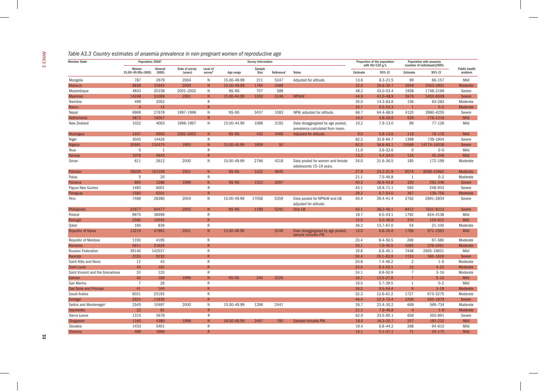|  | Table A3.3 Country estimates of anaemia prevalence in non-pregnant women of reproductive age |
|--|----------------------------------------------------------------------------------------------|
|  |                                                                                              |

| <b>Member State</b>                | Population 2006 <sup>a</sup> |                  |                           |                         |             | <b>Survey Information</b> |                        |                                                                       |          | Proportion of the population<br>with $Hb < 120 g/L$ | Population with anaemia<br>(number of individuals)(000) |             |  |
|------------------------------------|------------------------------|------------------|---------------------------|-------------------------|-------------|---------------------------|------------------------|-----------------------------------------------------------------------|----------|-----------------------------------------------------|---------------------------------------------------------|-------------|--|
|                                    | Women<br>15.00-49.99y (000)  | General<br>(000) | Date of survey<br>(years) | Level of<br>surveyb     | Age range   | Sample<br>Size            | Reference <sup>c</sup> | <b>Notes</b>                                                          | Estimate | 95% CI                                              | Estimate                                                | 95% CI      |  |
| Mongolia                           | 787                          | 2679             | 2004                      | N                       | 15.00-49.99 | 211                       | 5247                   | Adjusted for altitude.                                                | 13.6     | $8.3 - 21.5$                                        | 99                                                      | 60-157      |  |
| Morocco                            | 8839                         | 31943            | 2000                      | ${\sf N}$               | 15.00-49.99 | 1784                      | 3469                   |                                                                       | 32.6     | 29.6-35.7                                           | 2646                                                    | 2403-2901   |  |
| Mozambique                         | 4843                         | 20158            | 2001-2002                 | ${\sf N}$               | NS-NS       | 707                       | 589                    |                                                                       | 48.2     | 43.0-53.4                                           | 1958                                                    | 1748-2169   |  |
| Myanmar                            | 14248                        | 51009            | 2001                      | N                       | 15.00-44.99 | 1200                      | 5246                   | <b>NPNLW</b>                                                          | 44.9     | 41.0-48.9                                           | 5976                                                    | 5452-6509   |  |
| Namibia                            | 499                          | 2052             |                           | $\mathsf{R}$            |             |                           |                        |                                                                       | 35.0     | 14.3-63.6                                           | 156                                                     | 63-283      |  |
| Nauru                              | $\overline{4}$               | 14               |                           | $\overline{R}$          |             |                           |                        |                                                                       | 25.7     | $9.5 - 53.3$                                        | $\overline{1}$                                          | $0 - 2$     |  |
| Nepal                              | 6969                         | 27678            | 1997-1998                 | $\mathsf{N}$            | NS-NS       | 3437                      | 1083                   | NPW, adjusted for altitude.                                           | 66.7     | 64.4-68.9                                           | 4120                                                    | 3980-4255   |  |
| <b>Netherlands</b>                 | 3872                         | 16367            |                           | ${\sf R}$               |             |                           |                        |                                                                       | 14.2     | $4.8 - 35.6$                                        | 526                                                     | 176-1316    |  |
| New Zealand                        | 1022                         | 4063             | 1996-1997                 | N                       | 15.00-44.99 | 1088                      | 3192                   | Data disaggregated by age pooled,<br>prevalence calculated from mean. | 10.2     | $7.9 - 13.0$                                        | 99                                                      | $77 - 126$  |  |
| Nicaragua                          | 1447                         | 5600             | 2002-2003                 | ${\sf N}$               | NS-NS       | 432                       | 4466                   | Adjusted for altitude.                                                | 9.0      | $5.8 - 13.6$                                        | 116                                                     | 76-176      |  |
| Niger                              | 3043                         | 14426            |                           | ${\sf R}$               |             |                           |                        |                                                                       | 62.2     | 32.8-84.7                                           | 1398                                                    | 739-1904    |  |
| Nigeria                            | 30591                        | 134375           | 1993                      | N                       | 15.00-45.99 | 1859                      | 50                     |                                                                       | 62.0     | 58.8-65.1                                           | 15568                                                   | 14774-16338 |  |
| Niue                               | $\mathbf 0$                  | 1                |                           | $\mathsf{R}$            |             |                           |                        |                                                                       | 11.9     | $3.6 - 32.6$                                        | $\overline{0}$                                          | $0-0$       |  |
| Norway                             | 1078                         | 4643             |                           | $\overline{\mathsf{R}}$ |             |                           |                        |                                                                       | 13.3     | 4.4-34.0                                            | 136                                                     | 45-348      |  |
| Oman                               | 611                          | 2612             | 2000                      | $\mathsf{N}$            | 15.00-49.99 | 2766                      | 4218                   | Data pooled for women and female<br>adolescents 15-19 years.          | 34.0     | 31.6-36.5                                           | 185                                                     | 172-199     |  |
| Pakistan                           | 39205                        | 161209           | 2001                      | ${\sf N}$               | NS-NS       | 1022                      | 4640                   |                                                                       | 27.9     | 24.2-31.9                                           | 9574                                                    | 8298-10962  |  |
| Palau                              | $5\phantom{.0}$              | 20               |                           | ${\sf R}$               |             |                           |                        |                                                                       | 21.1     | $7.5 - 46.8$                                        | $\overline{1}$                                          | $0 - 2$     |  |
| Panama                             | 865                          | 3288             | 1999                      | N                       | NS-NS       | 1523                      | 3097                   |                                                                       | 40.3     | 36.9-43.8                                           | 320                                                     | 293-348     |  |
| Papua New Guinea                   | 1483                         | 6001             |                           | $\mathsf{R}$            |             |                           |                        |                                                                       | 43.1     | 18.9-71.1                                           | 565                                                     | 248-933     |  |
| Paraguay                           | 1580                         | 6301             |                           | $\overline{\mathsf{R}}$ |             |                           |                        |                                                                       | 26.2     | $9.7 - 54.0$                                        | 367                                                     | 136-756     |  |
| Peru                               | 7469                         | 28380            | 2004                      | $\mathsf{N}$            | 15.00-49.99 | 17058                     | 5359                   | Data pooled for NPNLW and LW,<br>adjusted for altitude.               | 40.4     | 39.4-41.4                                           | 2762                                                    | 2691-2834   |  |
| Philippines                        | 21977                        | 84477            | 2003                      | N                       | NS-NS       | 1189                      | 5242                   | Only LW                                                               | 42.1     | $38.2 - 46.1$                                       | 8412                                                    | 7631-9213   |  |
| Poland                             | 9975                         | 38499            |                           | ${\sf R}$               |             |                           |                        |                                                                       | 18.7     | $6.5 - 43.1$                                        | 1792                                                    | 624-4138    |  |
| Portugal                           | 2580                         | 10545            |                           | $\mathsf R$             |             |                           |                        |                                                                       | 15.0     | $5.0 - 36.9$                                        | 370                                                     | 124-912     |  |
| Qatar                              | 165                          | 839              |                           | ${\sf R}$               |             |                           |                        |                                                                       | 36.2     | 13.7-67.0                                           | 54                                                      | $21 - 100$  |  |
| <b>Republic of Korea</b>           | 13219                        | 47983            | 2001                      | $\overline{N}$          | 15.00-49.99 |                           | 5249                   | Data disaggregated by age pooled;<br>sample includes PW.              | 14.0     | $6.8 - 26.6$                                        | 1788                                                    | 872-3393    |  |
| Republic of Moldova                | 1193                         | 4195             |                           | $\mathsf{R}$            |             |                           |                        |                                                                       | 23.4     | 8.4-50.5                                            | 269                                                     | 97-580      |  |
| Romania                            | 5611                         | 21629            |                           | $\overline{R}$          |             |                           |                        |                                                                       | 20.1     | $7.0 - 45.5$                                        | 1085                                                    | 379-2461    |  |
| <b>Russian Federation</b>          | 39140                        | 142537           |                           | $\mathsf R$             |             |                           |                        |                                                                       | 19.8     | $6.9 - 45.1$                                        | 7448                                                    | 2605-16931  |  |
| Rwanda                             | 2335                         | 9230             |                           | $\overline{\mathsf{R}}$ |             |                           |                        |                                                                       | 59.4     | 29.1-83.9                                           | 1153                                                    | 565-1629    |  |
| Saint Kitts and Nevis              | 12                           | 43               |                           | ${\sf R}$               |             |                           |                        |                                                                       | 20.8     | $7.4 - 46.2$                                        | $\overline{2}$                                          | $1 - 5$     |  |
| <b>Saint Lucia</b>                 | 45                           | 162              |                           | R                       |             |                           |                        |                                                                       | 25.0     | $9.3 - 52.1$                                        | 10                                                      | $4 - 22$    |  |
| Saint Vincent and the Grenadines   | 33                           | 120              |                           | ${\sf R}$               |             |                           |                        |                                                                       | 24.1     | 8.9-50.9                                            | $\overline{7}$                                          | $3 - 16$    |  |
| Samoa                              | 42                           | 186              | 1999                      | ${\sf N}$               | NS-NS       | 240                       | 3226                   |                                                                       | 19.7     | $13.5 - 27.8$                                       |                                                         | $5 - 10$    |  |
| San Marino                         | $\overline{7}$               | 28               |                           | $\mathsf{R}$            |             |                           |                        |                                                                       | 16.5     | $5.7 - 39.5$                                        | $\mathbf{1}$                                            | $0 - 2$     |  |
| Sao Tome and Principe              | 41                           | 160              |                           | $\overline{\mathsf{R}}$ |             |                           |                        |                                                                       | 26.2     | $9.5 - 54.4$                                        | 9                                                       | $3 - 19$    |  |
| Saudi Arabia                       | 6031                         | 25193            |                           | ${\sf R}$               |             |                           |                        |                                                                       | 32.3     | 12.6-61.2                                           | 1727                                                    | 673-3275    |  |
| Senegal                            | 2923                         | 11936            |                           | R                       |             |                           |                        |                                                                       | 48.4     | $22.3 - 75.4$                                       | 1206                                                    | 555-1879    |  |
| Serbia and Montenegro <sup>e</sup> | 2545                         | 10497            | 2000                      | ${\sf N}$               | 15.00-49.99 | 1296                      | 2441                   |                                                                       | 26.7     | 23.4-30.2                                           | 648                                                     | 569-734     |  |
| <b>Seychelles</b>                  | 22                           | 81               |                           | $\overline{\mathsf{R}}$ |             |                           |                        |                                                                       | 21.1     | $7.6 - 46.8$                                        | $\overline{4}$                                          | $1-9$       |  |
| Sierra Leone                       | 1315                         | 5679             |                           | ${\sf R}$               |             |                           |                        |                                                                       | 62.9     | 33.5-85.1                                           | 658                                                     | 350-891     |  |
| Singapore                          | 1160                         | 4380             | 1998                      | ${\sf N}$               | 18.00-69.99 | 2467                      | 760                    | Sample includes PW.                                                   | 18.4     | $16.3 - 20.7$                                       | 207                                                     | 183-232     |  |
| Slovakia                           | 1433                         | 5401             |                           | ${\sf R}$               |             |                           |                        |                                                                       | 19.4     | $6.8 - 44.2$                                        | 268                                                     | 94-610      |  |
| Slovenia                           | 489                          | 1966             |                           | $\overline{R}$          |             |                           |                        |                                                                       | 15.1     | $5.1 - 37.1$                                        | 71                                                      | $24 - 175$  |  |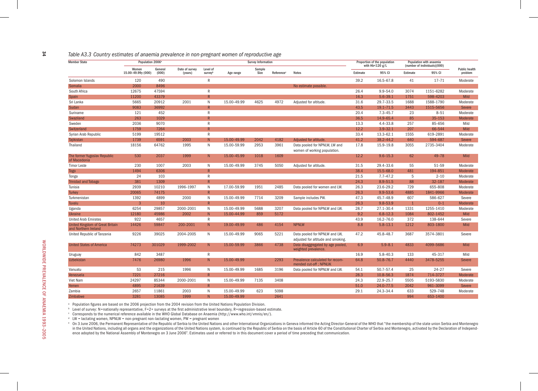#### *Table A3.3 Country estimates of anaemia prevalence in non-pregnant women of reproductive age*

| <b>Member State</b>                                            | Population 2006 <sup>a</sup> |                  |                           |                |             | <b>Survey Information</b> |                        | Proportion of the population                                        |                     | Population with anaemia |                              |                      |             |
|----------------------------------------------------------------|------------------------------|------------------|---------------------------|----------------|-------------|---------------------------|------------------------|---------------------------------------------------------------------|---------------------|-------------------------|------------------------------|----------------------|-------------|
|                                                                |                              |                  |                           | Level of       |             |                           |                        |                                                                     | with $Hb < 120 g/L$ |                         | (number of individuals)(000) | <b>Public health</b> |             |
|                                                                | Women<br>15.00-49.99y (000)  | General<br>(000) | Date of survey<br>(years) | surveyb        | Age range   | Sample<br>Size            | Reference <sup>c</sup> | <b>Notes</b>                                                        | Estimate            | 95% CI                  | Estimate                     | 95% CI               | problem     |
| Solomon Islands                                                | 120                          | 490              |                           | R              |             |                           |                        |                                                                     | 39.2                | 16.5-67.8               | 41                           | $17 - 71$            | Moderate    |
| Somalia                                                        | 2000                         | 8496             |                           |                |             |                           |                        | No estimate possible.                                               |                     |                         |                              |                      |             |
| South Africa                                                   | 12675                        | 47594            |                           | $\mathsf{R}$   |             |                           |                        |                                                                     | 26.4                | $9.9 - 54.0$            | 3074                         | 1151-6282            | Moderate    |
| Spain                                                          | 11200                        | 43379            |                           | $\mathsf{R}$   |             |                           |                        |                                                                     | 16.3                | $5.6 - 39.1$            | 1751                         | 598-4203             | Mild        |
| Sri Lanka                                                      | 5665                         | 20912            | 2001                      | $\mathsf{N}$   | 15.00-49.99 | 4625                      | 4972                   | Adjusted for altitude.                                              | 31.6                | 29.7-33.5               | 1688                         | 1588-1790            | Moderate    |
| Sudan                                                          | 9083                         | 36992            |                           | $\mathsf{R}$   |             |                           |                        |                                                                     | 43.5                | $19.1 - 71.5$           | 3443                         | 1515-5656            | Severe      |
| Suriname                                                       | 121                          | 452              |                           | R              |             |                           |                        |                                                                     | 20.4                | $7.3 - 45.7$            | 23                           | $8 - 51$             | Moderate    |
| Swaziland                                                      | 263                          | 1029             |                           |                |             |                           |                        |                                                                     | 36.5                | 14.9-65.4               | 85                           | $35 - 153$           | Moderate    |
| Sweden                                                         | 2036                         | 9070             |                           | R              |             |                           |                        |                                                                     | 13.3                | $4.4 - 33.8$            | 257                          | 85-656               | Mild        |
| Switzerland                                                    | 1759                         | 7264             |                           |                |             |                           |                        |                                                                     | 12.2                | $3.9 - 32.1$            | 207                          | 66-544               | Mild        |
| Syrian Arab Republic                                           | 5199                         | 19512            |                           | $\mathsf{R}$   |             |                           |                        |                                                                     | 33.4                | 13.3-62.1               | 1555                         | 619-2891             | Moderate    |
| Tajikistan                                                     | 1739                         | 6591             | 2003                      | N              | 15.00-49.99 | 2042                      | 4182                   | Adjusted for altitude.                                              | 41.2                | $38.2 - 44.2$           | 640                          | 594-687              | Severe      |
| Thailand                                                       | 18156                        | 64762            | 1995                      | N              | 15.00-59.99 | 2953                      | 3961                   | Data pooled for NPNLW, LW and<br>women of working population.       | 17.8                | 15.9-19.8               | 3055                         | 2735-3404            | Moderate    |
| The former Yugoslav Republic<br>of Macedonia                   | 530                          | 2037             | 1999                      | N              | 15.00-45.99 | 1018                      | 1609                   |                                                                     | 12.2                | $9.6 - 15.3$            | 62                           | $49 - 78$            | Mild        |
| <b>Timor Leste</b>                                             | 230                          | 1007             | 2003                      | N              | 15.00-49.99 | 3745                      | 5050                   | Adjusted for altitude.                                              | 31.5                | 29.4-33.6               | 55                           | 51-59                | Moderate    |
| <b>Togo</b>                                                    | 1494                         | 6306             |                           | R              |             |                           |                        |                                                                     | 38.4                | 15.5-68.0               | 481                          | 194-851              | Moderate    |
| Tonga                                                          | 24                           | 103              |                           | $\mathsf{R}$   |             |                           |                        |                                                                     | 21.5                | $7.7 - 47.2$            | 5                            | $2 - 10$             | Moderate    |
| <b>Trinidad and Tobago</b>                                     | 381                          | 1309             |                           | R              |             |                           |                        |                                                                     | 24.3                | $8.9 - 51.5$            | 88                           | $32 - 187$           | Moderate    |
| Tunisia                                                        | 2939                         | 10210            | 1996-1997                 | N              | 17.00-59.99 | 1951                      | 2485                   | Data pooled for women and LW.                                       | 26.3                | 23.6-29.2               | 729                          | 655-808              | Moderate    |
| <b>Turkey</b>                                                  | 20065                        | 74175            |                           | $\overline{R}$ |             |                           |                        |                                                                     | 26.3                | $9.9 - 53.6$            | 4885                         | 1841-9966            | Moderate    |
| Turkmenistan                                                   | 1392                         | 4899             | 2000                      | N              | 15.00-49.99 | 7714                      | 3209                   | Sample includes PW.                                                 | 47.3                | 45.7-48.9               | 607                          | 586-627              | Severe      |
| Tuvalu                                                         | 3                            | 10               |                           | $\mathsf{R}$   |             |                           |                        |                                                                     | 26.3                | $9.8 - 53.9$            | $\mathbf{1}$                 | $0 - 1$              | Moderate    |
| Uganda                                                         | 6254                         | 29857            | 2000-2001                 | $\mathsf{N}$   | 15.00-49.99 | 5688                      | 3207                   | Data pooled for NPNLW and LW.                                       | 28.7                | 27.1-30.4               | 1331                         | 1255-1410            | Moderate    |
| <b>Ukraine</b>                                                 | 12180                        | 45986            | 2002                      | N              | 15.00-44.99 | 859                       | 5172                   |                                                                     | 9.2                 | $6.8 - 12.3$            | 1084                         | 802-1452             | <b>Mild</b> |
| <b>United Arab Emirates</b>                                    | 922                          | 4657             |                           | $\mathsf R$    |             |                           |                        |                                                                     | 43.9                | 16.2-76.0               | 372                          | 138-644              | Severe      |
| <b>United Kingdom of Great Britain</b><br>and Northern Ireland | 14426                        | 59847            | 200-2001                  | N.             | 19.00-49.99 | 486                       | 4154                   | <b>NPNLW</b>                                                        | 8.8                 | $5.8 - 13.1$            | 1212                         | 803-1800             | Mild        |
| United Republic of Tanzania                                    | 9226                         | 39025            | 2004-2005                 | N              | 15.00-49.99 | 9065                      | 5221                   | Data pooled for NPNLW and LW,<br>adjusted for altitude and smoking. | 47.2                | 45.8-48.7               | 3687                         | 3574-3801            | Severe      |
| <b>United States of America</b>                                | 74273                        | 301029           | 1999-2002                 | N              | 15.00-59.99 | 3866                      | 4738                   | Data disaggregated by age pooled,<br>weighted prevalence.           | 6.9                 | $5.9 - 8.1$             | 4833                         | 4099-5686            | Mild        |
| Uruguay                                                        | 842                          | 3487             |                           | $\mathsf{R}$   |             |                           |                        |                                                                     | 16.9                | $5.8 - 40.3$            | 133                          | 45-317               | Mild        |
| <b>Uzbekistan</b>                                              | 7476                         | 26980            | 1996                      | N              | 15.00-49.99 |                           | 2293                   | Prevalence calculated for recom-<br>mended cut-off; NPNLW.          | 64.8                | $50.8 - 76.7$           | 4440                         | 3478-5255            | Severe      |
| Vanuatu                                                        | 53                           | 215              | 1996                      | N              | 15.00-49.99 | 1685                      | 3196                   | Data pooled for NPNLW and LW.                                       | 54.1                | 50.7-57.4               | 25                           | $24 - 27$            | Severe      |
| Venezuela                                                      | 7221                         | 27216            |                           | $\overline{R}$ |             |                           |                        |                                                                     | 28.3                | 10.8-56.3               | 1874                         | 714-3727             | Moderate    |
| Viet Nam                                                       | 24297                        | 85344            | 2000-2001                 | N              | 15.00-49.99 | 7135                      | 3408                   |                                                                     | 24.3                | 22.9-25.7               | 5505                         | 5193-5830            | Moderate    |
| Yemen                                                          | 4895                         | 21639            |                           | $\mathsf{R}$   |             |                           |                        |                                                                     | 51.0                | 24.0-77.5               | 2042                         | 961-3099             | Severe      |
| Zambia                                                         | 2657                         | 11861            | 2003                      | N              | 15.00-49.99 | 623                       | 5098                   |                                                                     | 29.1                | 24.3-34.4               | 633                          | 529-748              | Moderate    |
| Zimbabwe                                                       | 3281                         | 13085            | 1999                      | N              | 15.00-49.99 |                           | 2641                   |                                                                     |                     |                         | 994                          | 653-1400             |             |

<sup>a</sup> Population figures are based on the 2006 projection from the 2004 revision from the United Nations Population Division.

b Level of survey: N=nationally representative, F=2+ surveys at the first administrative level boundary, R=regression-based estimate.

c Corresponds to the numerical reference available in the WHO Global Database on Anaemia (http://www.who.int/vmnis/en/).

<sup>d</sup> LW = lactating women, NPNLW = non-pregnant non-lactating women, PW = pregnant women

° On 3 June 2006, the Permanent Representative of the Republic of Serbia to the United Nations and other International Organizations in Geneva informed the Acting Director-General of the WHO that "the membership of the sta in the United Nations, including all organs and the organizations of the United Nations system, is continued by the Republic of Serbia on the basis of Article 60 of the Constitutional Charter of Serbia and Montenegro, acti ence adopted by the National Assembly of Montenegro on 3 June 2006". Estimates used or referred to in this document cover a period of time preceding that communication.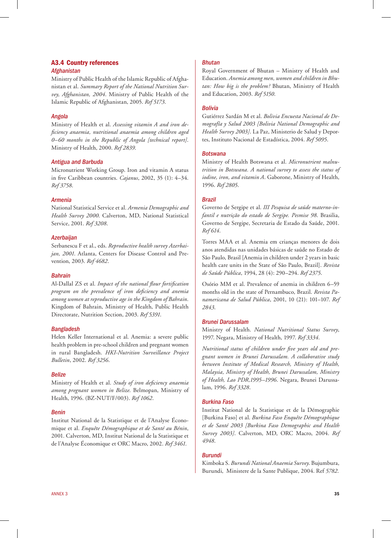#### A3.4 Country references *Afghanistan*

Ministry of Public Health of the Islamic Republic of Afghanistan et al. *Summary Report of the National Nutrition Survey, Afghanistan, 2004*. Ministry of Public Health of the Islamic Republic of Afghanistan, 2005. *Ref 5173*.

#### *Angola*

Ministry of Health et al. *Assessing vitamin A and iron deficiency anaemia, nutritional anaemia among children aged 0–60 months in the Republic of Angola [technical report]*. Ministry of Health, 2000. *Ref 2839*.

#### *Antigua and Barbuda*

Micronutrient Working Group. Iron and vitamin A status in five Caribbean countries. *Cajanus*, 2002, 35 (1): 4–34. *Ref 3758*.

#### *Armenia*

National Statistical Service et al. *Armenia Demographic and Health Survey 2000*. Calverton, MD, National Statistical Service, 2001. *Ref 3208*.

#### *Azerbaijan*

Serbanescu F et al., eds. *Reproductive health survey Azerbaijan, 2001*. Atlanta, Centers for Disease Control and Prevention, 2003. *Ref 4682*.

#### *Bahrain*

Al-Dallal ZS et al. *Impact of the national flour fortification program on the prevalence of iron deficiency and anemia among women at reproductive age in the Kingdom of Bahrain*. Kingdom of Bahrain, Ministry of Health, Public Health Directorate, Nutrition Section, 2003. *Ref 5391*.

#### *Bangladesh*

Helen Keller International et al. Anemia: a severe public health problem in pre-school children and pregnant women in rural Bangladesh. *HKI-Nutrition Surveillance Project Bulletin*, 2002. *Ref 3256*.

#### *Belize*

Ministry of Health et al. *Study of iron deficiency anaemia among pregnant women in Belize*. Belmopan, Ministry of Health, 1996. (BZ-NUT/F/003). *Ref 1062*.

#### *Benin*

Institut National de la Statistique et de l'Analyse Économique et al. *Enquête Démographique et de Santé au Bénin*, 2001. Calverton, MD, Institut National de la Statistique et de l'Analyse Économique et ORC Macro, 2002. *Ref 3461*.

#### *Bhutan*

Royal Government of Bhutan – Ministry of Health and Education. *Anemia among men, women and children in Bhutan: How big is the problem?* Bhutan, Ministry of Health and Education, 2003. *Ref 5150*.

#### *Bolivia*

Gutiérrez Sardán M et al. *Bolivia Encuesta Nacional de Demografía y Salud 2003 [Bolivia National Demographic and Health Survey 2003]*. La Paz, Ministerio de Salud y Deportes, Instituto Nacional de Estadística, 2004. *Ref 5095*.

#### *Botswana*

Ministry of Health Botswana et al. *Micronutrient malnutrition in Botswana. A national survey to assess the status of iodine, iron, and vitamin A*. Gaborone, Ministry of Health, 1996. *Ref 2805*.

#### *Brazil*

Governo de Sergipe et al. *III Pesquisa de saúde materno-infantil e nutrição do estado de Sergipe. Pesmise 98*. Brasilia, Governo de Sergipe, Secretaria de Estado da Saúde, 2001. *Ref 614*.

Torres MAA et al. Anemia em crianças menores de dois anos atendidas nas unidades básicas de saúde no Estado de São Paulo, Brasil [Anemia in children under 2 years in basic health care units in the State of São Paulo, Brazil]. *Revista de Saúde Pública*, 1994, 28 (4): 290–294. *Ref 2375*.

Osório MM et al. Prevalence of anemia in children 6–59 months old in the state of Pernambuco, Brazil. *Revista Panamericana de Salud Pública*, 2001, 10 (21): 101–107. *Ref 2843*.

#### *Brunei Darussalam*

Ministry of Health. *National Nutritional Status Survey*, 1997. Negara, Ministry of Health, 1997. *Ref 3334*.

*Nutritional status of children under five years old and pregnant women in Brunei Darussalam. A collaborative study between Institute of Medical Research, Ministry of Health, Malaysia, Ministry of Health, Brunei Darussalam, Ministry of Health, Lao PDR,1995–1996*. Negara, Brunei Darussalam, 1996. *Ref 3328*.

#### *Burkina Faso*

Institut National de la Statistique et de la Démographie [Burkina Faso] et al. *Burkina Faso Enquête Démographique et de Santé 2003 [Burkina Faso Demographic and Health Survey 2003]*. Calverton, MD, ORC Macro, 2004. *Ref 4948*.

#### *Burundi*

Kimboka S. *Burundi National Anaemia Survey*. Bujumbura, Burundi, Ministere de la Sante Publique, 2004. Ref *5782*.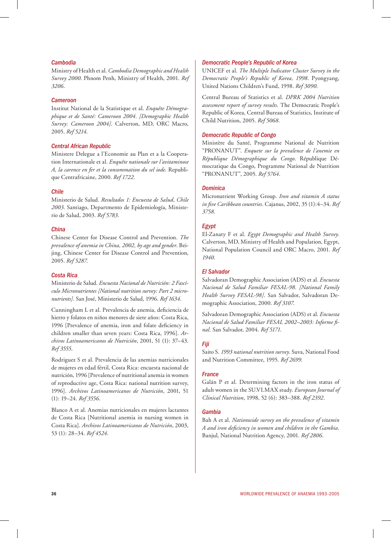#### *Cambodia*

Ministry of Health et al. *Cambodia Demographic and Health Survey 2000*. Phnom Penh, Ministry of Health, 2001. *Ref 3206*.

#### *Cameroon*

Institut National de la Statistique et al. *Enquête Démographique et de Santé: Cameroon 2004. [Demographic Health Survey: Cameroon 2004]*. Calverton, MD, ORC Macro, 2005. *Ref 5214*.

#### *Central African Republic*

Ministere Delegue a l'Economie au Plan et a la Cooperation Internationale et al. *Enquête nationale sur l'avitaminose A, la carence en fer et la consommation du sel iode*. Republique Centrafricaine, 2000. *Ref 1722.*

#### *Chile*

Ministerio de Salud. *Resultados 1: Encuesta de Salud, Chile 2003*. Santiago, Departmento de Epidemiología, Ministerio de Salud, 2003. *Ref 5783*.

#### *China*

Chinese Center for Disease Control and Prevention. *The prevalence of anemia in China, 2002, by age and gender*. Beijing, Chinese Center for Disease Control and Prevention, 2005. *Ref 5287*.

#### *Costa Rica*

Ministerio de Salud. *Encuesta Nacional de Nutrición: 2 Fascículo Micronutrientes [National nutrition survey: Part 2 micronutrients]*. San José, Ministerio de Salud, 1996. *Ref 1634*.

Cunningham L et al. Prevalencia de anemia, deficiencia de hierro y folatos en niños menores de siete años: Costa Rica, 1996 [Prevalence of anemia, iron and folate deficiency in children smaller than seven years: Costa Rica, 1996]. *Archivos Latinoamericanos de Nutrición*, 2001, 51 (1): 37–43. *Ref 3555*.

Rodriguez S et al. Prevalencia de las anemias nutricionales de mujeres en edad fértil, Costa Rica: encuesta nacional de nutrición, 1996 [Prevalence of nutritional anemia in women of reproductive age, Costa Rica: national nutrition survey, 1996]. *Archivos Latinoamericanos de Nutrición*, 2001, 51 (1): 19–24. *Ref 3556*.

Blanco A et al. Anemias nutricionales en mujeres lactantes de Costa Rica [Nutritional anemia in nursing women in Costa Rica]. *Archivos Latinoamericanos de Nutrición*, 2003, 53 (1): 28–34. *Ref 4524*.

#### *Democratic People's Republic of Korea*

UNICEF et al. *The Multiple Indicator Cluster Survey in the Democratic People's Republic of Korea, 1998*. Pyongyang, United Nations Children's Fund, 1998. *Ref 3090*.

Central Bureau of Statistics et al. *DPRK 2004 Nutrition assessment report of survey results*. The Democratic People's Republic of Korea, Central Bureau of Statistics, Institute of Child Nutrition, 2005. *Ref 5068*.

#### *Democratic Republic of Congo*

Ministère du Santé, Programme National de Nutrition "PRONANUT". *Enquete sur la prevalence de l'anemie en République Démographique du Congo*. République Démocratique du Congo, Programme National de Nutrition "PRONANUT", 2005. *Ref 5764*.

#### *Dominica*

Micronutrient Working Group. *Iron and vitamin A status in five Caribbean countries*. Cajanus, 2002, 35 (1):4–34. *Ref 3758*.

#### *Egypt*

El-Zanaty F et al. *Egypt Demographic and Health Survey*. Calverton, MD, Ministry of Health and Population, Egypt, National Population Council and ORC Macro, 2001. *Ref 1940*.

#### *El Salvador*

Salvadoran Demographic Association (ADS) et al. *Encuesta Nacional de Salud Familiar FESAL-98. [National Family Health Survey FESAL-98]*. San Salvador, Salvadoran Demographic Association, 2000. *Ref 3107*.

Salvadoran Demographic Association (ADS) et al. *Encuesta Nacional de Salud Familiar FESAL 2002–2003: Informe final*. San Salvador, 2004. *Ref 5171*.

#### *Fiji*

Saito S. *1993 national nutrition survey*. Suva, National Food and Nutrition Committee, 1995. *Ref 2699*.

#### *France*

Galán P et al. Determining factors in the iron status of adult women in the SU.VI.MAX study. *European Journal of Clinical Nutrition*, 1998, 52 (6): 383–388. *Ref 2392*.

#### *Gambia*

Bah A et al. *Nationwide survey on the prevalence of vitamin A and iron deficiency in women and children in the Gambia*. Banjul, National Nutrition Agency, 2001. *Ref 2806*.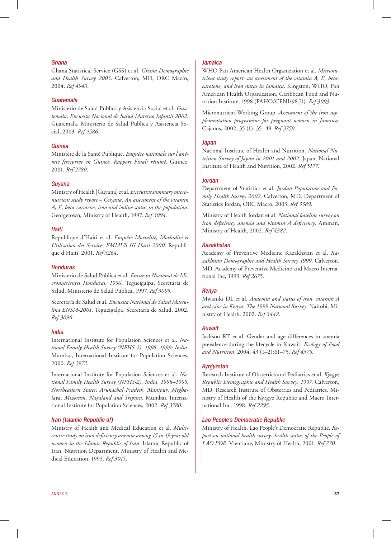#### *Ghana*

Ghana Statistical Service (GSS) et al. *Ghana Demographic and Health Survey 2003*. Calverton, MD, ORC Macro, 2004. *Ref 4943*.

#### *Guatemala*

Ministerio de Salud Publica y Asistencia Social et al. *Guatemala, Encuesta Nacional de Salud Materno Infantil 2002*. Guatemala, Ministerio de Salud Publica y Asistencia Social, 2003. *Ref 4586*.

#### *Guinea*

Ministère de la Santé Publique. *Enquête nationale sur l'anémie ferriprive en Guinée. Rapport Final: résumé*. Guinee, 2001. *Ref 2780*.

#### *Guyana*

Ministry of Health [Guyana] et al. *Executive summary micronutrient study report – Guyana. An assessment of the vitamin A, E, beta-carotene, iron and iodine status in the population*. Georgetown, Ministry of Health, 1997. *Ref 3094*.

#### *Haiti*

Republique d'Haiti et al. *Enquête Mortalité, Morbidité et Utilisation des Services EMMUS-III Haïti 2000*. Republique d'Haiti, 2001. *Ref 3264*.

#### *Honduras*

Ministerio de Salud Pública et al. *Encuesta Nacional de Micronutrientes Honduras, 1996*. Tegucigalpa, Secretaria de Salud, Ministerio de Salud Pública, 1997. *Ref 3095*.

Secretaría de Salud et al. *Encuesta Nacional de Salud Masculina ENSM-2001*. Tegucigalpa, Secretaría de Salud, 2002. *Ref 3096*.

#### *India*

International Institute for Population Sciences et al. *National Family Health Survey (NFHS-2), 1998–1999: India*. Mumbai, International Institute for Population Sciences, 2000. *Ref 2972*.

International Institute for Population Sciences et al. *National Family Health Survey (NFHS-2), India, 1998–1999, Northeastern States: Arunachal Pradesh, Manipur, Meghalaya, Mizoram, Nagaland and Tripura*. Mumbai, International Institute for Population Sciences, 2002. *Ref 3780*.

#### *Iran (Islamic Republic of)*

Ministry of Health and Medical Education et al. *Multicentre study on iron deficiency anemia among 15 to 49 year old women in the Islamic Republic of Iran*. Islamic Republic of Iran, Nutrition Department, Ministry of Health and Medical Education, 1995. *Ref 3015*.

#### *Jamaica*

WHO Pan American Health Organization et al. *Micronutrient study report: an assessment of the vitamin A, E, betacarotene, and iron status in Jamaica*. Kingston, WHO, Pan American Health Organization, Caribbean Food and Nutrition Institute, 1998 (PAHO/CFNI/98.J1). *Ref 3093*.

Micronutrient Working Group. *Assessment of the iron supplementation programme for pregnant women in Jamaica*. Cajanus, 2002, 35 (1): 35–49. *Ref 3759*.

#### *Japan*

National Institute of Health and Nutrition. *National Nutrition Survey of Japan in 2001 and 2002*. Japan, National Institute of Health and Nutrition, 2002. *Ref 5177*.

#### *Jordan*

Department of Statistics et al. *Jordan Population and Family Health Survey 2002*. Calverton, MD, Department of Statistics Jordan, ORC Macro, 2003. *Ref 3389*.

Ministry of Health Jordan et al. *National baseline survey on iron deficiency anemia and vitamin A deficiency*. Amman, Ministry of Health, 2002. *Ref 4382*.

#### *Kazakhstan*

Academy of Preventive Medicine Kazakhstan et al. *Kazakhstan Demographic and Health Survey 1999*. Calverton, MD, Academy of Preventive Medicine and Macro International Inc, 1999. *Ref 2675*.

#### *Kenya*

Mwaniki DL et al. *Anaemia and status of iron, vitamin A and zinc in Kenya. The 1999 National Survey*. Nairobi, Ministry of Health, 2002. *Ref 3442*.

#### *Kuwait*

Jackson RT et al. Gender and age differences in anemia prevalence during the lifecycle in Kuwait. *Ecology of Food and Nutrition*, 2004, 43 (1–2):61–75. *Ref 4375*.

#### *Kyrgyzstan*

Research Institute of Obstetrics and Pediatrics et al. *Kyrgyz Republic Demographic and Health Survey, 1997*. Calverton, MD, Research Institute of Obstetrics and Pediatrics, Ministry of Health of the Kyrgyz Republic and Macro International Inc, 1998. *Ref 2295*.

#### *Lao People's Democratic Republic*

Ministry of Health, Lao People's Democratic Republic. *Report on national health survey: health status of the People of LAO PDR*. Vientiane, Ministry of Health, 2001. *Ref 770*.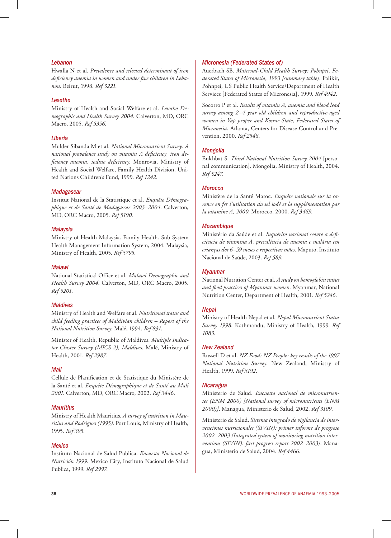#### *Lebanon*

Hwalla N et al. *Prevalence and selected determinant of iron deficiency anemia in women and under five children in Lebanon*. Beirut, 1998. *Ref 3221*.

#### *Lesotho*

Ministry of Health and Social Welfare et al. *Lesotho Demographic and Health Survey 2004*. Calverton, MD, ORC Macro, 2005. *Ref 5356*.

#### *Liberia*

Mulder-Sibanda M et al. *National Micronutrient Survey. A national prevalence study on vitamin A deficiency, iron deficiency anemia, iodine deficiency*. Monrovia, Ministry of Health and Social Welfare, Family Health Division, United Nations Children's Fund, 1999. *Ref 1242*.

#### *Madagascar*

Institut National de la Statistique et al. *Enquête Démographique et de Santé de Madagascar 2003–2004*. Calverton, MD, ORC Macro, 2005. *Ref 5190*.

#### *Malaysia*

Ministry of Health Malaysia. Family Health. Sub System Health Management Information System, 2004. Malaysia, Ministry of Health, 2005. *Ref 5795*.

#### *Malawi*

National Statistical Office et al. *Malawi Demographic and Health Survey 2004*. Calverton, MD, ORC Macro, 2005. *Ref 5201*.

#### *Maldives*

Ministry of Health and Welfare et al. *Nutritional status and child feeding practices of Maldivian children – Report of the National Nutrition Survey*. Malé, 1994. *Ref 831*.

Minister of Health, Republic of Maldives. *Multiple Indicator Cluster Survey (MICS 2), Maldives*. Malé, Ministry of Health, 2001. *Ref 2987*.

#### *Mali*

Cellule de Planification et de Statistique du Ministère de la Santé et al. *Enquête Démographique et de Santé au Mali 2001*. Calverton, MD, ORC Macro, 2002. *Ref 3446*.

#### *Mauritius*

Ministry of Health Mauritius. *A survey of nutrition in Mauritius and Rodrigues (1995)*. Port Louis, Ministry of Health, 1995. *Ref 395*.

#### *Mexico*

Instituto Nacional de Salud Publica. *Encuesta Nacional de Nutrición 1999*. Mexico City, Instituto Nacional de Salud Publica, 1999. *Ref 2997*.

#### *Micronesia (Federated States of)*

Auerbach SB. *Maternal-Child Health Survey: Pohnpei, Federated States of Micronesia, 1993 [summary table]*. Palikir, Pohnpei, US Public Health Service/Department of Health Services [Federated States of Micronesia], 1999. *Ref 4942*.

Socorro P et al. *Results of vitamin A, anemia and blood lead survey among 2–4 year old children and reproductive-aged women in Yap proper and Kosrae State, Federated States of Micronesia*. Atlanta, Centers for Disease Control and Prevention, 2000. *Ref 2548*.

#### *Mongolia*

Enkhbat S. *Third National Nutrition Survey 2004* [personal communication]. Mongolia, Ministry of Health, 2004. *Ref 5247*.

#### *Morocco*

Ministère de la Santé Maroc. *Enquête nationale sur la carence en fer l'utilisation du sel iodé et la supplémentation par la vitamine A, 2000*. Morocco, 2000. *Ref 3469*.

#### *Mozambique*

Ministério da Saúde et al. *Inquérito nacional seovre a deficiência de vitamina A, prevalência de anemia e malária em crianças dos 6–59 meses e respectivas mães*. Maputo, Instituto Nacional de Saúde, 2003. *Ref 589*.

#### *Myanmar*

National Nutrition Center et al. *A study on hemoglobin status and food practices of Myanmar women*. Myanmar, National Nutrition Center, Department of Health, 2001. *Ref 5246*.

#### *Nepal*

Ministry of Health Nepal et al. *Nepal Micronutrient Status Survey 1998*. Kathmandu, Ministry of Health, 1999. *Ref 1083*.

#### *New Zealand*

Russell D et al. *NZ Food: NZ People: key results of the 1997 National Nutrition Survey*. New Zealand, Ministry of Health, 1999. *Ref 3192*.

#### *Nicaragua*

Ministerio de Salud. *Encuesta nacional de micronutrientes (ENM 2000) [National survey of micronutrients (ENM 2000)]*. Managua, Ministerio de Salud, 2002. *Ref 3109*.

Ministerio de Salud. *Sistema integrado de vigilancia de intervenciones nutricionales (SIVIN): primer informe de progreso 2002–2003 [Integrated system of monitoring nutrition interventions (SIVIN): first progress report 2002–2003]*. Managua, Ministerio de Salud, 2004. *Ref 4466*.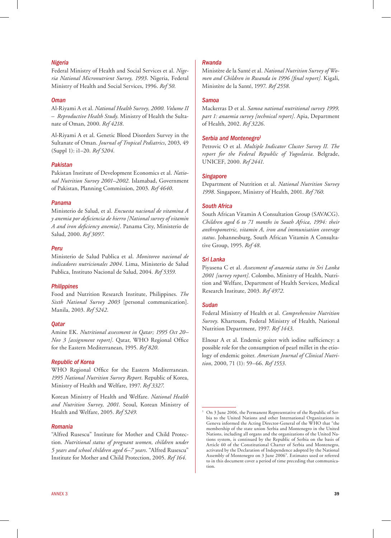#### *Nigeria*

Federal Ministry of Health and Social Services et al. *Nigeria National Micronutrient Survey, 1993*. Nigeria, Federal Ministry of Health and Social Services, 1996. *Ref 50*.

#### *Oman*

Al-Riyami A et al. *National Health Survey, 2000. Volume II – Reproductive Health Study*. Ministry of Health the Sultanate of Oman, 2000. *Ref 4218*.

Al-Riyami A et al. Genetic Blood Disorders Survey in the Sultanate of Oman. *Journal of Tropical Pediatrics*, 2003, 49 (Suppl 1): i1–20. *Ref 5204*.

#### *Pakistan*

Pakistan Institute of Development Economics et al. *National Nutrition Survey 2001–2002*. Islamabad, Government of Pakistan, Planning Commission, 2003. *Ref 4640*.

#### *Panama*

Ministerio de Salud, et al. *Encuesta nacional de vitamina A y anemia por deficiencia de hierro [National survey of vitamin A and iron deficiency anemia]*. Panama City, Ministerio de Salud, 2000. *Ref 3097*.

#### *Peru*

Ministerio de Salud Publica et al. *Monitoreo nacional de indicadores nutricionales 2004*. Lima, Ministerio de Salud Publica, Instituto Nacional de Salud, 2004. *Ref 5359*.

#### *Philippines*

Food and Nutrition Research Institute, Philippines. *The Sixth National Survey 2003* [personal communication]. Manila, 2003. *Ref 5242*.

#### *Qatar*

Amine EK. *Nutritional assessment in Qatar; 1995 Oct 20– Nov 3 [assignment report]*. Qatar, WHO Regional Office for the Eastern Mediterranean, 1995. *Ref 820*.

#### *Republic of Korea*

WHO Regional Office for the Eastern Mediterranean. *1995 National Nutrition Survey Report*. Republic of Korea, Ministry of Health and Welfare, 1997. *Ref 3327*.

Korean Ministry of Health and Welfare. *National Health and Nutrition Survey, 2001*. Seoul, Korean Ministry of Health and Welfare, 2005. *Ref 5249*.

#### *Romania*

"Alfred Rusescu" Institute for Mother and Child Protection. *Nutritional status of pregnant women, children under 5 years and school children aged 6–7 years*. "Alfred Rusescu" Institute for Mother and Child Protection, 2005. *Ref 164*.

#### *Rwanda*

Ministère de la Santé et al. *National Nutrition Survey of Women and Children in Rwanda in 1996 [final report]*. Kigali, Ministère de la Santé, 1997. *Ref 2558*.

#### *Samoa*

Mackerras D et al. *Samoa national nutritional survey 1999, part 1: anaemia survey [technical report]*. Apia, Department of Health, 2002. *Ref 3226*.

#### *Serbia and Montenegro1*

Petrovic O et al. *Multiple Indicator Cluster Survey II. The report for the Federal Republic of Yugoslavia*. Belgrade, UNICEF, 2000. *Ref 2441*.

#### *Singapore*

Department of Nutrition et al. *National Nutrition Survey 1998*. Singapore, Ministry of Health, 2001. *Ref 760*.

#### *South Africa*

South African Vitamin A Consultation Group (SAVACG). *Children aged 6 to 71 months in South Africa, 1994: their anthropometric, vitamin A, iron and immunisation coverage status*. Johannesburg, South African Vitamin A Consultative Group, 1995. *Ref 48*.

#### *Sri Lanka*

Piyasena C et al. *Assessment of anaemia status in Sri Lanka 2001 [survey report]*. Colombo, Ministry of Health, Nutrition and Welfare, Department of Health Services, Medical Research Institute, 2003. *Ref 4972*.

#### *Sudan*

Federal Ministry of Health et al. *Comprehensive Nutrition Survey*. Khartoum, Federal Ministry of Health, National Nutrition Department, 1997. *Ref 1443*.

Elnour A et al. Endemic goiter with iodine sufficiency: a possible role for the consumption of pearl millet in the etiology of endemic goiter. *American Journal of Clinical Nutrition*, 2000, 71 (1): 59–66. *Ref 1553*.

On 3 June 2006, the Permanent Representative of the Republic of Serbia to the United Nations and other International Organizations in Geneva informed the Acting Director-General of the WHO that "the membership of the state union Serbia and Montenegro in the United Nations, including all organs and the organizations of the United Nations system, is continued by the Republic of Serbia on the basis of Article 60 of the Constitutional Charter of Serbia and Montenegro, activated by the Declaration of Independence adopted by the National Assembly of Montenegro on 3 June 2006". Estimates used or referred to in this document cover a period of time preceding that communication.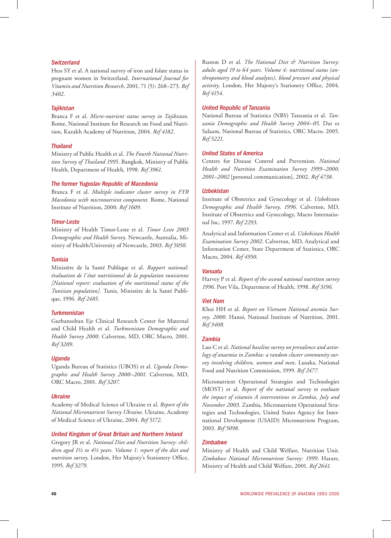#### *Switzerland*

Hess SY et al. A national survey of iron and folate status in pregnant women in Switzerland. *International Journal for Vitamin and Nutrition Research*, 2001, 71 (5): 268–273. *Ref 3402*.

#### *Tajikistan*

Branca F et al. *Micro-nutrient status survey in Tajikistan*. Rome, National Institute for Research on Food and Nutrition, Kazakh Academy of Nutrition, 2004. *Ref 4182*.

#### *Thailand*

Ministry of Public Health et al. *The Fourth National Nutrition Survey of Thailand 1995*. Bangkok, Ministry of Public Health, Department of Health, 1998. *Ref 3961*.

#### *The former Yugoslav Republic of Macedonia*

Branca F et al. *Multiple indicator cluster survey in FYR Macedonia with micronutrient component*. Rome, National Institute of Nutrition, 2000. *Ref 1609*.

#### *Timor-Leste*

Ministry of Health Timor-Leste et al. *Timor Leste 2003 Demographic and Health Survey*. Newcastle, Australia, Ministry of Health/University of Newcastle, 2003. *Ref 5050*.

#### *Tunisia*

Ministère de la Santé Publique et al. *Rapport national: évaluation de l'état nutritionnel de la population tunisienne [National report: evaluation of the nutritional status of the Tunisian population]*. Tunis, Ministère de la Santé Publique, 1996. *Ref 2485*.

#### *Turkmenistan*

Gurbansoltan Eje Clinical Research Center for Maternal and Child Health et al. *Turkmenistan Demographic and Health Survey 2000*. Calverton, MD, ORC Macro, 2001. *Ref 3209*.

#### *Uganda*

Uganda Bureau of Statistics (UBOS) et al. *Uganda Demographic and Health Survey 2000–2001*. Calverton, MD, ORC Macro, 2001. *Ref 3207*.

#### *Ukraine*

Academy of Medical Science of Ukraine et al. *Report of the National Micronutrient Survey Ukraine*. Ukraine, Academy of Medical Science of Ukraine, 2004. *Ref 5172*.

#### *United Kingdom of Great Britain and Northern Ireland*

Gregory JR et al. *National Diet and Nutrition Survey: children aged 1½ to 4½ years. Volume 1: report of the diet and nutrition survey*. London, Her Majesty's Stationery Office, 1995. *Ref 3279*.

Ruston D et al. *The National Diet & Nutrition Survey: adults aged 19 to 64 years. Volume 4: nutritional status (anthropometry and blood analytes), blood pressure and physical activity*. London, Her Majesty's Stationery Office, 2004. *Ref 4154*.

#### *United Republic of Tanzania*

National Bureau of Statistics (NBS) Tanzania et al. *Tanzania Demographic and Health Survey 2004–05*. Dar es Salaam, National Bureau of Statistics, ORC Macro. 2005. *Ref 5221*.

#### *United States of America*

Centers for Disease Control and Prevention. *National Health and Nutrition Examination Survey 1999–2000, 2001–2002* [personal communication], 2002. *Ref 4738*.

#### *Uzbekistan*

Institute of Obstetrics and Gynecology et al. *Uzbekistan Demographic and Health Survey, 1996*. Calverton, MD, Institute of Obstetrics and Gynecology, Macro International Inc, 1997. *Ref 2293*.

Analytical and Information Center et al. *Uzbekistan Health Examination Survey 2002*. Calverton, MD, Analytical and Information Center, State Department of Statistics, ORC Macro, 2004. *Ref 4950*.

#### *Vanuatu*

Harvey P et al. *Report of the second national nutrition survey 1996*. Port Vila, Department of Health, 1998. *Ref 3196*.

#### *Viet Nam*

Khoi HH et al. *Report on Vietnam National anemia Survey, 2000*. Hanoi, National Institute of Nutrition, 2001. *Ref 3408*.

#### *Zambia*

Luo C et al. *National baseline survey on prevalence and aetiology of anaemia in Zambia: a random cluster community survey involving children, women and men*. Lusaka, National Food and Nutrition Commission, 1999. *Ref 2477*.

Micronutrient Operational Strategies and Technologies (MOST) et al. *Report of the national survey to evaluate the impact of vitamin A interventions in Zambia, July and November 2003*. Zambia, Micronutrient Operational Strategies and Technologies, United States Agency for International Development (USAID) Micronutrient Program, 2003. *Ref 5098*.

#### *Zimbabwe*

Ministry of Health and Child Welfare, Nutrition Unit. *Zimbabwe National Micronutrient Survey: 1999*. Harare, Ministry of Health and Child Welfare, 2001. *Ref 2641*.